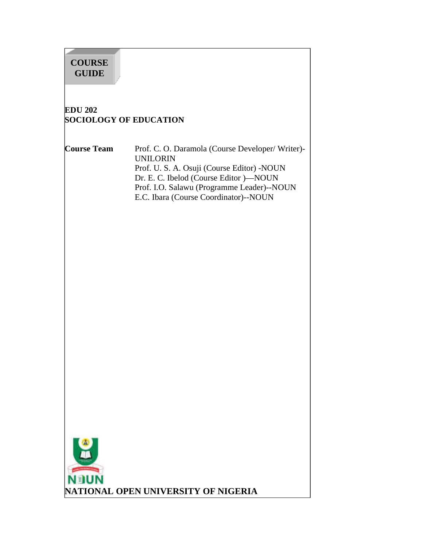# **COURSE GUIDE**

### **EDU 202 SOCIOLOGY OF EDUCATION**

**Course Team** Prof. C. O. Daramola (Course Developer/ Writer)- UNILORIN Prof. U. S. A. Osuji (Course Editor) -NOUN Dr. E. C. Ibelod (Course Editor )—NOUN Prof. I.O. Salawu (Programme Leader)--NOUN E.C. Ibara (Course Coordinator)--NOUN

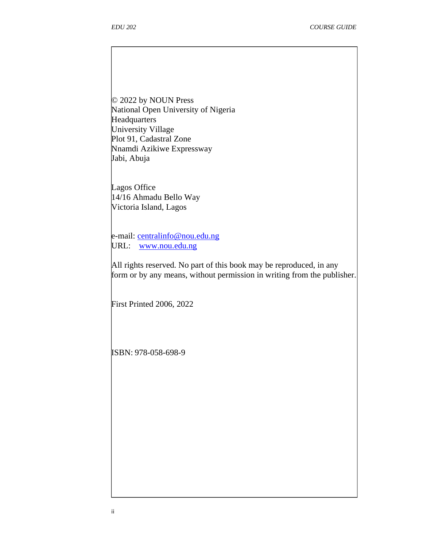© 2022 by NOUN Press National Open University of Nigeria **Headquarters** University Village Plot 91, Cadastral Zone Nnamdi Azikiwe Expressway Jabi, Abuja

Lagos Office 14/16 Ahmadu Bello Way Victoria Island, Lagos

e-mail: centralinfo@nou.edu.ng URL: www.nou.edu.ng

All rights reserved. No part of this book may be reproduced, in any form or by any means, without permission in writing from the publisher.

First Printed 2006, 2022

ISBN: 978-058-698-9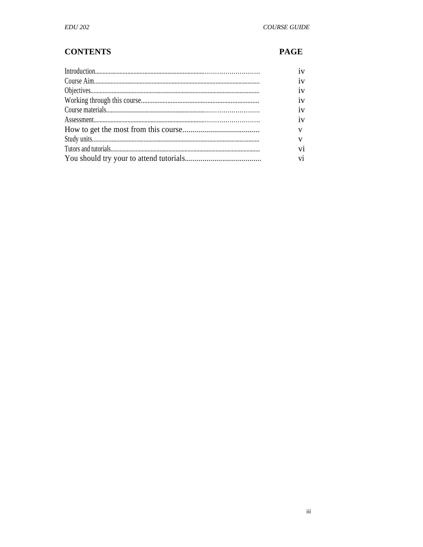# **CONTENTS**

### **PAGE**

| 1V |
|----|
| iv |
| iv |
| iv |
| iv |
| iv |
|    |
|    |
| vi |
| vi |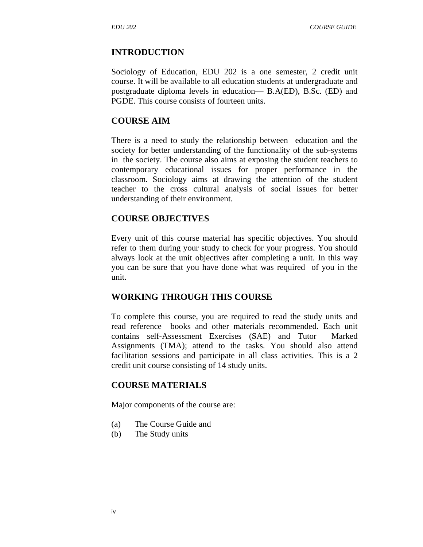### **INTRODUCTION**

Sociology of Education, EDU 202 is a one semester, 2 credit unit course. It will be available to all education students at undergraduate and postgraduate diploma levels in education— B.A(ED), B.Sc. (ED) and PGDE. This course consists of fourteen units.

### **COURSE AIM**

There is a need to study the relationship between education and the society for better understanding of the functionality of the sub-systems in the society. The course also aims at exposing the student teachers to contemporary educational issues for proper performance in the classroom. Sociology aims at drawing the attention of the student teacher to the cross cultural analysis of social issues for better understanding of their environment.

### **COURSE OBJECTIVES**

Every unit of this course material has specific objectives. You should refer to them during your study to check for your progress. You should always look at the unit objectives after completing a unit. In this way you can be sure that you have done what was required of you in the unit.

### **WORKING THROUGH THIS COURSE**

To complete this course, you are required to read the study units and read reference books and other materials recommended. Each unit contains self-Assessment Exercises (SAE) and Tutor Marked Assignments (TMA); attend to the tasks. You should also attend facilitation sessions and participate in all class activities. This is a 2 credit unit course consisting of 14 study units.

### **COURSE MATERIALS**

Major components of the course are:

- (a) The Course Guide and
- (b) The Study units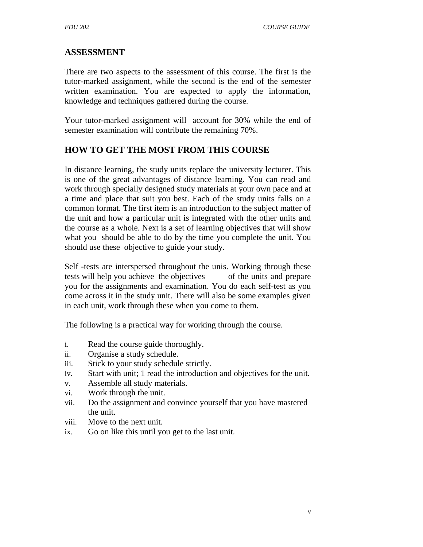### **ASSESSMENT**

There are two aspects to the assessment of this course. The first is the tutor-marked assignment, while the second is the end of the semester written examination. You are expected to apply the information, knowledge and techniques gathered during the course.

Your tutor-marked assignment will account for 30% while the end of semester examination will contribute the remaining 70%.

### **HOW TO GET THE MOST FROM THIS COURSE**

In distance learning, the study units replace the university lecturer. This is one of the great advantages of distance learning. You can read and work through specially designed study materials at your own pace and at a time and place that suit you best. Each of the study units falls on a common format. The first item is an introduction to the subject matter of the unit and how a particular unit is integrated with the other units and the course as a whole. Next is a set of learning objectives that will show what you should be able to do by the time you complete the unit. You should use these objective to guide your study.

Self -tests are interspersed throughout the unis. Working through these tests will help you achieve the objectives of the units and prepare you for the assignments and examination. You do each self-test as you come across it in the study unit. There will also be some examples given in each unit, work through these when you come to them.

The following is a practical way for working through the course.

- i. Read the course guide thoroughly.
- ii. Organise a study schedule.
- iii. Stick to your study schedule strictly.
- iv. Start with unit; 1 read the introduction and objectives for the unit.
- v. Assemble all study materials.
- vi. Work through the unit.
- vii. Do the assignment and convince yourself that you have mastered the unit.
- viii. Move to the next unit.
- ix. Go on like this until you get to the last unit.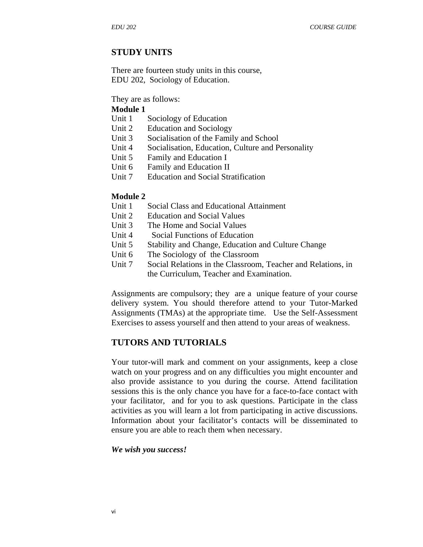### **STUDY UNITS**

There are fourteen study units in this course, EDU 202, Sociology of Education.

They are as follows:

#### **Module 1**

- Unit 1 Sociology of Education
- Unit 2 Education and Sociology
- Unit 3 Socialisation of the Family and School
- Unit 4 Socialisation, Education, Culture and Personality
- Unit 5 Family and Education I
- Unit 6 Family and Education II
- Unit 7 Education and Social Stratification

#### **Module 2**

- Unit 1 Social Class and Educational Attainment
- Unit 2 Education and Social Values
- Unit 3 The Home and Social Values
- Unit 4 Social Functions of Education
- Unit 5 Stability and Change, Education and Culture Change
- Unit 6 The Sociology of the Classroom
- Unit 7 Social Relations in the Classroom, Teacher and Relations, in the Curriculum, Teacher and Examination.

Assignments are compulsory; they are a unique feature of your course delivery system. You should therefore attend to your Tutor-Marked Assignments (TMAs) at the appropriate time. Use the Self-Assessment Exercises to assess yourself and then attend to your areas of weakness.

### **TUTORS AND TUTORIALS**

Your tutor-will mark and comment on your assignments, keep a close watch on your progress and on any difficulties you might encounter and also provide assistance to you during the course. Attend facilitation sessions this is the only chance you have for a face-to-face contact with your facilitator, and for you to ask questions. Participate in the class activities as you will learn a lot from participating in active discussions. Information about your facilitator's contacts will be disseminated to ensure you are able to reach them when necessary.

#### *We wish you success!*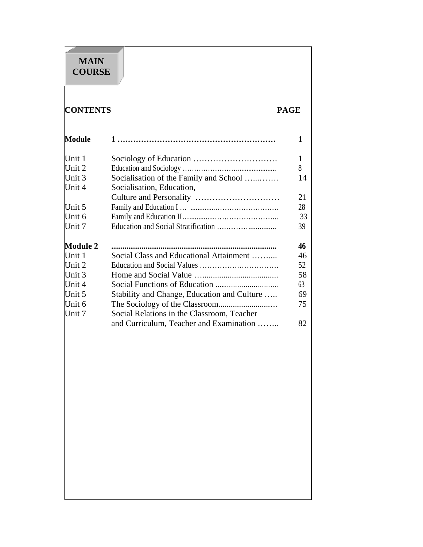# **MAIN COURSE**

# **CONTENTS PAGE**

| Module            |                                             |    |
|-------------------|---------------------------------------------|----|
| Unit 1            |                                             | 1  |
| Unit $2$          |                                             | 8  |
| Unit 3            | Socialisation of the Family and School      | 14 |
| Unit 4            | Socialisation, Education,                   |    |
|                   |                                             | 21 |
| Unit $5$          |                                             | 28 |
| Unit $6$          |                                             | 33 |
| Unit 7            |                                             | 39 |
| <b>Module 2</b>   |                                             | 46 |
| Unit 1            | Social Class and Educational Attainment     | 46 |
| Unit $2$          |                                             | 52 |
| Unit <sub>3</sub> |                                             | 58 |
| Unit 4            |                                             | 63 |
| Unit 5            | Stability and Change, Education and Culture | 69 |
| Unit 6            |                                             | 75 |
| Unit 7            | Social Relations in the Classroom, Teacher  |    |
|                   | and Curriculum, Teacher and Examination     | 82 |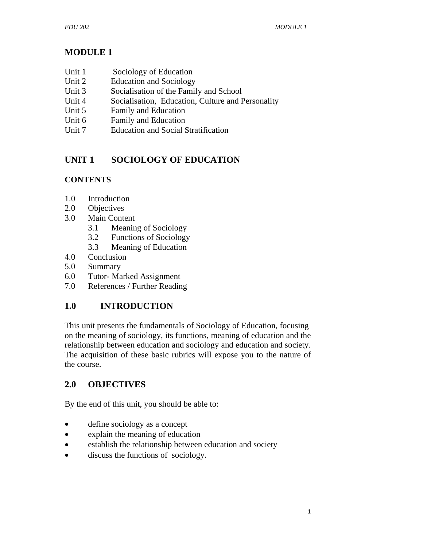# **MODULE 1**

- Unit 1 Sociology of Education
- Unit 2 Education and Sociology
- Unit 3 Socialisation of the Family and School
- Unit 4 Socialisation, Education, Culture and Personality
- Unit 5 Family and Education
- Unit 6 Family and Education
- Unit 7 Education and Social Stratification

# **UNIT 1 SOCIOLOGY OF EDUCATION**

### **CONTENTS**

- 1.0 Introduction
- 2.0 Objectives
- 3.0 Main Content
	- 3.1 Meaning of Sociology
	- 3.2 Functions of Sociology
	- 3.3 Meaning of Education
- 4.0 Conclusion
- 5.0 Summary
- 6.0 Tutor- Marked Assignment
- 7.0 References / Further Reading

# **1.0 INTRODUCTION**

This unit presents the fundamentals of Sociology of Education, focusing on the meaning of sociology, its functions, meaning of education and the relationship between education and sociology and education and society. The acquisition of these basic rubrics will expose you to the nature of the course.

# **2.0 OBJECTIVES**

By the end of this unit, you should be able to:

- define sociology as a concept
- explain the meaning of education
- establish the relationship between education and society
- discuss the functions of sociology.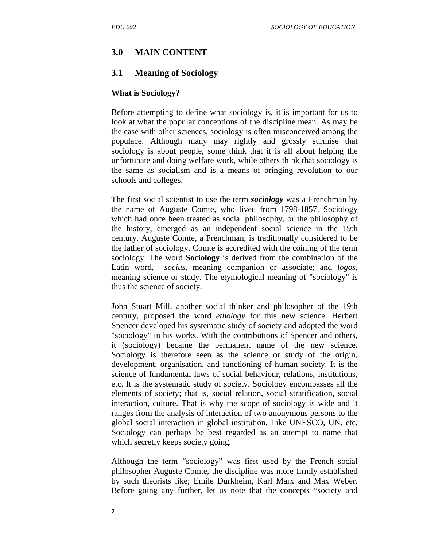# **3.0 MAIN CONTENT**

### **3.1 Meaning of Sociology**

#### **What is Sociology?**

Before attempting to define what sociology is, it is important for us to look at what the popular conceptions of the discipline mean. As may be the case with other sciences, sociology is often misconceived among the populace. Although many may rightly and grossly surmise that sociology is about people, some think that it is all about helping the unfortunate and doing welfare work, while others think that sociology is the same as socialism and is a means of bringing revolution to our schools and colleges.

The first social scientist to use the term *sociology* was a Frenchman by the name of Auguste Comte, who lived from 1798-1857. Sociology which had once been treated as social philosophy, or the philosophy of the history, emerged as an independent social science in the 19th century. Auguste Comte, a Frenchman, is traditionally considered to be the father of sociology. Comte is accredited with the coining of the term sociology. The word **Sociology** is derived from the combination of the Latin word, *socius,* meaning companion or associate; and *logos,* meaning science or study. The etymological meaning of "sociology" is thus the science of society.

John Stuart Mill, another social thinker and philosopher of the 19th century, proposed the word *ethology* for this new science. Herbert Spencer developed his systematic study of society and adopted the word "sociology" in his works. With the contributions of Spencer and others, it (sociology) became the permanent name of the new science. Sociology is therefore seen as the science or study of the origin, development, organisation, and functioning of human society. It is the science of fundamental laws of social behaviour, relations, institutions, etc. It is the systematic study of society. Sociology encompasses all the elements of society; that is, social relation, social stratification, social interaction, culture. That is why the scope of sociology is wide and it ranges from the analysis of interaction of two anonymous persons to the global social interaction in global institution. Like UNESCO, UN, etc. Sociology can perhaps be best regarded as an attempt to name that which secretly keeps society going.

Although the term "sociology" was first used by the French social philosopher Auguste Comte, the discipline was more firmly established by such theorists like; Emile Durkheim, Karl Marx and Max Weber. Before going any further, let us note that the concepts "society and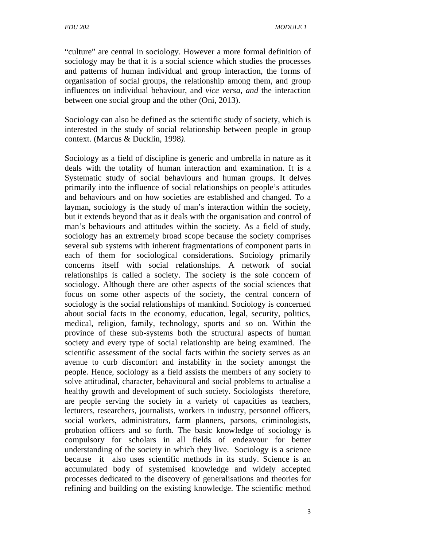"culture" are central in sociology. However a more formal definition of sociology may be that it is a social science which studies the processes and patterns of human individual and group interaction, the forms of organisation of social groups, the relationship among them, and group influences on individual behaviour, and *vice versa, and* the interaction between one social group and the other (Oni, 2013).

Sociology can also be defined as the scientific study of society, which is interested in the study of social relationship between people in group context. (Marcus & Ducklin, 1998*)*.

Sociology as a field of discipline is generic and umbrella in nature as it deals with the totality of human interaction and examination. It is a Systematic study of social behaviours and human groups. It delves primarily into the influence of social relationships on people's attitudes and behaviours and on how societies are established and changed. To a layman, sociology is the study of man's interaction within the society, but it extends beyond that as it deals with the organisation and control of man's behaviours and attitudes within the society. As a field of study, sociology has an extremely broad scope because the society comprises several sub systems with inherent fragmentations of component parts in each of them for sociological considerations. Sociology primarily concerns itself with social relationships. A network of social relationships is called a society. The society is the sole concern of sociology. Although there are other aspects of the social sciences that focus on some other aspects of the society, the central concern of sociology is the social relationships of mankind. Sociology is concerned about social facts in the economy, education, legal, security, politics, medical, religion, family, technology, sports and so on. Within the province of these sub-systems both the structural aspects of human society and every type of social relationship are being examined. The scientific assessment of the social facts within the society serves as an avenue to curb discomfort and instability in the society amongst the people. Hence, sociology as a field assists the members of any society to solve attitudinal, character, behavioural and social problems to actualise a healthy growth and development of such society. Sociologists therefore, are people serving the society in a variety of capacities as teachers, lecturers, researchers, journalists, workers in industry, personnel officers, social workers, administrators, farm planners, parsons, criminologists, probation officers and so forth. The basic knowledge of sociology is compulsory for scholars in all fields of endeavour for better understanding of the society in which they live. Sociology is a science because it also uses scientific methods in its study. Science is an accumulated body of systemised knowledge and widely accepted processes dedicated to the discovery of generalisations and theories for refining and building on the existing knowledge. The scientific method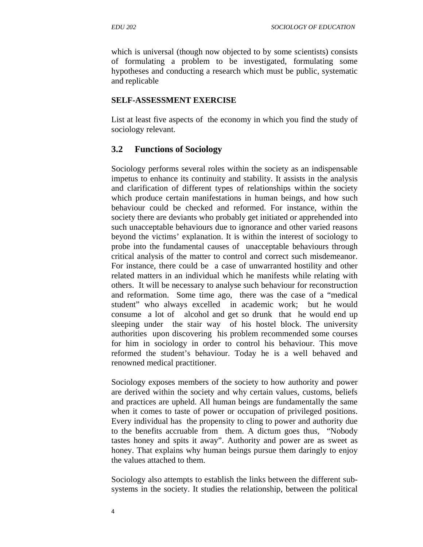which is universal (though now objected to by some scientists) consists of formulating a problem to be investigated, formulating some hypotheses and conducting a research which must be public, systematic and replicable

#### **SELF-ASSESSMENT EXERCISE**

List at least five aspects of the economy in which you find the study of sociology relevant.

### **3.2 Functions of Sociology**

Sociology performs several roles within the society as an indispensable impetus to enhance its continuity and stability. It assists in the analysis and clarification of different types of relationships within the society which produce certain manifestations in human beings, and how such behaviour could be checked and reformed. For instance, within the society there are deviants who probably get initiated or apprehended into such unacceptable behaviours due to ignorance and other varied reasons beyond the victims' explanation. It is within the interest of sociology to probe into the fundamental causes of unacceptable behaviours through critical analysis of the matter to control and correct such misdemeanor. For instance, there could be a case of unwarranted hostility and other related matters in an individual which he manifests while relating with others. It will be necessary to analyse such behaviour for reconstruction and reformation. Some time ago, there was the case of a "medical student" who always excelled in academic work; but he would consume a lot of alcohol and get so drunk that he would end up sleeping under the stair way of his hostel block. The university authorities upon discovering his problem recommended some courses for him in sociology in order to control his behaviour. This move reformed the student's behaviour. Today he is a well behaved and renowned medical practitioner.

Sociology exposes members of the society to how authority and power are derived within the society and why certain values, customs, beliefs and practices are upheld. All human beings are fundamentally the same when it comes to taste of power or occupation of privileged positions. Every individual has the propensity to cling to power and authority due to the benefits accruable from them. A dictum goes thus, "Nobody tastes honey and spits it away". Authority and power are as sweet as honey. That explains why human beings pursue them daringly to enjoy the values attached to them.

Sociology also attempts to establish the links between the different subsystems in the society. It studies the relationship, between the political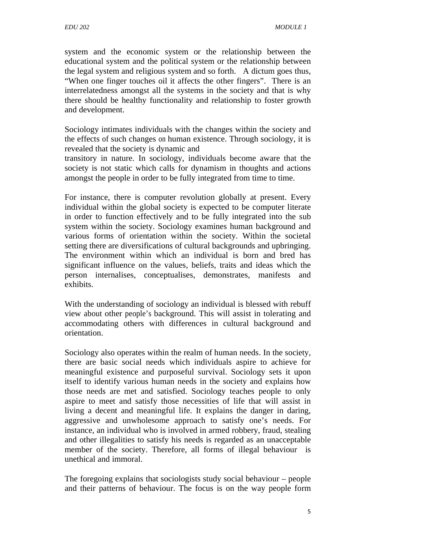system and the economic system or the relationship between the educational system and the political system or the relationship between the legal system and religious system and so forth. A dictum goes thus, "When one finger touches oil it affects the other fingers". There is an interrelatedness amongst all the systems in the society and that is why there should be healthy functionality and relationship to foster growth and development.

Sociology intimates individuals with the changes within the society and the effects of such changes on human existence. Through sociology, it is revealed that the society is dynamic and

transitory in nature. In sociology, individuals become aware that the society is not static which calls for dynamism in thoughts and actions amongst the people in order to be fully integrated from time to time.

For instance, there is computer revolution globally at present. Every individual within the global society is expected to be computer literate in order to function effectively and to be fully integrated into the sub system within the society. Sociology examines human background and various forms of orientation within the society. Within the societal setting there are diversifications of cultural backgrounds and upbringing. The environment within which an individual is born and bred has significant influence on the values, beliefs, traits and ideas which the person internalises, conceptualises, demonstrates, manifests and exhibits.

With the understanding of sociology an individual is blessed with rebuff view about other people's background. This will assist in tolerating and accommodating others with differences in cultural background and orientation.

Sociology also operates within the realm of human needs. In the society, there are basic social needs which individuals aspire to achieve for meaningful existence and purposeful survival. Sociology sets it upon itself to identify various human needs in the society and explains how those needs are met and satisfied. Sociology teaches people to only aspire to meet and satisfy those necessities of life that will assist in living a decent and meaningful life. It explains the danger in daring, aggressive and unwholesome approach to satisfy one's needs. For instance, an individual who is involved in armed robbery, fraud, stealing and other illegalities to satisfy his needs is regarded as an unacceptable member of the society. Therefore, all forms of illegal behaviour is unethical and immoral.

The foregoing explains that sociologists study social behaviour – people and their patterns of behaviour. The focus is on the way people form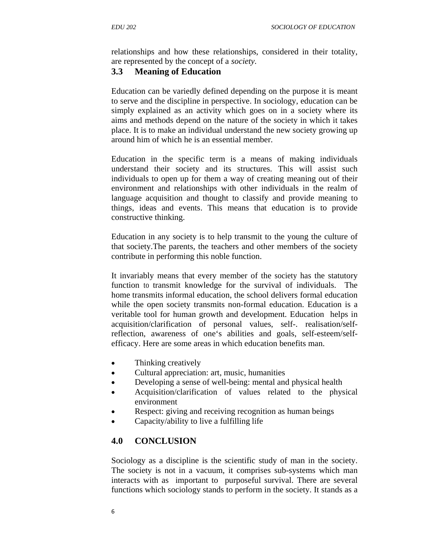relationships and how these relationships, considered in their totality, are represented by the concept of a *society*.

### **3.3 Meaning of Education**

Education can be variedly defined depending on the purpose it is meant to serve and the discipline in perspective. In sociology, education can be simply explained as an activity which goes on in a society where its aims and methods depend on the nature of the society in which it takes place. It is to make an individual understand the new society growing up around him of which he is an essential member.

Education in the specific term is a means of making individuals understand their society and its structures. This will assist such individuals to open up for them a way of creating meaning out of their environment and relationships with other individuals in the realm of language acquisition and thought to classify and provide meaning to things, ideas and events. This means that education is to provide constructive thinking.

Education in any society is to help transmit to the young the culture of that society.The parents, the teachers and other members of the society contribute in performing this noble function.

It invariably means that every member of the society has the statutory function to transmit knowledge for the survival of individuals. The home transmits informal education, the school delivers formal education while the open society transmits non-formal education. Education is a veritable tool for human growth and development. Education helps in acquisition/clarification of personal values, self-. realisation/selfreflection, awareness of one's abilities and goals, self-esteem/selfefficacy. Here are some areas in which education benefits man.

- Thinking creatively
- Cultural appreciation: art, music, humanities
- Developing a sense of well-being: mental and physical health
- Acquisition/clarification of values related to the physical environment
- Respect: giving and receiving recognition as human beings
- Capacity/ability to live a fulfilling life

# **4.0 CONCLUSION**

Sociology as a discipline is the scientific study of man in the society. The society is not in a vacuum, it comprises sub-systems which man interacts with as important to purposeful survival. There are several functions which sociology stands to perform in the society. It stands as a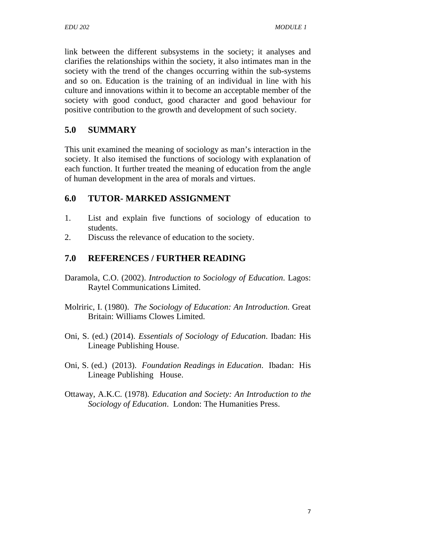link between the different subsystems in the society; it analyses and clarifies the relationships within the society, it also intimates man in the society with the trend of the changes occurring within the sub-systems and so on. Education is the training of an individual in line with his culture and innovations within it to become an acceptable member of the society with good conduct, good character and good behaviour for positive contribution to the growth and development of such society.

# **5.0 SUMMARY**

This unit examined the meaning of sociology as man's interaction in the society. It also itemised the functions of sociology with explanation of each function. It further treated the meaning of education from the angle of human development in the area of morals and virtues.

### **6.0 TUTOR- MARKED ASSIGNMENT**

- 1. List and explain five functions of sociology of education to students.
- 2. Discuss the relevance of education to the society.

# **7.0 REFERENCES / FURTHER READING**

- Daramola, C.O. (2002). *Introduction to Sociology of Education*. Lagos: Raytel Communications Limited.
- Molriric, I. (1980). *The Sociology of Education: An Introduction*. Great Britain: Williams Clowes Limited.
- Oni, S. (ed.) (2014). *Essentials of Sociology of Education*. Ibadan: His Lineage Publishing House.
- Oni, S. (ed.) (2013). *Foundation Readings in Education*. Ibadan: His Lineage Publishing House.
- Ottaway, A.K.C. (1978). *Education and Society: An Introduction to the Sociology of Education*. London: The Humanities Press.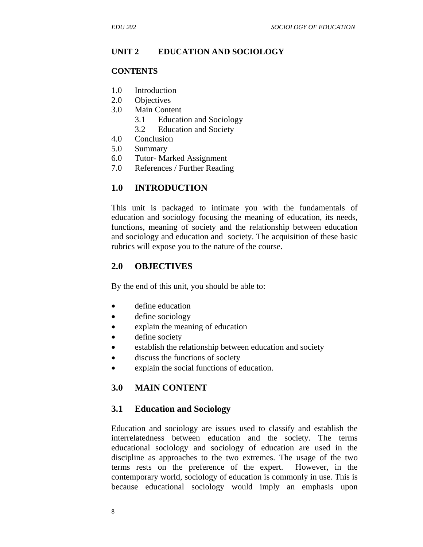#### **UNIT 2 EDUCATION AND SOCIOLOGY**

#### **CONTENTS**

- 1.0 Introduction
- 2.0 Objectives
- 3.0 Main Content
	- 3.1 Education and Sociology
	- 3.2 Education and Society
- 4.0 Conclusion
- 5.0 Summary
- 6.0 Tutor- Marked Assignment
- 7.0 References / Further Reading

### **1.0 INTRODUCTION**

This unit is packaged to intimate you with the fundamentals of education and sociology focusing the meaning of education, its needs, functions, meaning of society and the relationship between education and sociology and education and society. The acquisition of these basic rubrics will expose you to the nature of the course.

### **2.0 OBJECTIVES**

By the end of this unit, you should be able to:

- define education
- define sociology
- explain the meaning of education
- define society
- establish the relationship between education and society
- discuss the functions of society
- explain the social functions of education.

### **3.0 MAIN CONTENT**

### **3.1 Education and Sociology**

Education and sociology are issues used to classify and establish the interrelatedness between education and the society. The terms educational sociology and sociology of education are used in the discipline as approaches to the two extremes. The usage of the two terms rests on the preference of the expert. However, in the contemporary world, sociology of education is commonly in use. This is because educational sociology would imply an emphasis upon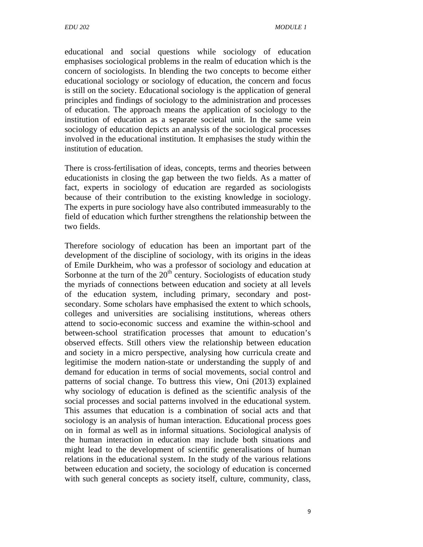educational and social questions while sociology of education emphasises sociological problems in the realm of education which is the concern of sociologists. In blending the two concepts to become either educational sociology or sociology of education, the concern and focus is still on the society. Educational sociology is the application of general principles and findings of sociology to the administration and processes of education. The approach means the application of sociology to the institution of education as a separate societal unit. In the same vein sociology of education depicts an analysis of the sociological processes involved in the educational institution. It emphasises the study within the institution of education.

There is cross-fertilisation of ideas, concepts, terms and theories between educationists in closing the gap between the two fields. As a matter of fact, experts in sociology of education are regarded as sociologists because of their contribution to the existing knowledge in sociology. The experts in pure sociology have also contributed immeasurably to the field of education which further strengthens the relationship between the two fields.

Therefore sociology of education has been an important part of the development of the discipline of sociology, with its origins in the ideas of Emile Durkheim, who was a professor of sociology and education at Sorbonne at the turn of the  $20<sup>th</sup>$  century. Sociologists of education study the myriads of connections between education and society at all levels of the education system, including primary, secondary and postsecondary. Some scholars have emphasised the extent to which schools, colleges and universities are socialising institutions, whereas others attend to socio-economic success and examine the within-school and between-school stratification processes that amount to education's observed effects. Still others view the relationship between education and society in a micro perspective, analysing how curricula create and legitimise the modern nation-state or understanding the supply of and demand for education in terms of social movements, social control and patterns of social change. To buttress this view, Oni (2013) explained why sociology of education is defined as the scientific analysis of the social processes and social patterns involved in the educational system. This assumes that education is a combination of social acts and that sociology is an analysis of human interaction. Educational process goes on in formal as well as in informal situations. Sociological analysis of the human interaction in education may include both situations and might lead to the development of scientific generalisations of human relations in the educational system. In the study of the various relations between education and society, the sociology of education is concerned with such general concepts as society itself, culture, community, class,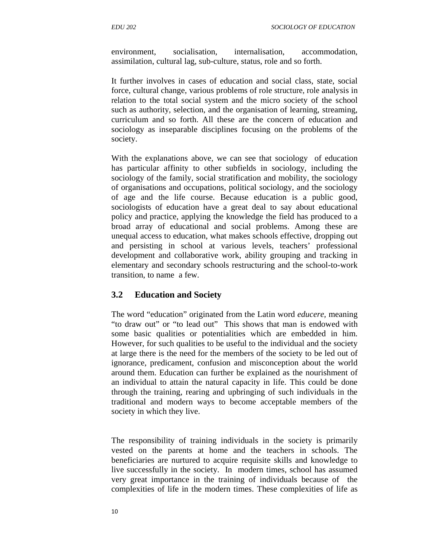environment, socialisation, internalisation, accommodation, assimilation, cultural lag, sub-culture, status, role and so forth.

It further involves in cases of education and social class, state, social force, cultural change, various problems of role structure, role analysis in relation to the total social system and the micro society of the school such as authority, selection, and the organisation of learning, streaming, curriculum and so forth. All these are the concern of education and sociology as inseparable disciplines focusing on the problems of the society.

With the explanations above, we can see that sociology of education has particular affinity to other subfields in sociology, including the sociology of the family, social stratification and mobility, the sociology of organisations and occupations, political sociology, and the sociology of age and the life course. Because education is a public good, sociologists of education have a great deal to say about educational policy and practice, applying the knowledge the field has produced to a broad array of educational and social problems. Among these are unequal access to education, what makes schools effective, dropping out and persisting in school at various levels, teachers' professional development and collaborative work, ability grouping and tracking in elementary and secondary schools restructuring and the school-to-work transition, to name a few.

### **3.2 Education and Society**

The word "education" originated from the Latin word *educere,* meaning "to draw out" or "to lead out" This shows that man is endowed with some basic qualities or potentialities which are embedded in him. However, for such qualities to be useful to the individual and the society at large there is the need for the members of the society to be led out of ignorance, predicament, confusion and misconception about the world around them. Education can further be explained as the nourishment of an individual to attain the natural capacity in life. This could be done through the training, rearing and upbringing of such individuals in the traditional and modern ways to become acceptable members of the society in which they live.

The responsibility of training individuals in the society is primarily vested on the parents at home and the teachers in schools. The beneficiaries are nurtured to acquire requisite skills and knowledge to live successfully in the society. In modern times, school has assumed very great importance in the training of individuals because of the complexities of life in the modern times. These complexities of life as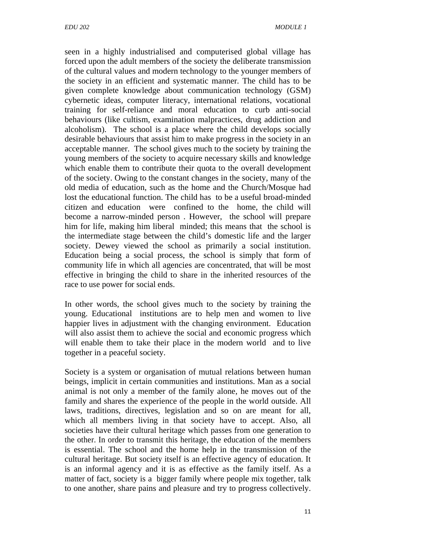seen in a highly industrialised and computerised global village has forced upon the adult members of the society the deliberate transmission of the cultural values and modern technology to the younger members of the society in an efficient and systematic manner. The child has to be given complete knowledge about communication technology (GSM) cybernetic ideas, computer literacy, international relations, vocational training for self-reliance and moral education to curb anti-social behaviours (like cultism, examination malpractices, drug addiction and alcoholism). The school is a place where the child develops socially desirable behaviours that assist him to make progress in the society in an acceptable manner. The school gives much to the society by training the young members of the society to acquire necessary skills and knowledge which enable them to contribute their quota to the overall development of the society. Owing to the constant changes in the society, many of the old media of education, such as the home and the Church/Mosque had lost the educational function. The child has to be a useful broad-minded citizen and education were confined to the home, the child will become a narrow-minded person . However, the school will prepare him for life, making him liberal minded; this means that the school is the intermediate stage between the child's domestic life and the larger society. Dewey viewed the school as primarily a social institution. Education being a social process, the school is simply that form of community life in which all agencies are concentrated, that will be most effective in bringing the child to share in the inherited resources of the race to use power for social ends.

In other words, the school gives much to the society by training the young. Educational institutions are to help men and women to live happier lives in adjustment with the changing environment. Education will also assist them to achieve the social and economic progress which will enable them to take their place in the modern world and to live together in a peaceful society.

Society is a system or organisation of mutual relations between human beings, implicit in certain communities and institutions. Man as a social animal is not only a member of the family alone, he moves out of the family and shares the experience of the people in the world outside. All laws, traditions, directives, legislation and so on are meant for all, which all members living in that society have to accept. Also, all societies have their cultural heritage which passes from one generation to the other. In order to transmit this heritage, the education of the members is essential. The school and the home help in the transmission of the cultural heritage. But society itself is an effective agency of education. It is an informal agency and it is as effective as the family itself. As a matter of fact, society is a bigger family where people mix together, talk to one another, share pains and pleasure and try to progress collectively.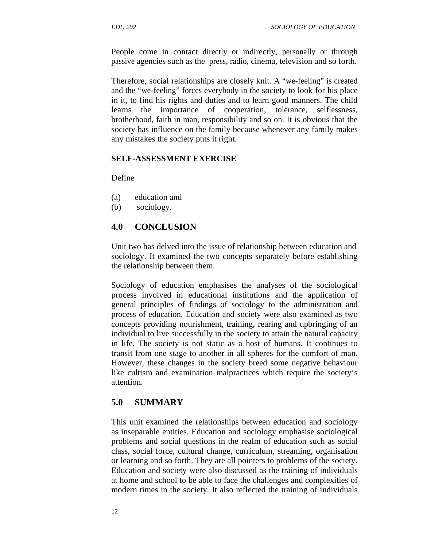People come in contact directly or indirectly, personally or through passive agencies such as the press, radio, cinema, television and so forth.

Therefore, social relationships are closely knit. A "we-feeling" is created and the "we-feeling" forces everybody in the society to look for his place in it, to find his rights and duties and to learn good manners. The child learns the importance of cooperation, tolerance, selflessness, brotherhood, faith in man, responsibility and so on. It is obvious that the society has influence on the family because whenever any family makes any mistakes the society puts it right.

### **SELF-ASSESSMENT EXERCISE**

Define

- (a) education and
- (b) sociology.

### **4.0 CONCLUSION**

Unit two has delved into the issue of relationship between education and sociology. It examined the two concepts separately before establishing the relationship between them.

Sociology of education emphasises the analyses of the sociological process involved in educational institutions and the application of general principles of findings of sociology to the administration and process of education. Education and society were also examined as two concepts providing nourishment, training, rearing and upbringing of an individual to live successfully in the society to attain the natural capacity in life. The society is not static as a host of humans. It continues to transit from one stage to another in all spheres for the comfort of man. However, these changes in the society breed some negative behaviour like cultism and examination malpractices which require the society's attention.

### **5.0 SUMMARY**

This unit examined the relationships between education and sociology as inseparable entities. Education and sociology emphasise sociological problems and social questions in the realm of education such as social class, social force, cultural change, curriculum, streaming, organisation or learning and so forth. They are all pointers to problems of the society. Education and society were also discussed as the training of individuals at home and school to be able to face the challenges and complexities of modern times in the society. It also reflected the training of individuals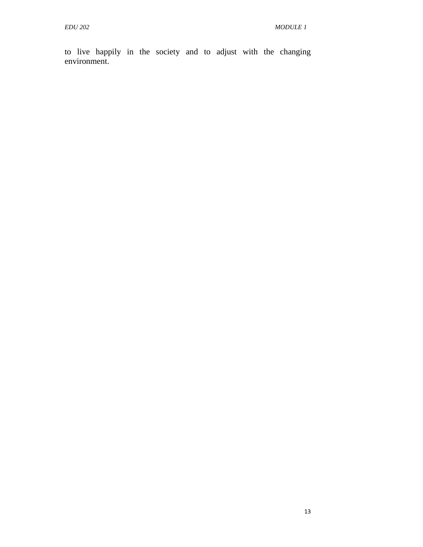to live happily in the society and to adjust with the changing environment.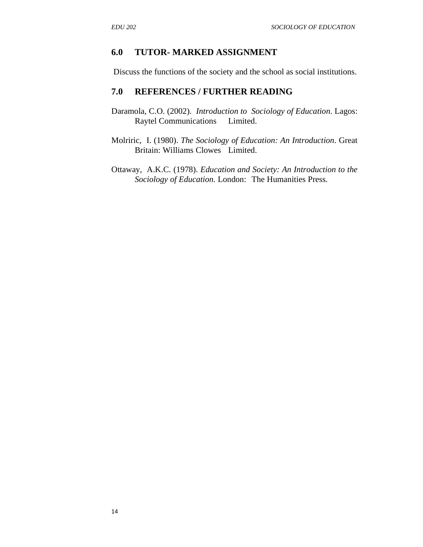#### **6.0 TUTOR- MARKED ASSIGNMENT**

Discuss the functions of the society and the school as social institutions.

#### **7.0 REFERENCES / FURTHER READING**

- Daramola, C.O. (2002). *Introduction to Sociology of Education*. Lagos: Raytel Communications Limited.
- Molriric, I. (1980). *The Sociology of Education: An Introduction*. Great Britain: Williams Clowes Limited.
- Ottaway, A.K.C. (1978). *Education and Society: An Introduction to the Sociology of Education.* London: The Humanities Press.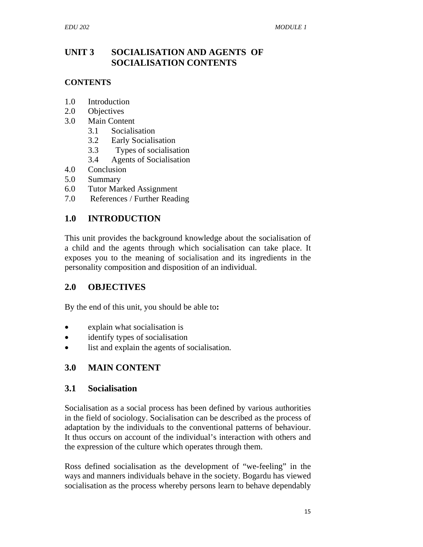# **UNIT 3 SOCIALISATION AND AGENTS OF SOCIALISATION CONTENTS**

### **CONTENTS**

- 1.0 Introduction
- 2.0 Objectives
- 3.0 Main Content
	- 3.1 Socialisation
	- 3.2 Early Socialisation
	- 3.3 Types of socialisation
	- 3.4 Agents of Socialisation
- 4.0 Conclusion
- 5.0 Summary
- 6.0 Tutor Marked Assignment
- 7.0 References / Further Reading

### **1.0 INTRODUCTION**

This unit provides the background knowledge about the socialisation of a child and the agents through which socialisation can take place. It exposes you to the meaning of socialisation and its ingredients in the personality composition and disposition of an individual.

### **2.0 OBJECTIVES**

By the end of this unit, you should be able to**:** 

- explain what socialisation is
- identify types of socialisation
- list and explain the agents of socialisation.

# **3.0 MAIN CONTENT**

### **3.1 Socialisation**

Socialisation as a social process has been defined by various authorities in the field of sociology. Socialisation can be described as the process of adaptation by the individuals to the conventional patterns of behaviour. It thus occurs on account of the individual's interaction with others and the expression of the culture which operates through them.

Ross defined socialisation as the development of "we-feeling" in the ways and manners individuals behave in the society. Bogardu has viewed socialisation as the process whereby persons learn to behave dependably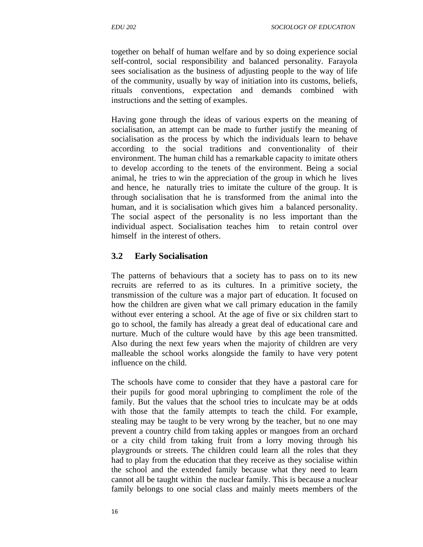together on behalf of human welfare and by so doing experience social self-control, social responsibility and balanced personality. Farayola sees socialisation as the business of adjusting people to the way of life of the community, usually by way of initiation into its customs, beliefs, rituals conventions, expectation and demands combined with instructions and the setting of examples.

Having gone through the ideas of various experts on the meaning of socialisation, an attempt can be made to further justify the meaning of socialisation as the process by which the individuals learn to behave according to the social traditions and conventionality of their environment. The human child has a remarkable capacity to imitate others to develop according to the tenets of the environment. Being a social animal, he tries to win the appreciation of the group in which he lives and hence, he naturally tries to imitate the culture of the group. It is through socialisation that he is transformed from the animal into the human, and it is socialisation which gives him a balanced personality. The social aspect of the personality is no less important than the individual aspect. Socialisation teaches him to retain control over himself in the interest of others.

### **3.2 Early Socialisation**

The patterns of behaviours that a society has to pass on to its new recruits are referred to as its cultures. In a primitive society, the transmission of the culture was a major part of education. It focused on how the children are given what we call primary education in the family without ever entering a school. At the age of five or six children start to go to school, the family has already a great deal of educational care and nurture. Much of the culture would have by this age been transmitted. Also during the next few years when the majority of children are very malleable the school works alongside the family to have very potent influence on the child.

The schools have come to consider that they have a pastoral care for their pupils for good moral upbringing to compliment the role of the family. But the values that the school tries to inculcate may be at odds with those that the family attempts to teach the child. For example, stealing may be taught to be very wrong by the teacher, but no one may prevent a country child from taking apples or mangoes from an orchard or a city child from taking fruit from a lorry moving through his playgrounds or streets. The children could learn all the roles that they had to play from the education that they receive as they socialise within the school and the extended family because what they need to learn cannot all be taught within the nuclear family. This is because a nuclear family belongs to one social class and mainly meets members of the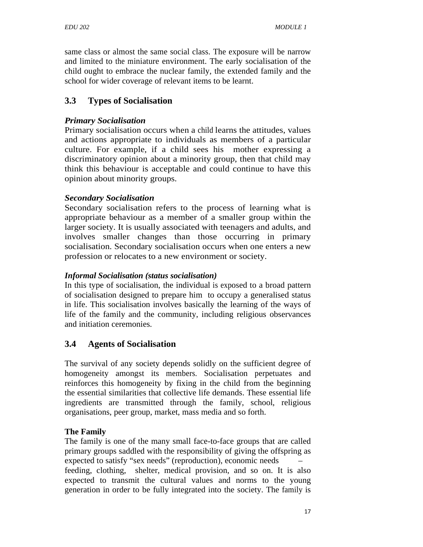same class or almost the same social class. The exposure will be narrow and limited to the miniature environment. The early socialisation of the child ought to embrace the nuclear family, the extended family and the school for wider coverage of relevant items to be learnt.

# **3.3 Types of Socialisation**

### *Primary Socialisation*

Primary socialisation occurs when a child learns the attitudes, values and actions appropriate to individuals as members of a particular culture. For example, if a child sees his mother expressing a discriminatory opinion about a minority group, then that child may think this behaviour is acceptable and could continue to have this opinion about minority groups.

### *Secondary Socialisation*

Secondary socialisation refers to the process of learning what is appropriate behaviour as a member of a smaller group within the larger society. It is usually associated with teenagers and adults, and involves smaller changes than those occurring in primary socialisation. Secondary socialisation occurs when one enters a new profession or relocates to a new environment or society.

### *Informal Socialisation (status socialisation)*

In this type of socialisation, the individual is exposed to a broad pattern of socialisation designed to prepare him to occupy a generalised status in life. This socialisation involves basically the learning of the ways of life of the family and the community, including religious observances and initiation ceremonies.

# **3.4 Agents of Socialisation**

The survival of any society depends solidly on the sufficient degree of homogeneity amongst its members. Socialisation perpetuates and reinforces this homogeneity by fixing in the child from the beginning the essential similarities that collective life demands. These essential life ingredients are transmitted through the family, school, religious organisations, peer group, market, mass media and so forth.

# **The Family**

The family is one of the many small face-to-face groups that are called primary groups saddled with the responsibility of giving the offspring as expected to satisfy "sex needs" (reproduction), economic needs – feeding, clothing, shelter, medical provision, and so on. It is also expected to transmit the cultural values and norms to the young generation in order to be fully integrated into the society. The family is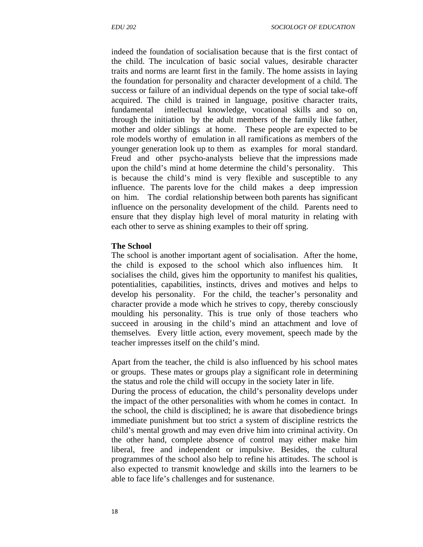indeed the foundation of socialisation because that is the first contact of the child. The inculcation of basic social values, desirable character traits and norms are learnt first in the family. The home assists in laying the foundation for personality and character development of a child. The success or failure of an individual depends on the type of social take-off acquired. The child is trained in language, positive character traits, fundamental intellectual knowledge, vocational skills and so on, through the initiation by the adult members of the family like father, mother and older siblings at home. These people are expected to be role models worthy of emulation in all ramifications as members of the younger generation look up to them as examples for moral standard. Freud and other psycho-analysts believe that the impressions made upon the child's mind at home determine the child's personality. This is because the child's mind is very flexible and susceptible to any influence. The parents love for the child makes a deep impression on him. The cordial relationship between both parents has significant influence on the personality development of the child. Parents need to ensure that they display high level of moral maturity in relating with each other to serve as shining examples to their off spring.

#### **The School**

The school is another important agent of socialisation. After the home, the child is exposed to the school which also influences him. It socialises the child, gives him the opportunity to manifest his qualities, potentialities, capabilities, instincts, drives and motives and helps to develop his personality. For the child, the teacher's personality and character provide a mode which he strives to copy, thereby consciously moulding his personality. This is true only of those teachers who succeed in arousing in the child's mind an attachment and love of themselves. Every little action, every movement, speech made by the teacher impresses itself on the child's mind.

Apart from the teacher, the child is also influenced by his school mates or groups. These mates or groups play a significant role in determining the status and role the child will occupy in the society later in life.

During the process of education, the child's personality develops under the impact of the other personalities with whom he comes in contact. In the school, the child is disciplined; he is aware that disobedience brings immediate punishment but too strict a system of discipline restricts the child's mental growth and may even drive him into criminal activity. On the other hand, complete absence of control may either make him liberal, free and independent or impulsive. Besides, the cultural programmes of the school also help to refine his attitudes. The school is also expected to transmit knowledge and skills into the learners to be able to face life's challenges and for sustenance.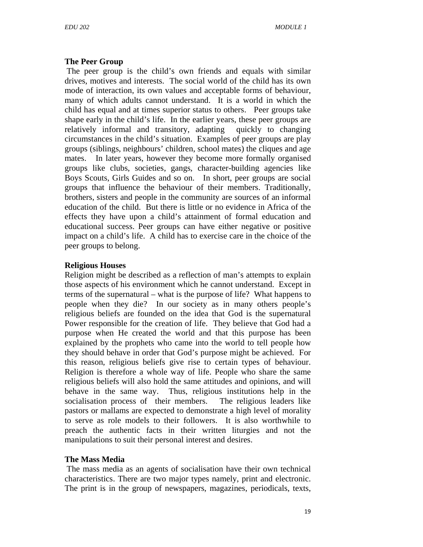#### **The Peer Group**

 The peer group is the child's own friends and equals with similar drives, motives and interests. The social world of the child has its own mode of interaction, its own values and acceptable forms of behaviour, many of which adults cannot understand. It is a world in which the child has equal and at times superior status to others. Peer groups take shape early in the child's life. In the earlier years, these peer groups are relatively informal and transitory, adapting quickly to changing circumstances in the child's situation. Examples of peer groups are play groups (siblings, neighbours' children, school mates) the cliques and age mates. In later years, however they become more formally organised groups like clubs, societies, gangs, character-building agencies like Boys Scouts, Girls Guides and so on. In short, peer groups are social groups that influence the behaviour of their members. Traditionally, brothers, sisters and people in the community are sources of an informal education of the child. But there is little or no evidence in Africa of the effects they have upon a child's attainment of formal education and educational success. Peer groups can have either negative or positive impact on a child's life. A child has to exercise care in the choice of the peer groups to belong.

#### **Religious Houses**

Religion might be described as a reflection of man's attempts to explain those aspects of his environment which he cannot understand. Except in terms of the supernatural – what is the purpose of life? What happens to people when they die? In our society as in many others people's religious beliefs are founded on the idea that God is the supernatural Power responsible for the creation of life. They believe that God had a purpose when He created the world and that this purpose has been explained by the prophets who came into the world to tell people how they should behave in order that God's purpose might be achieved. For this reason, religious beliefs give rise to certain types of behaviour. Religion is therefore a whole way of life. People who share the same religious beliefs will also hold the same attitudes and opinions, and will behave in the same way. Thus, religious institutions help in the socialisation process of their members. The religious leaders like pastors or mallams are expected to demonstrate a high level of morality to serve as role models to their followers. It is also worthwhile to preach the authentic facts in their written liturgies and not the manipulations to suit their personal interest and desires.

#### **The Mass Media**

 The mass media as an agents of socialisation have their own technical characteristics. There are two major types namely, print and electronic. The print is in the group of newspapers, magazines, periodicals, texts,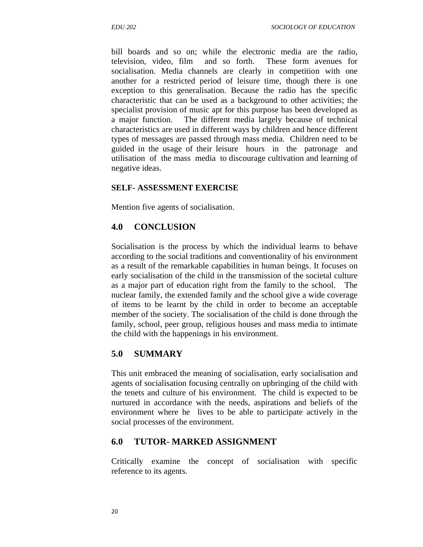bill boards and so on; while the electronic media are the radio, television, video, film and so forth. These form avenues for socialisation. Media channels are clearly in competition with one another for a restricted period of leisure time, though there is one exception to this generalisation. Because the radio has the specific characteristic that can be used as a background to other activities; the specialist provision of music apt for this purpose has been developed as a major function. The different media largely because of technical characteristics are used in different ways by children and hence different types of messages are passed through mass media. Children need to be guided in the usage of their leisure hours in the patronage and utilisation of the mass media to discourage cultivation and learning of negative ideas.

#### **SELF- ASSESSMENT EXERCISE**

Mention five agents of socialisation.

### **4.0 CONCLUSION**

Socialisation is the process by which the individual learns to behave according to the social traditions and conventionality of his environment as a result of the remarkable capabilities in human beings. It focuses on early socialisation of the child in the transmission of the societal culture as a major part of education right from the family to the school. The nuclear family, the extended family and the school give a wide coverage of items to be learnt by the child in order to become an acceptable member of the society. The socialisation of the child is done through the family, school, peer group, religious houses and mass media to intimate the child with the happenings in his environment.

### **5.0 SUMMARY**

This unit embraced the meaning of socialisation, early socialisation and agents of socialisation focusing centrally on upbringing of the child with the tenets and culture of his environment. The child is expected to be nurtured in accordance with the needs, aspirations and beliefs of the environment where he lives to be able to participate actively in the social processes of the environment.

### **6.0 TUTOR- MARKED ASSIGNMENT**

Critically examine the concept of socialisation with specific reference to its agents.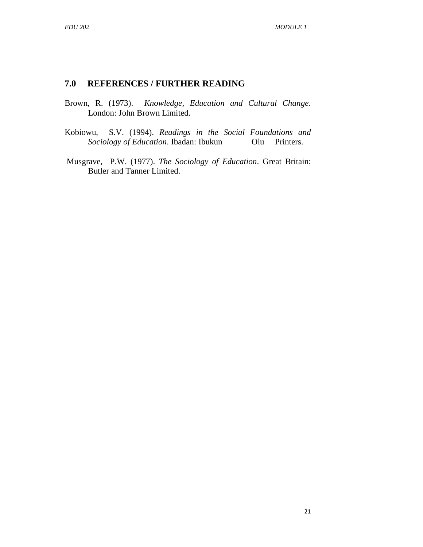### **7.0 REFERENCES / FURTHER READING**

- Brown, R. (1973). *Knowledge, Education and Cultural Change*. London: John Brown Limited.
- Kobiowu, S.V. (1994). *Readings in the Social Foundations and Sociology of Education*. Ibadan: Ibukun Olu Printers.
- Musgrave, P.W. (1977). *The Sociology of Education*. Great Britain: Butler and Tanner Limited.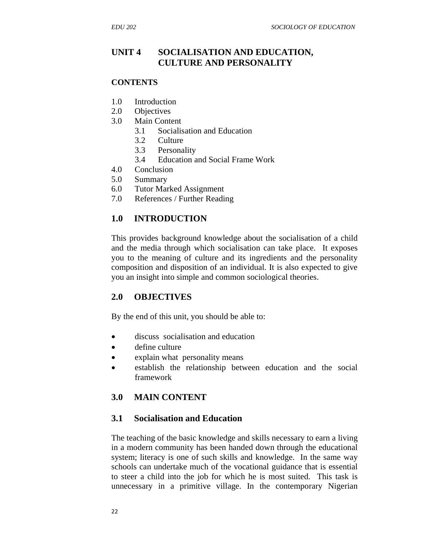### **UNIT 4 SOCIALISATION AND EDUCATION, CULTURE AND PERSONALITY**

#### **CONTENTS**

- 1.0 Introduction
- 2.0 Objectives
- 3.0 Main Content
	- 3.1 Socialisation and Education
	- 3.2 Culture
	- 3.3 Personality
	- 3.4 Education and Social Frame Work
- 4.0 Conclusion
- 5.0 Summary
- 6.0 Tutor Marked Assignment
- 7.0 References / Further Reading

### **1.0 INTRODUCTION**

This provides background knowledge about the socialisation of a child and the media through which socialisation can take place. It exposes you to the meaning of culture and its ingredients and the personality composition and disposition of an individual. It is also expected to give you an insight into simple and common sociological theories.

### **2.0 OBJECTIVES**

By the end of this unit, you should be able to:

- discuss socialisation and education
- define culture
- explain what personality means
- establish the relationship between education and the social framework

### **3.0 MAIN CONTENT**

### **3.1 Socialisation and Education**

The teaching of the basic knowledge and skills necessary to earn a living in a modern community has been handed down through the educational system; literacy is one of such skills and knowledge. In the same way schools can undertake much of the vocational guidance that is essential to steer a child into the job for which he is most suited. This task is unnecessary in a primitive village. In the contemporary Nigerian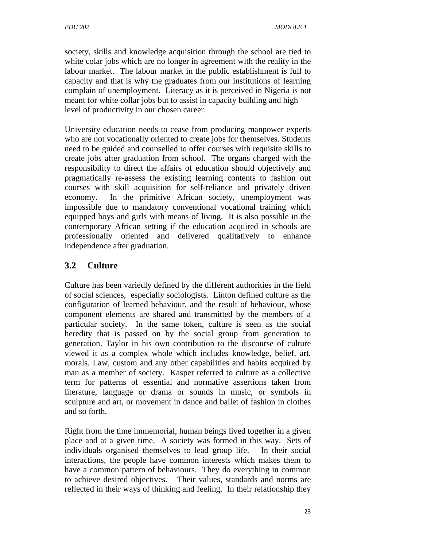society, skills and knowledge acquisition through the school are tied to white colar jobs which are no longer in agreement with the reality in the labour market. The labour market in the public establishment is full to capacity and that is why the graduates from our institutions of learning complain of unemployment. Literacy as it is perceived in Nigeria is not meant for white collar jobs but to assist in capacity building and high level of productivity in our chosen career.

University education needs to cease from producing manpower experts who are not vocationally oriented to create jobs for themselves. Students need to be guided and counselled to offer courses with requisite skills to create jobs after graduation from school. The organs charged with the responsibility to direct the affairs of education should objectively and pragmatically re-assess the existing learning contents to fashion out courses with skill acquisition for self-reliance and privately driven economy. In the primitive African society, unemployment was impossible due to mandatory conventional vocational training which equipped boys and girls with means of living. It is also possible in the contemporary African setting if the education acquired in schools are professionally oriented and delivered qualitatively to enhance independence after graduation.

# **3.2 Culture**

Culture has been variedly defined by the different authorities in the field of social sciences, especially sociologists. Linton defined culture as the configuration of learned behaviour, and the result of behaviour, whose component elements are shared and transmitted by the members of a particular society. In the same token, culture is seen as the social heredity that is passed on by the social group from generation to generation. Taylor in his own contribution to the discourse of culture viewed it as a complex whole which includes knowledge, belief, art, morals. Law, custom and any other capabilities and habits acquired by man as a member of society. Kasper referred to culture as a collective term for patterns of essential and normative assertions taken from literature, language or drama or sounds in music, or symbols in sculpture and art, or movement in dance and ballet of fashion in clothes and so forth.

Right from the time immemorial, human beings lived together in a given place and at a given time. A society was formed in this way. Sets of individuals organised themselves to lead group life. In their social interactions, the people have common interests which makes them to have a common pattern of behaviours. They do everything in common to achieve desired objectives. Their values, standards and norms are reflected in their ways of thinking and feeling. In their relationship they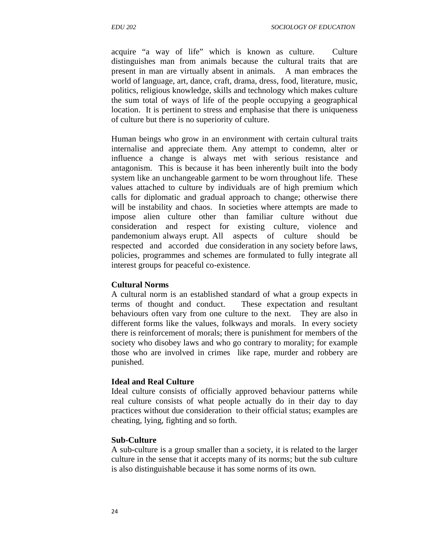acquire "a way of life" which is known as culture. Culture distinguishes man from animals because the cultural traits that are present in man are virtually absent in animals. A man embraces the world of language, art, dance, craft, drama, dress, food, literature, music, politics, religious knowledge, skills and technology which makes culture the sum total of ways of life of the people occupying a geographical location. It is pertinent to stress and emphasise that there is uniqueness of culture but there is no superiority of culture.

Human beings who grow in an environment with certain cultural traits internalise and appreciate them. Any attempt to condemn, alter or influence a change is always met with serious resistance and antagonism. This is because it has been inherently built into the body system like an unchangeable garment to be worn throughout life. These values attached to culture by individuals are of high premium which calls for diplomatic and gradual approach to change; otherwise there will be instability and chaos. In societies where attempts are made to impose alien culture other than familiar culture without due consideration and respect for existing culture, violence and pandemonium always erupt. All aspects of culture should be respected and accorded due consideration in any society before laws, policies, programmes and schemes are formulated to fully integrate all interest groups for peaceful co-existence.

#### **Cultural Norms**

A cultural norm is an established standard of what a group expects in terms of thought and conduct. These expectation and resultant behaviours often vary from one culture to the next. They are also in different forms like the values, folkways and morals. In every society there is reinforcement of morals; there is punishment for members of the society who disobey laws and who go contrary to morality; for example those who are involved in crimes like rape, murder and robbery are punished.

#### **Ideal and Real Culture**

Ideal culture consists of officially approved behaviour patterns while real culture consists of what people actually do in their day to day practices without due consideration to their official status; examples are cheating, lying, fighting and so forth.

#### **Sub-Culture**

A sub-culture is a group smaller than a society, it is related to the larger culture in the sense that it accepts many of its norms; but the sub culture is also distinguishable because it has some norms of its own.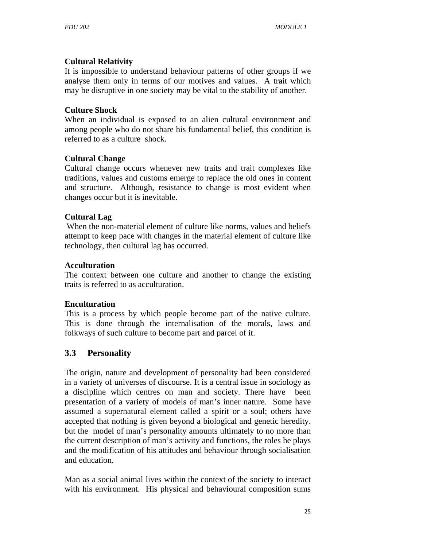### **Cultural Relativity**

It is impossible to understand behaviour patterns of other groups if we analyse them only in terms of our motives and values. A trait which may be disruptive in one society may be vital to the stability of another.

### **Culture Shock**

When an individual is exposed to an alien cultural environment and among people who do not share his fundamental belief, this condition is referred to as a culture shock.

### **Cultural Change**

Cultural change occurs whenever new traits and trait complexes like traditions, values and customs emerge to replace the old ones in content and structure. Although, resistance to change is most evident when changes occur but it is inevitable.

### **Cultural Lag**

 When the non-material element of culture like norms, values and beliefs attempt to keep pace with changes in the material element of culture like technology, then cultural lag has occurred.

### **Acculturation**

The context between one culture and another to change the existing traits is referred to as acculturation.

### **Enculturation**

This is a process by which people become part of the native culture. This is done through the internalisation of the morals, laws and folkways of such culture to become part and parcel of it.

# **3.3 Personality**

The origin, nature and development of personality had been considered in a variety of universes of discourse. It is a central issue in sociology as a discipline which centres on man and society. There have been presentation of a variety of models of man's inner nature. Some have assumed a supernatural element called a spirit or a soul; others have accepted that nothing is given beyond a biological and genetic heredity. but the model of man's personality amounts ultimately to no more than the current description of man's activity and functions, the roles he plays and the modification of his attitudes and behaviour through socialisation and education.

Man as a social animal lives within the context of the society to interact with his environment. His physical and behavioural composition sums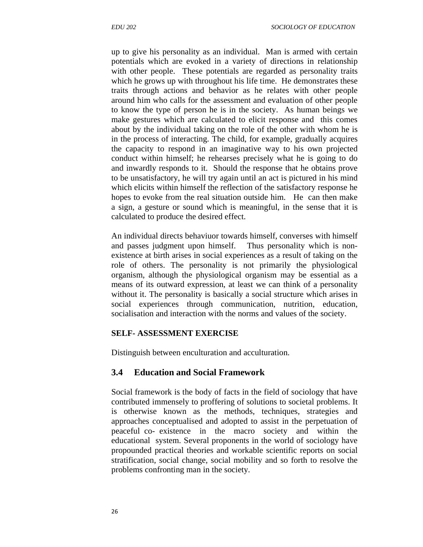up to give his personality as an individual. Man is armed with certain potentials which are evoked in a variety of directions in relationship with other people. These potentials are regarded as personality traits which he grows up with throughout his life time. He demonstrates these traits through actions and behavior as he relates with other people around him who calls for the assessment and evaluation of other people to know the type of person he is in the society. As human beings we make gestures which are calculated to elicit response and this comes about by the individual taking on the role of the other with whom he is in the process of interacting. The child, for example, gradually acquires the capacity to respond in an imaginative way to his own projected conduct within himself; he rehearses precisely what he is going to do and inwardly responds to it. Should the response that he obtains prove to be unsatisfactory, he will try again until an act is pictured in his mind which elicits within himself the reflection of the satisfactory response he hopes to evoke from the real situation outside him. He can then make a sign, a gesture or sound which is meaningful, in the sense that it is calculated to produce the desired effect.

An individual directs behaviuor towards himself, converses with himself and passes judgment upon himself. Thus personality which is nonexistence at birth arises in social experiences as a result of taking on the role of others. The personality is not primarily the physiological organism, although the physiological organism may be essential as a means of its outward expression, at least we can think of a personality without it. The personality is basically a social structure which arises in social experiences through communication, nutrition, education, socialisation and interaction with the norms and values of the society.

### **SELF- ASSESSMENT EXERCISE**

Distinguish between enculturation and acculturation.

### **3.4 Education and Social Framework**

Social framework is the body of facts in the field of sociology that have contributed immensely to proffering of solutions to societal problems. It is otherwise known as the methods, techniques, strategies and approaches conceptualised and adopted to assist in the perpetuation of peaceful co- existence in the macro society and within the educational system. Several proponents in the world of sociology have propounded practical theories and workable scientific reports on social stratification, social change, social mobility and so forth to resolve the problems confronting man in the society.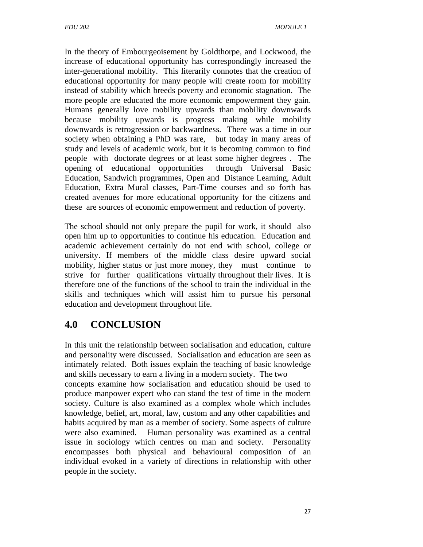In the theory of Embourgeoisement by Goldthorpe, and Lockwood, the increase of educational opportunity has correspondingly increased the inter-generational mobility. This literarily connotes that the creation of educational opportunity for many people will create room for mobility instead of stability which breeds poverty and economic stagnation. The more people are educated the more economic empowerment they gain. Humans generally love mobility upwards than mobility downwards because mobility upwards is progress making while mobility downwards is retrogression or backwardness. There was a time in our society when obtaining a PhD was rare, but today in many areas of study and levels of academic work, but it is becoming common to find people with doctorate degrees or at least some higher degrees . The opening of educational opportunities through Universal Basic Education, Sandwich programmes, Open and Distance Learning, Adult Education, Extra Mural classes, Part-Time courses and so forth has created avenues for more educational opportunity for the citizens and these are sources of economic empowerment and reduction of poverty.

The school should not only prepare the pupil for work, it should also open him up to opportunities to continue his education. Education and academic achievement certainly do not end with school, college or university. If members of the middle class desire upward social mobility, higher status or just more money, they must continue to strive for further qualifications virtually throughout their lives. It is therefore one of the functions of the school to train the individual in the skills and techniques which will assist him to pursue his personal education and development throughout life.

# **4.0 CONCLUSION**

In this unit the relationship between socialisation and education, culture and personality were discussed. Socialisation and education are seen as intimately related. Both issues explain the teaching of basic knowledge and skills necessary to earn a living in a modern society. The two concepts examine how socialisation and education should be used to produce manpower expert who can stand the test of time in the modern society. Culture is also examined as a complex whole which includes knowledge, belief, art, moral, law, custom and any other capabilities and habits acquired by man as a member of society. Some aspects of culture were also examined. Human personality was examined as a central issue in sociology which centres on man and society. Personality encompasses both physical and behavioural composition of an individual evoked in a variety of directions in relationship with other people in the society.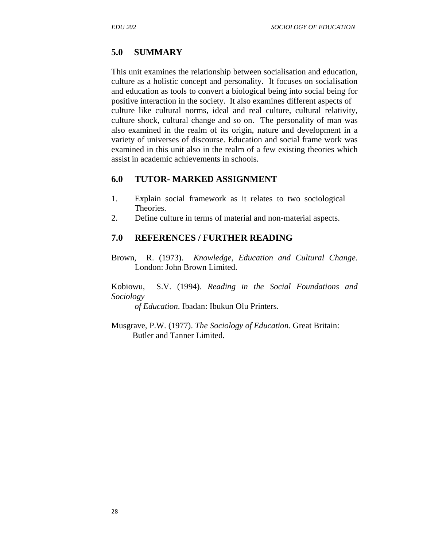### **5.0 SUMMARY**

This unit examines the relationship between socialisation and education, culture as a holistic concept and personality. It focuses on socialisation and education as tools to convert a biological being into social being for positive interaction in the society. It also examines different aspects of culture like cultural norms, ideal and real culture, cultural relativity, culture shock, cultural change and so on. The personality of man was also examined in the realm of its origin, nature and development in a variety of universes of discourse. Education and social frame work was examined in this unit also in the realm of a few existing theories which assist in academic achievements in schools.

### **6.0 TUTOR- MARKED ASSIGNMENT**

- 1. Explain social framework as it relates to two sociological Theories.
- 2. Define culture in terms of material and non-material aspects.

### **7.0 REFERENCES / FURTHER READING**

Brown, R. (1973). *Knowledge, Education and Cultural Change*. London: John Brown Limited.

Kobiowu, S.V. (1994). *Reading in the Social Foundations and Sociology*

*of Education*. Ibadan: Ibukun Olu Printers.

Musgrave, P.W. (1977). *The Sociology of Education*. Great Britain: Butler and Tanner Limited.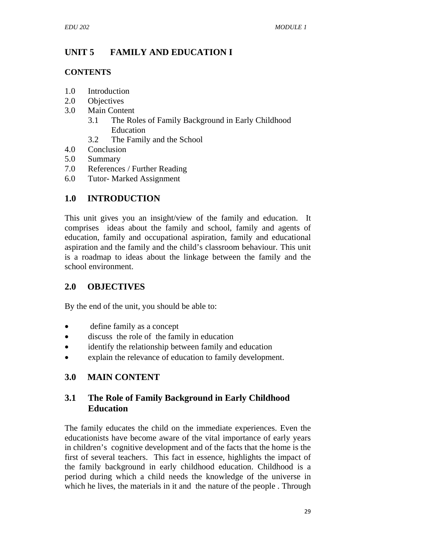# **UNIT 5 FAMILY AND EDUCATION I**

### **CONTENTS**

- 1.0 Introduction
- 2.0 Objectives
- 3.0 Main Content
	- 3.1 The Roles of Family Background in Early Childhood Education
	- 3.2 The Family and the School
- 4.0 Conclusion
- 5.0 Summary
- 7.0 References / Further Reading
- 6.0 Tutor- Marked Assignment

# **1.0 INTRODUCTION**

This unit gives you an insight/view of the family and education. It comprises ideas about the family and school, family and agents of education, family and occupational aspiration, family and educational aspiration and the family and the child's classroom behaviour. This unit is a roadmap to ideas about the linkage between the family and the school environment.

### **2.0 OBJECTIVES**

By the end of the unit, you should be able to:

- define family as a concept
- discuss the role of the family in education
- identify the relationship between family and education
- explain the relevance of education to family development.

# **3.0 MAIN CONTENT**

### **3.1 The Role of Family Background in Early Childhood Education**

The family educates the child on the immediate experiences. Even the educationists have become aware of the vital importance of early years in children's cognitive development and of the facts that the home is the first of several teachers. This fact in essence, highlights the impact of the family background in early childhood education. Childhood is a period during which a child needs the knowledge of the universe in which he lives, the materials in it and the nature of the people . Through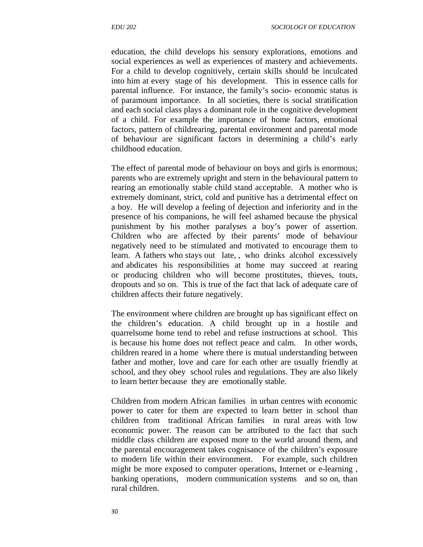education, the child develops his sensory explorations, emotions and social experiences as well as experiences of mastery and achievements. For a child to develop cognitively, certain skills should be inculcated into him at every stage of his development. This in essence calls for parental influence. For instance, the family's socio- economic status is of paramount importance. In all societies, there is social stratification and each social class plays a dominant role in the cognitive development of a child. For example the importance of home factors, emotional factors, pattern of childrearing, parental environment and parental mode of behaviour are significant factors in determining a child's early childhood education.

The effect of parental mode of behaviour on boys and girls is enormous; parents who are extremely upright and stern in the behavioural pattern to rearing an emotionally stable child stand acceptable. A mother who is extremely dominant, strict, cold and punitive has a detrimental effect on a boy. He will develop a feeling of dejection and inferiority and in the presence of his companions, he will feel ashamed because the physical punishment by his mother paralyses a boy's power of assertion. Children who are affected by their parents' mode of behaviour negatively need to be stimulated and motivated to encourage them to learn. A fathers who stays out late, , who drinks alcohol excessively and abdicates his responsibilities at home may succeed at rearing or producing children who will become prostitutes, thieves, touts, dropouts and so on. This is true of the fact that lack of adequate care of children affects their future negatively.

The environment where children are brought up has significant effect on the children's education. A child brought up in a hostile and quarrelsome home tend to rebel and refuse instructions at school. This is because his home does not reflect peace and calm. In other words, children reared in a home where there is mutual understanding between father and mother, love and care for each other are usually friendly at school, and they obey school rules and regulations. They are also likely to learn better because they are emotionally stable.

Children from modern African families in urban centres with economic power to cater for them are expected to learn better in school than children from traditional African families in rural areas with low economic power. The reason can be attributed to the fact that such middle class children are exposed more to the world around them, and the parental encouragement takes cognisance of the children's exposure to modern life within their environment. For example, such children might be more exposed to computer operations, Internet or e-learning , banking operations, modern communication systems and so on, than rural children.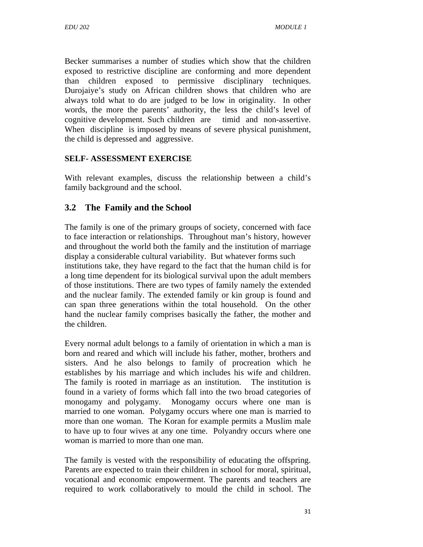Becker summarises a number of studies which show that the children exposed to restrictive discipline are conforming and more dependent than children exposed to permissive disciplinary techniques. Durojaiye's study on African children shows that children who are always told what to do are judged to be low in originality. In other words, the more the parents' authority, the less the child's level of cognitive development. Such children are timid and non-assertive. When discipline is imposed by means of severe physical punishment, the child is depressed and aggressive.

## **SELF- ASSESSMENT EXERCISE**

With relevant examples, discuss the relationship between a child's family background and the school.

# **3.2 The Family and the School**

The family is one of the primary groups of society, concerned with face to face interaction or relationships. Throughout man's history, however and throughout the world both the family and the institution of marriage display a considerable cultural variability. But whatever forms such institutions take, they have regard to the fact that the human child is for a long time dependent for its biological survival upon the adult members of those institutions. There are two types of family namely the extended and the nuclear family. The extended family or kin group is found and can span three generations within the total household. On the other hand the nuclear family comprises basically the father, the mother and the children.

Every normal adult belongs to a family of orientation in which a man is born and reared and which will include his father, mother, brothers and sisters. And he also belongs to family of procreation which he establishes by his marriage and which includes his wife and children. The family is rooted in marriage as an institution. The institution is found in a variety of forms which fall into the two broad categories of monogamy and polygamy. Monogamy occurs where one man is married to one woman. Polygamy occurs where one man is married to more than one woman. The Koran for example permits a Muslim male to have up to four wives at any one time. Polyandry occurs where one woman is married to more than one man.

The family is vested with the responsibility of educating the offspring. Parents are expected to train their children in school for moral, spiritual, vocational and economic empowerment. The parents and teachers are required to work collaboratively to mould the child in school. The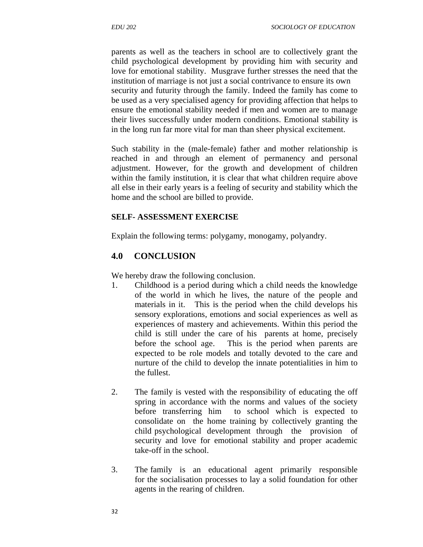parents as well as the teachers in school are to collectively grant the child psychological development by providing him with security and love for emotional stability. Musgrave further stresses the need that the institution of marriage is not just a social contrivance to ensure its own security and futurity through the family. Indeed the family has come to be used as a very specialised agency for providing affection that helps to ensure the emotional stability needed if men and women are to manage their lives successfully under modern conditions. Emotional stability is in the long run far more vital for man than sheer physical excitement.

Such stability in the (male-female) father and mother relationship is reached in and through an element of permanency and personal adjustment. However, for the growth and development of children within the family institution, it is clear that what children require above all else in their early years is a feeling of security and stability which the home and the school are billed to provide.

## **SELF- ASSESSMENT EXERCISE**

Explain the following terms: polygamy, monogamy, polyandry.

## **4.0 CONCLUSION**

We hereby draw the following conclusion.

- 1. Childhood is a period during which a child needs the knowledge of the world in which he lives, the nature of the people and materials in it. This is the period when the child develops his sensory explorations, emotions and social experiences as well as experiences of mastery and achievements. Within this period the child is still under the care of his parents at home, precisely before the school age. This is the period when parents are expected to be role models and totally devoted to the care and nurture of the child to develop the innate potentialities in him to the fullest.
- 2. The family is vested with the responsibility of educating the off spring in accordance with the norms and values of the society before transferring him to school which is expected to consolidate on the home training by collectively granting the child psychological development through the provision of security and love for emotional stability and proper academic take-off in the school.
- 3. The family is an educational agent primarily responsible for the socialisation processes to lay a solid foundation for other agents in the rearing of children.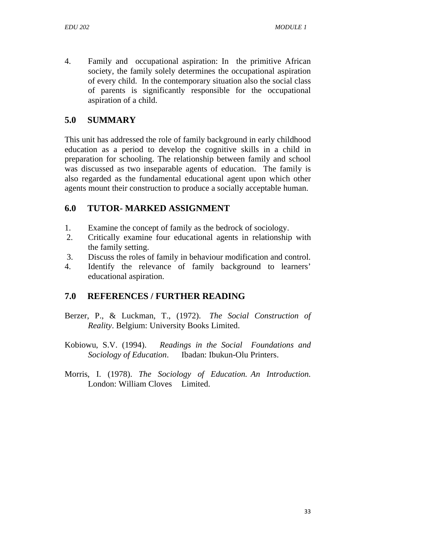4. Family and occupational aspiration: In the primitive African society, the family solely determines the occupational aspiration of every child. In the contemporary situation also the social class of parents is significantly responsible for the occupational aspiration of a child.

# **5.0 SUMMARY**

This unit has addressed the role of family background in early childhood education as a period to develop the cognitive skills in a child in preparation for schooling. The relationship between family and school was discussed as two inseparable agents of education. The family is also regarded as the fundamental educational agent upon which other agents mount their construction to produce a socially acceptable human.

# **6.0 TUTOR- MARKED ASSIGNMENT**

- 1. Examine the concept of family as the bedrock of sociology.
- 2. Critically examine four educational agents in relationship with the family setting.
- 3. Discuss the roles of family in behaviour modification and control.
- 4. Identify the relevance of family background to learners' educational aspiration.

# **7.0 REFERENCES / FURTHER READING**

- Berzer, P., & Luckman, T., (1972). *The Social Construction of Reality*. Belgium: University Books Limited.
- Kobiowu, S.V. (1994). *Readings in the Social Foundations and Sociology of Education*. Ibadan: Ibukun-Olu Printers.
- Morris, I. (1978). *The Sociology of Education. An Introduction.* London: William Cloves Limited.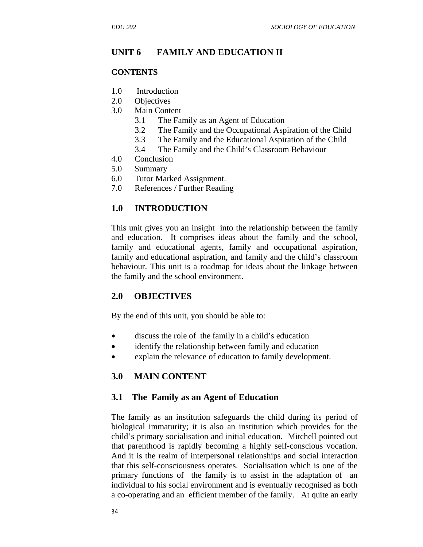## **UNIT 6 FAMILY AND EDUCATION II**

#### **CONTENTS**

- 1.0 Introduction
- 2.0 Objectives
- 3.0 Main Content
	- 3.1 The Family as an Agent of Education
	- 3.2 The Family and the Occupational Aspiration of the Child
	- 3.3 The Family and the Educational Aspiration of the Child
	- 3.4 The Family and the Child's Classroom Behaviour
- 4.0 Conclusion
- 5.0 Summary
- 6.0 Tutor Marked Assignment.
- 7.0 References / Further Reading

# **1.0 INTRODUCTION**

This unit gives you an insight into the relationship between the family and education. It comprises ideas about the family and the school, family and educational agents, family and occupational aspiration, family and educational aspiration, and family and the child's classroom behaviour. This unit is a roadmap for ideas about the linkage between the family and the school environment.

## **2.0 OBJECTIVES**

By the end of this unit, you should be able to:

- discuss the role of the family in a child's education
- identify the relationship between family and education
- explain the relevance of education to family development.

## **3.0 MAIN CONTENT**

#### **3.1 The Family as an Agent of Education**

The family as an institution safeguards the child during its period of biological immaturity; it is also an institution which provides for the child's primary socialisation and initial education. Mitchell pointed out that parenthood is rapidly becoming a highly self-conscious vocation. And it is the realm of interpersonal relationships and social interaction that this self-consciousness operates. Socialisation which is one of the primary functions of the family is to assist in the adaptation of an individual to his social environment and is eventually recognised as both a co-operating and an efficient member of the family. At quite an early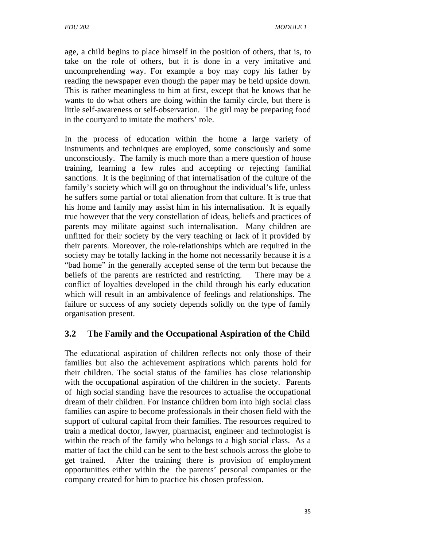age, a child begins to place himself in the position of others, that is, to take on the role of others, but it is done in a very imitative and uncomprehending way. For example a boy may copy his father by reading the newspaper even though the paper may be held upside down. This is rather meaningless to him at first, except that he knows that he wants to do what others are doing within the family circle, but there is little self-awareness or self-observation. The girl may be preparing food in the courtyard to imitate the mothers' role.

In the process of education within the home a large variety of instruments and techniques are employed, some consciously and some unconsciously. The family is much more than a mere question of house training, learning a few rules and accepting or rejecting familial sanctions. It is the beginning of that internalisation of the culture of the family's society which will go on throughout the individual's life, unless he suffers some partial or total alienation from that culture. It is true that his home and family may assist him in his internalisation. It is equally true however that the very constellation of ideas, beliefs and practices of parents may militate against such internalisation. Many children are unfitted for their society by the very teaching or lack of it provided by their parents. Moreover, the role-relationships which are required in the society may be totally lacking in the home not necessarily because it is a "bad home" in the generally accepted sense of the term but because the beliefs of the parents are restricted and restricting. There may be a conflict of loyalties developed in the child through his early education which will result in an ambivalence of feelings and relationships. The failure or success of any society depends solidly on the type of family organisation present.

# **3.2 The Family and the Occupational Aspiration of the Child**

The educational aspiration of children reflects not only those of their families but also the achievement aspirations which parents hold for their children. The social status of the families has close relationship with the occupational aspiration of the children in the society. Parents of high social standing have the resources to actualise the occupational dream of their children. For instance children born into high social class families can aspire to become professionals in their chosen field with the support of cultural capital from their families. The resources required to train a medical doctor, lawyer, pharmacist, engineer and technologist is within the reach of the family who belongs to a high social class. As a matter of fact the child can be sent to the best schools across the globe to get trained. After the training there is provision of employment opportunities either within the the parents' personal companies or the company created for him to practice his chosen profession.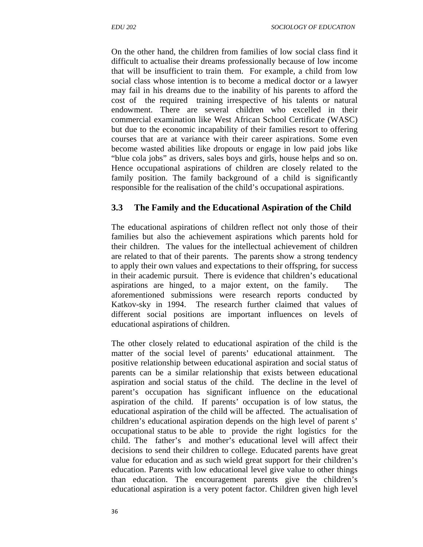On the other hand, the children from families of low social class find it difficult to actualise their dreams professionally because of low income that will be insufficient to train them. For example, a child from low social class whose intention is to become a medical doctor or a lawyer may fail in his dreams due to the inability of his parents to afford the cost of the required training irrespective of his talents or natural endowment. There are several children who excelled in their commercial examination like West African School Certificate (WASC) but due to the economic incapability of their families resort to offering courses that are at variance with their career aspirations. Some even become wasted abilities like dropouts or engage in low paid jobs like "blue cola jobs" as drivers, sales boys and girls, house helps and so on. Hence occupational aspirations of children are closely related to the family position. The family background of a child is significantly responsible for the realisation of the child's occupational aspirations.

## **3.3 The Family and the Educational Aspiration of the Child**

The educational aspirations of children reflect not only those of their families but also the achievement aspirations which parents hold for their children. The values for the intellectual achievement of children are related to that of their parents. The parents show a strong tendency to apply their own values and expectations to their offspring, for success in their academic pursuit. There is evidence that children's educational aspirations are hinged, to a major extent, on the family. The aforementioned submissions were research reports conducted by Katkov-sky in 1994. The research further claimed that values of different social positions are important influences on levels of educational aspirations of children.

The other closely related to educational aspiration of the child is the matter of the social level of parents' educational attainment. The positive relationship between educational aspiration and social status of parents can be a similar relationship that exists between educational aspiration and social status of the child. The decline in the level of parent's occupation has significant influence on the educational aspiration of the child. If parents' occupation is of low status, the educational aspiration of the child will be affected. The actualisation of children's educational aspiration depends on the high level of parent s' occupational status to be able to provide the right logistics for the child. The father's and mother's educational level will affect their decisions to send their children to college. Educated parents have great value for education and as such wield great support for their children's education. Parents with low educational level give value to other things than education. The encouragement parents give the children's educational aspiration is a very potent factor. Children given high level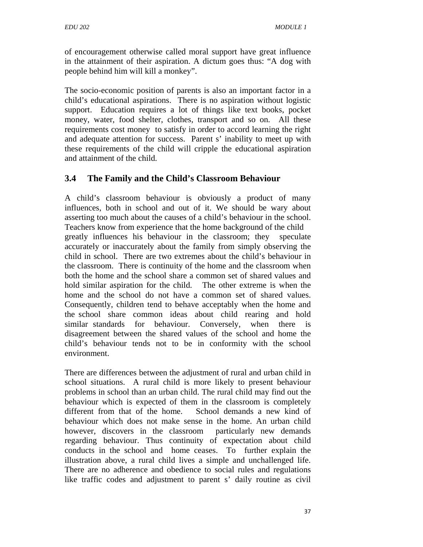of encouragement otherwise called moral support have great influence in the attainment of their aspiration. A dictum goes thus: "A dog with people behind him will kill a monkey".

The socio-economic position of parents is also an important factor in a child's educational aspirations. There is no aspiration without logistic support. Education requires a lot of things like text books, pocket money, water, food shelter, clothes, transport and so on. All these requirements cost money to satisfy in order to accord learning the right and adequate attention for success. Parent s' inability to meet up with these requirements of the child will cripple the educational aspiration and attainment of the child.

# **3.4 The Family and the Child's Classroom Behaviour**

A child's classroom behaviour is obviously a product of many influences, both in school and out of it. We should be wary about asserting too much about the causes of a child's behaviour in the school. Teachers know from experience that the home background of the child greatly influences his behaviour in the classroom; they speculate accurately or inaccurately about the family from simply observing the child in school. There are two extremes about the child's behaviour in the classroom. There is continuity of the home and the classroom when both the home and the school share a common set of shared values and hold similar aspiration for the child. The other extreme is when the home and the school do not have a common set of shared values. Consequently, children tend to behave acceptably when the home and the school share common ideas about child rearing and hold similar standards for behaviour. Conversely, when there is disagreement between the shared values of the school and home the child's behaviour tends not to be in conformity with the school environment.

There are differences between the adjustment of rural and urban child in school situations. A rural child is more likely to present behaviour problems in school than an urban child. The rural child may find out the behaviour which is expected of them in the classroom is completely different from that of the home. School demands a new kind of behaviour which does not make sense in the home. An urban child however, discovers in the classroom particularly new demands regarding behaviour. Thus continuity of expectation about child conducts in the school and home ceases. To further explain the illustration above, a rural child lives a simple and unchallenged life. There are no adherence and obedience to social rules and regulations like traffic codes and adjustment to parent s' daily routine as civil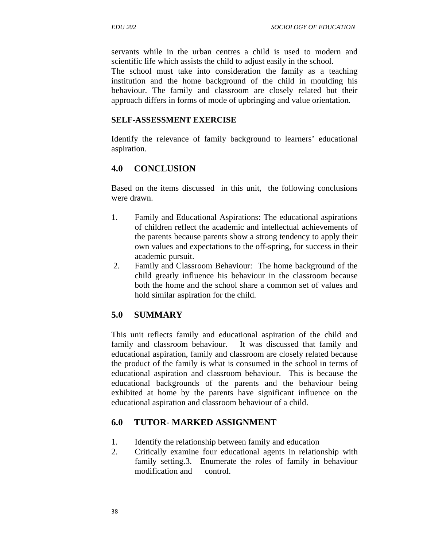servants while in the urban centres a child is used to modern and scientific life which assists the child to adjust easily in the school.

The school must take into consideration the family as a teaching institution and the home background of the child in moulding his behaviour. The family and classroom are closely related but their approach differs in forms of mode of upbringing and value orientation.

## **SELF-ASSESSMENT EXERCISE**

Identify the relevance of family background to learners' educational aspiration.

# **4.0 CONCLUSION**

Based on the items discussed in this unit, the following conclusions were drawn.

- 1. Family and Educational Aspirations: The educational aspirations of children reflect the academic and intellectual achievements of the parents because parents show a strong tendency to apply their own values and expectations to the off-spring, for success in their academic pursuit.
- 2. Family and Classroom Behaviour: The home background of the child greatly influence his behaviour in the classroom because both the home and the school share a common set of values and hold similar aspiration for the child.

# **5.0 SUMMARY**

This unit reflects family and educational aspiration of the child and family and classroom behaviour. It was discussed that family and educational aspiration, family and classroom are closely related because the product of the family is what is consumed in the school in terms of educational aspiration and classroom behaviour. This is because the educational backgrounds of the parents and the behaviour being exhibited at home by the parents have significant influence on the educational aspiration and classroom behaviour of a child.

# **6.0 TUTOR- MARKED ASSIGNMENT**

- 1. Identify the relationship between family and education
- 2. Critically examine four educational agents in relationship with family setting.3. Enumerate the roles of family in behaviour modification and control.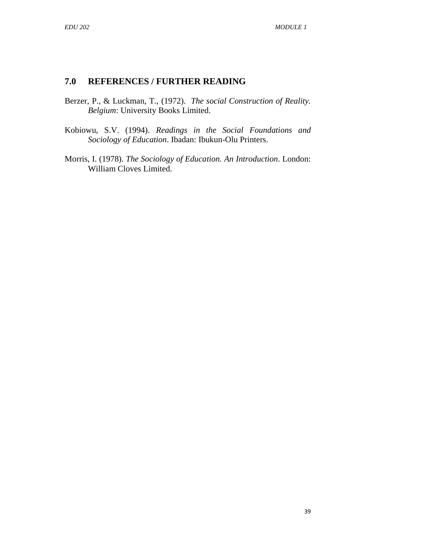# **7.0 REFERENCES / FURTHER READING**

- Berzer, P., & Luckman, T., (1972). *The social Construction of Reality. Belgium*: University Books Limited.
- Kobiowu, S.V. (1994). *Readings in the Social Foundations and Sociology of Education*. Ibadan: Ibukun-Olu Printers.
- Morris, I. (1978). *The Sociology of Education. An Introduction*. London: William Cloves Limited.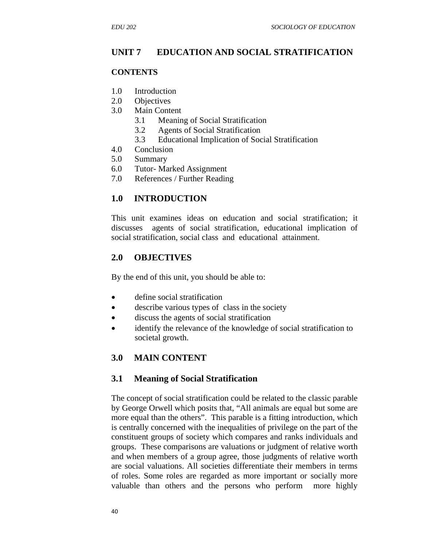# **UNIT 7 EDUCATION AND SOCIAL STRATIFICATION**

## **CONTENTS**

- 1.0 Introduction
- 2.0 Objectives
- 3.0 Main Content
	- 3.1 Meaning of Social Stratification
	- 3.2 Agents of Social Stratification
	- 3.3 Educational Implication of Social Stratification
- 4.0 Conclusion
- 5.0 Summary
- 6.0 Tutor- Marked Assignment
- 7.0 References / Further Reading

# **1.0 INTRODUCTION**

This unit examines ideas on education and social stratification; it discusses agents of social stratification, educational implication of social stratification, social class and educational attainment.

# **2.0 OBJECTIVES**

By the end of this unit, you should be able to:

- define social stratification
- describe various types of class in the society
- discuss the agents of social stratification
- identify the relevance of the knowledge of social stratification to societal growth.

# **3.0 MAIN CONTENT**

# **3.1 Meaning of Social Stratification**

The concept of social stratification could be related to the classic parable by George Orwell which posits that, "All animals are equal but some are more equal than the others". This parable is a fitting introduction, which is centrally concerned with the inequalities of privilege on the part of the constituent groups of society which compares and ranks individuals and groups. These comparisons are valuations or judgment of relative worth and when members of a group agree, those judgments of relative worth are social valuations. All societies differentiate their members in terms of roles. Some roles are regarded as more important or socially more valuable than others and the persons who perform more highly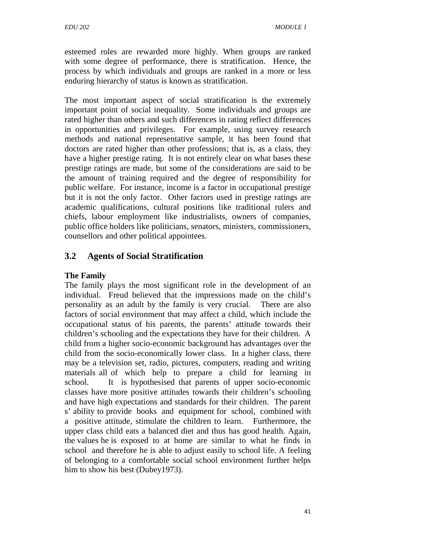esteemed roles are rewarded more highly. When groups are ranked with some degree of performance, there is stratification. Hence, the process by which individuals and groups are ranked in a more or less enduring hierarchy of status is known as stratification.

The most important aspect of social stratification is the extremely important point of social inequality. Some individuals and groups are rated higher than others and such differences in rating reflect differences in opportunities and privileges. For example, using survey research methods and national representative sample, it has been found that doctors are rated higher than other professions; that is, as a class, they have a higher prestige rating. It is not entirely clear on what bases these prestige ratings are made, but some of the considerations are said to be the amount of training required and the degree of responsibility for public welfare. For instance, income is a factor in occupational prestige but it is not the only factor. Other factors used in prestige ratings are academic qualifications, cultural positions like traditional rulers and chiefs, labour employment like industrialists, owners of companies, public office holders like politicians, senators, ministers, commissioners, counsellors and other political appointees.

# **3.2 Agents of Social Stratification**

## **The Family**

The family plays the most significant role in the development of an individual. Freud believed that the impressions made on the child's personality as an adult by the family is very crucial. There are also factors of social environment that may affect a child, which include the occupational status of his parents, the parents' attitude towards their children's schooling and the expectations they have for their children. A child from a higher socio-economic background has advantages over the child from the socio-economically lower class. In a higher class, there may be a television set, radio, pictures, computers, reading and writing materials all of which help to prepare a child for learning in school. It is hypothesised that parents of upper socio-economic classes have more positive attitudes towards their children's schooling and have high expectations and standards for their children. The parent s' ability to provide books and equipment for school, combined with a positive attitude, stimulate the children to learn. Furthermore, the upper class child eats a balanced diet and thus has good health. Again, the values he is exposed to at home are similar to what he finds in school and therefore he is able to adjust easily to school life. A feeling of belonging to a comfortable social school environment further helps him to show his best (Dubey1973).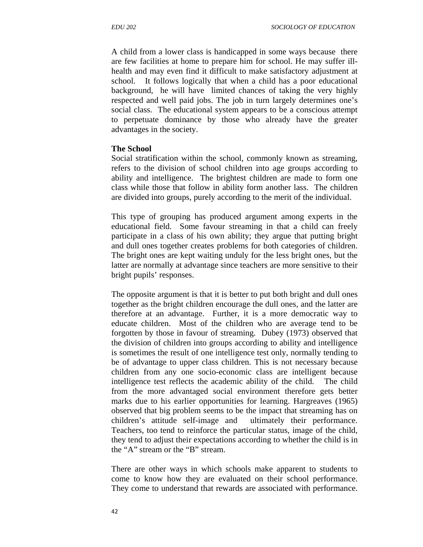A child from a lower class is handicapped in some ways because there are few facilities at home to prepare him for school. He may suffer illhealth and may even find it difficult to make satisfactory adjustment at school. It follows logically that when a child has a poor educational background, he will have limited chances of taking the very highly respected and well paid jobs. The job in turn largely determines one's social class. The educational system appears to be a conscious attempt to perpetuate dominance by those who already have the greater advantages in the society.

#### **The School**

Social stratification within the school, commonly known as streaming, refers to the division of school children into age groups according to ability and intelligence. The brightest children are made to form one class while those that follow in ability form another lass. The children are divided into groups, purely according to the merit of the individual.

This type of grouping has produced argument among experts in the educational field. Some favour streaming in that a child can freely participate in a class of his own ability; they argue that putting bright and dull ones together creates problems for both categories of children. The bright ones are kept waiting unduly for the less bright ones, but the latter are normally at advantage since teachers are more sensitive to their bright pupils' responses.

The opposite argument is that it is better to put both bright and dull ones together as the bright children encourage the dull ones, and the latter are therefore at an advantage. Further, it is a more democratic way to educate children. Most of the children who are average tend to be forgotten by those in favour of streaming. Dubey (1973) observed that the division of children into groups according to ability and intelligence is sometimes the result of one intelligence test only, normally tending to be of advantage to upper class children. This is not necessary because children from any one socio-economic class are intelligent because intelligence test reflects the academic ability of the child. The child from the more advantaged social environment therefore gets better marks due to his earlier opportunities for learning. Hargreaves (1965) observed that big problem seems to be the impact that streaming has on children's attitude self-image and ultimately their performance. Teachers, too tend to reinforce the particular status, image of the child, they tend to adjust their expectations according to whether the child is in the "A" stream or the "B" stream.

There are other ways in which schools make apparent to students to come to know how they are evaluated on their school performance. They come to understand that rewards are associated with performance.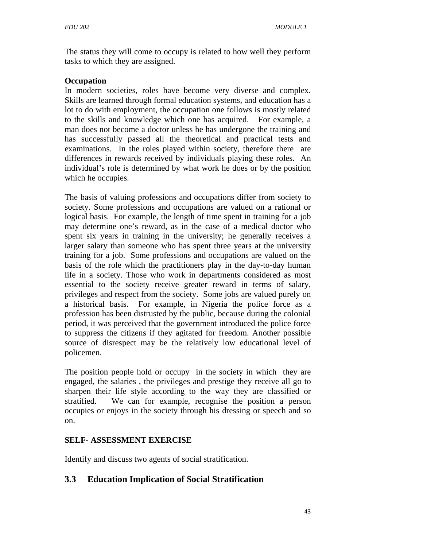The status they will come to occupy is related to how well they perform tasks to which they are assigned.

## **Occupation**

In modern societies, roles have become very diverse and complex. Skills are learned through formal education systems, and education has a lot to do with employment, the occupation one follows is mostly related to the skills and knowledge which one has acquired. For example, a man does not become a doctor unless he has undergone the training and has successfully passed all the theoretical and practical tests and examinations. In the roles played within society, therefore there are differences in rewards received by individuals playing these roles. An individual's role is determined by what work he does or by the position which he occupies.

The basis of valuing professions and occupations differ from society to society. Some professions and occupations are valued on a rational or logical basis. For example, the length of time spent in training for a job may determine one's reward, as in the case of a medical doctor who spent six years in training in the university; he generally receives a larger salary than someone who has spent three years at the university training for a job. Some professions and occupations are valued on the basis of the role which the practitioners play in the day-to-day human life in a society. Those who work in departments considered as most essential to the society receive greater reward in terms of salary, privileges and respect from the society. Some jobs are valued purely on a historical basis. For example, in Nigeria the police force as a profession has been distrusted by the public, because during the colonial period, it was perceived that the government introduced the police force to suppress the citizens if they agitated for freedom. Another possible source of disrespect may be the relatively low educational level of policemen.

The position people hold or occupy in the society in which they are engaged, the salaries , the privileges and prestige they receive all go to sharpen their life style according to the way they are classified or stratified. We can for example, recognise the position a person occupies or enjoys in the society through his dressing or speech and so on.

# **SELF- ASSESSMENT EXERCISE**

Identify and discuss two agents of social stratification.

# **3.3 Education Implication of Social Stratification**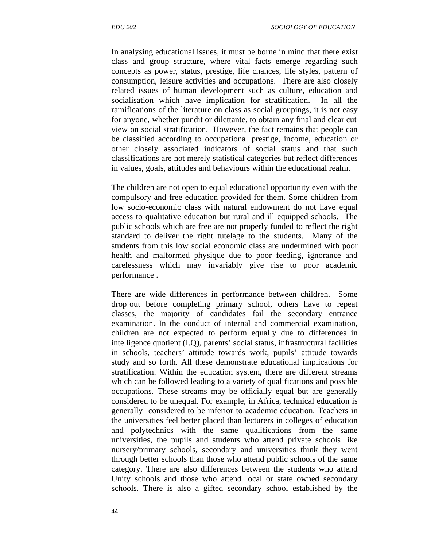In analysing educational issues, it must be borne in mind that there exist class and group structure, where vital facts emerge regarding such concepts as power, status, prestige, life chances, life styles, pattern of consumption, leisure activities and occupations. There are also closely related issues of human development such as culture, education and socialisation which have implication for stratification. In all the ramifications of the literature on class as social groupings, it is not easy for anyone, whether pundit or dilettante, to obtain any final and clear cut view on social stratification. However, the fact remains that people can be classified according to occupational prestige, income, education or other closely associated indicators of social status and that such classifications are not merely statistical categories but reflect differences in values, goals, attitudes and behaviours within the educational realm.

The children are not open to equal educational opportunity even with the compulsory and free education provided for them. Some children from low socio-economic class with natural endowment do not have equal access to qualitative education but rural and ill equipped schools. The public schools which are free are not properly funded to reflect the right standard to deliver the right tutelage to the students. Many of the students from this low social economic class are undermined with poor health and malformed physique due to poor feeding, ignorance and carelessness which may invariably give rise to poor academic performance .

There are wide differences in performance between children. Some drop out before completing primary school, others have to repeat classes, the majority of candidates fail the secondary entrance examination. In the conduct of internal and commercial examination, children are not expected to perform equally due to differences in intelligence quotient (I.Q), parents' social status, infrastructural facilities in schools, teachers' attitude towards work, pupils' attitude towards study and so forth. All these demonstrate educational implications for stratification. Within the education system, there are different streams which can be followed leading to a variety of qualifications and possible occupations. These streams may be officially equal but are generally considered to be unequal. For example, in Africa, technical education is generally considered to be inferior to academic education. Teachers in the universities feel better placed than lecturers in colleges of education and polytechnics with the same qualifications from the same universities, the pupils and students who attend private schools like nursery/primary schools, secondary and universities think they went through better schools than those who attend public schools of the same category. There are also differences between the students who attend Unity schools and those who attend local or state owned secondary schools. There is also a gifted secondary school established by the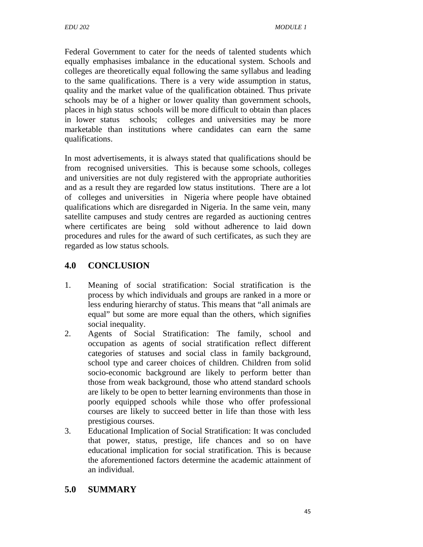Federal Government to cater for the needs of talented students which equally emphasises imbalance in the educational system. Schools and colleges are theoretically equal following the same syllabus and leading to the same qualifications. There is a very wide assumption in status, quality and the market value of the qualification obtained. Thus private schools may be of a higher or lower quality than government schools, places in high status schools will be more difficult to obtain than places in lower status schools; colleges and universities may be more marketable than institutions where candidates can earn the same qualifications.

In most advertisements, it is always stated that qualifications should be from recognised universities. This is because some schools, colleges and universities are not duly registered with the appropriate authorities and as a result they are regarded low status institutions. There are a lot of colleges and universities in Nigeria where people have obtained qualifications which are disregarded in Nigeria. In the same vein, many satellite campuses and study centres are regarded as auctioning centres where certificates are being sold without adherence to laid down procedures and rules for the award of such certificates, as such they are regarded as low status schools.

# **4.0 CONCLUSION**

- 1. Meaning of social stratification: Social stratification is the process by which individuals and groups are ranked in a more or less enduring hierarchy of status. This means that "all animals are equal" but some are more equal than the others, which signifies social inequality.
- 2. Agents of Social Stratification: The family, school and occupation as agents of social stratification reflect different categories of statuses and social class in family background, school type and career choices of children. Children from solid socio-economic background are likely to perform better than those from weak background, those who attend standard schools are likely to be open to better learning environments than those in poorly equipped schools while those who offer professional courses are likely to succeed better in life than those with less prestigious courses.
- 3. Educational Implication of Social Stratification: It was concluded that power, status, prestige, life chances and so on have educational implication for social stratification. This is because the aforementioned factors determine the academic attainment of an individual.

# **5.0 SUMMARY**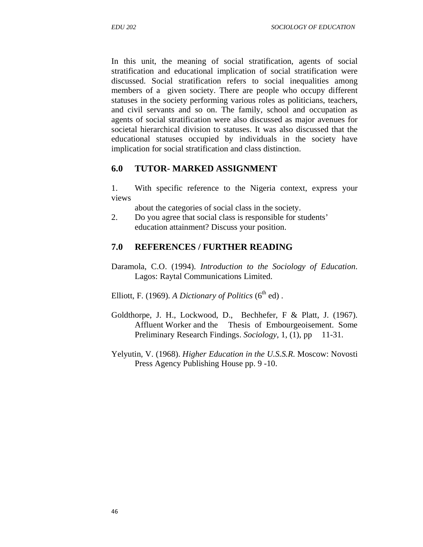In this unit, the meaning of social stratification, agents of social stratification and educational implication of social stratification were discussed. Social stratification refers to social inequalities among members of a given society. There are people who occupy different statuses in the society performing various roles as politicians, teachers, and civil servants and so on. The family, school and occupation as agents of social stratification were also discussed as major avenues for societal hierarchical division to statuses. It was also discussed that the educational statuses occupied by individuals in the society have implication for social stratification and class distinction.

### **6.0 TUTOR- MARKED ASSIGNMENT**

1. With specific reference to the Nigeria context, express your views

about the categories of social class in the society.

2. Do you agree that social class is responsible for students' education attainment? Discuss your position.

## **7.0 REFERENCES / FURTHER READING**

- Daramola, C.O. (1994). *Introduction to the Sociology of Education*. Lagos: Raytal Communications Limited.
- Elliott, F. (1969). *A Dictionary of Politics* ( $6<sup>th</sup>$  ed).
- Goldthorpe, J. H., Lockwood, D., Bechhefer, F & Platt, J. (1967). Affluent Worker and the Thesis of Embourgeoisement. Some Preliminary Research Findings. *Sociology*, 1, (1), pp 11-31.
- Yelyutin, V. (1968). *Higher Education in the U.S.S.R*. Moscow: Novosti Press Agency Publishing House pp. 9 -10.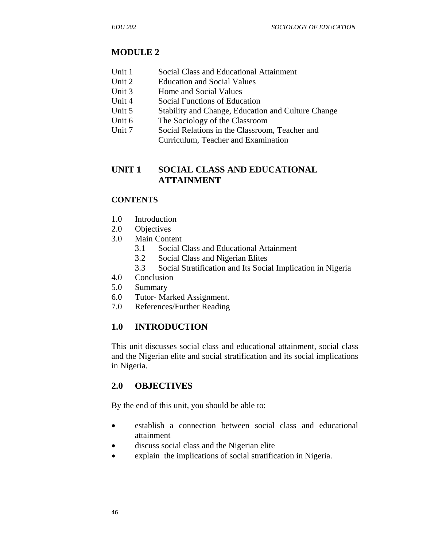# **MODULE 2**

- Unit 1 Social Class and Educational Attainment
- Unit 2 Education and Social Values
- Unit 3 Home and Social Values
- Unit 4 Social Functions of Education
- Unit 5 Stability and Change, Education and Culture Change
- Unit 6 The Sociology of the Classroom
- Unit 7 Social Relations in the Classroom, Teacher and Curriculum, Teacher and Examination

# **UNIT 1 SOCIAL CLASS AND EDUCATIONAL ATTAINMENT**

## **CONTENTS**

- 1.0 Introduction
- 2.0 Objectives
- 3.0 Main Content
	- 3.1 Social Class and Educational Attainment
	- 3.2 Social Class and Nigerian Elites
	- 3.3 Social Stratification and Its Social Implication in Nigeria
- 4.0 Conclusion
- 5.0 Summary
- 6.0 Tutor- Marked Assignment.
- 7.0 References/Further Reading

# **1.0 INTRODUCTION**

This unit discusses social class and educational attainment, social class and the Nigerian elite and social stratification and its social implications in Nigeria.

# **2.0 OBJECTIVES**

By the end of this unit, you should be able to:

- establish a connection between social class and educational attainment
- discuss social class and the Nigerian elite
- explain the implications of social stratification in Nigeria.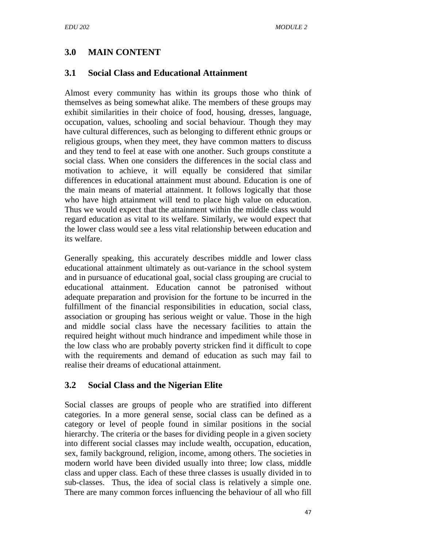# **3.0 MAIN CONTENT**

## **3.1 Social Class and Educational Attainment**

Almost every community has within its groups those who think of themselves as being somewhat alike. The members of these groups may exhibit similarities in their choice of food, housing, dresses, language, occupation, values, schooling and social behaviour. Though they may have cultural differences, such as belonging to different ethnic groups or religious groups, when they meet, they have common matters to discuss and they tend to feel at ease with one another. Such groups constitute a social class. When one considers the differences in the social class and motivation to achieve, it will equally be considered that similar differences in educational attainment must abound. Education is one of the main means of material attainment. It follows logically that those who have high attainment will tend to place high value on education. Thus we would expect that the attainment within the middle class would regard education as vital to its welfare. Similarly, we would expect that the lower class would see a less vital relationship between education and its welfare.

Generally speaking, this accurately describes middle and lower class educational attainment ultimately as out-variance in the school system and in pursuance of educational goal, social class grouping are crucial to educational attainment. Education cannot be patronised without adequate preparation and provision for the fortune to be incurred in the fulfillment of the financial responsibilities in education, social class, association or grouping has serious weight or value. Those in the high and middle social class have the necessary facilities to attain the required height without much hindrance and impediment while those in the low class who are probably poverty stricken find it difficult to cope with the requirements and demand of education as such may fail to realise their dreams of educational attainment.

# **3.2 Social Class and the Nigerian Elite**

Social classes are groups of people who are stratified into different categories. In a more general sense, social class can be defined as a category or level of people found in similar positions in the social hierarchy. The criteria or the bases for dividing people in a given society into different social classes may include wealth, occupation, education, sex, family background, religion, income, among others. The societies in modern world have been divided usually into three; low class, middle class and upper class. Each of these three classes is usually divided in to sub-classes. Thus, the idea of social class is relatively a simple one. There are many common forces influencing the behaviour of all who fill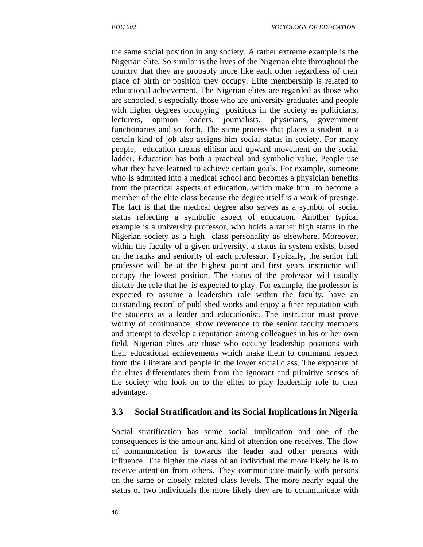the same social position in any society. A rather extreme example is the Nigerian elite. So similar is the lives of the Nigerian elite throughout the country that they are probably more like each other regardless of their place of birth or position they occupy. Elite membership is related to educational achievement. The Nigerian elites are regarded as those who are schooled, s especially those who are university graduates and people with higher degrees occupying positions in the society as politicians, lecturers, opinion leaders, journalists, physicians, government functionaries and so forth. The same process that places a student in a certain kind of job also assigns him social status in society. For many people, education means elitism and upward movement on the social ladder. Education has both a practical and symbolic value. People use what they have learned to achieve certain goals. For example, someone who is admitted into a medical school and becomes a physician benefits from the practical aspects of education, which make him to become a member of the elite class because the degree itself is a work of prestige. The fact is that the medical degree also serves as a symbol of social status reflecting a symbolic aspect of education. Another typical example is a university professor, who holds a rather high status in the Nigerian society as a high class personality as elsewhere. Moreover, within the faculty of a given university, a status in system exists, based on the ranks and seniority of each professor. Typically, the senior full professor will be at the highest point and first years instructor will occupy the lowest position. The status of the professor will usually dictate the role that he is expected to play. For example, the professor is expected to assume a leadership role within the faculty, have an outstanding record of published works and enjoy a finer reputation with the students as a leader and educationist. The instructor must prove worthy of continuance, show reverence to the senior faculty members and attempt to develop a reputation among colleagues in his or her own field. Nigerian elites are those who occupy leadership positions with their educational achievements which make them to command respect from the illiterate and people in the lower social class. The exposure of the elites differentiates them from the ignorant and primitive senses of the society who look on to the elites to play leadership role to their advantage.

### **3.3 Social Stratification and its Social Implications in Nigeria**

Social stratification has some social implication and one of the consequences is the amour and kind of attention one receives. The flow of communication is towards the leader and other persons with influence. The higher the class of an individual the more likely he is to receive attention from others. They communicate mainly with persons on the same or closely related class levels. The more nearly equal the status of two individuals the more likely they are to communicate with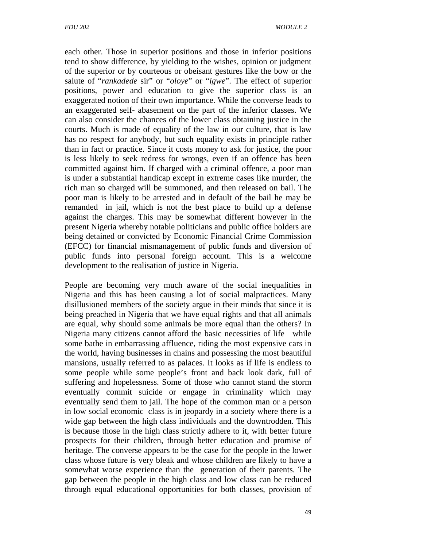each other. Those in superior positions and those in inferior positions tend to show difference, by yielding to the wishes, opinion or judgment of the superior or by courteous or obeisant gestures like the bow or the salute of "*rankadede* sir" or "*oloye*" or "*igwe*". The effect of superior positions, power and education to give the superior class is an exaggerated notion of their own importance. While the converse leads to an exaggerated self- abasement on the part of the inferior classes. We can also consider the chances of the lower class obtaining justice in the courts. Much is made of equality of the law in our culture, that is law has no respect for anybody, but such equality exists in principle rather than in fact or practice. Since it costs money to ask for justice, the poor is less likely to seek redress for wrongs, even if an offence has been committed against him. If charged with a criminal offence, a poor man is under a substantial handicap except in extreme cases like murder, the rich man so charged will be summoned, and then released on bail. The poor man is likely to be arrested and in default of the bail he may be remanded in jail, which is not the best place to build up a defense against the charges. This may be somewhat different however in the present Nigeria whereby notable politicians and public office holders are being detained or convicted by Economic Financial Crime Commission (EFCC) for financial mismanagement of public funds and diversion of public funds into personal foreign account. This is a welcome development to the realisation of justice in Nigeria.

People are becoming very much aware of the social inequalities in Nigeria and this has been causing a lot of social malpractices. Many disillusioned members of the society argue in their minds that since it is being preached in Nigeria that we have equal rights and that all animals are equal, why should some animals be more equal than the others? In Nigeria many citizens cannot afford the basic necessities of life while some bathe in embarrassing affluence, riding the most expensive cars in the world, having businesses in chains and possessing the most beautiful mansions, usually referred to as palaces. It looks as if life is endless to some people while some people's front and back look dark, full of suffering and hopelessness. Some of those who cannot stand the storm eventually commit suicide or engage in criminality which may eventually send them to jail. The hope of the common man or a person in low social economic class is in jeopardy in a society where there is a wide gap between the high class individuals and the downtrodden. This is because those in the high class strictly adhere to it, with better future prospects for their children, through better education and promise of heritage. The converse appears to be the case for the people in the lower class whose future is very bleak and whose children are likely to have a somewhat worse experience than the generation of their parents. The gap between the people in the high class and low class can be reduced through equal educational opportunities for both classes, provision of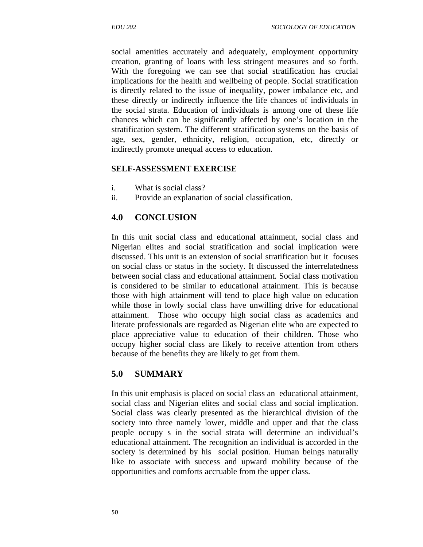social amenities accurately and adequately, employment opportunity creation, granting of loans with less stringent measures and so forth. With the foregoing we can see that social stratification has crucial implications for the health and wellbeing of people. Social stratification is directly related to the issue of inequality, power imbalance etc, and these directly or indirectly influence the life chances of individuals in the social strata. Education of individuals is among one of these life chances which can be significantly affected by one's location in the stratification system. The different stratification systems on the basis of age, sex, gender, ethnicity, religion, occupation, etc, directly or indirectly promote unequal access to education.

### **SELF-ASSESSMENT EXERCISE**

- i. What is social class?
- ii. Provide an explanation of social classification.

# **4.0 CONCLUSION**

In this unit social class and educational attainment, social class and Nigerian elites and social stratification and social implication were discussed. This unit is an extension of social stratification but it focuses on social class or status in the society. It discussed the interrelatedness between social class and educational attainment. Social class motivation is considered to be similar to educational attainment. This is because those with high attainment will tend to place high value on education while those in lowly social class have unwilling drive for educational attainment. Those who occupy high social class as academics and literate professionals are regarded as Nigerian elite who are expected to place appreciative value to education of their children. Those who occupy higher social class are likely to receive attention from others because of the benefits they are likely to get from them.

# **5.0 SUMMARY**

In this unit emphasis is placed on social class an educational attainment, social class and Nigerian elites and social class and social implication. Social class was clearly presented as the hierarchical division of the society into three namely lower, middle and upper and that the class people occupy s in the social strata will determine an individual's educational attainment. The recognition an individual is accorded in the society is determined by his social position. Human beings naturally like to associate with success and upward mobility because of the opportunities and comforts accruable from the upper class.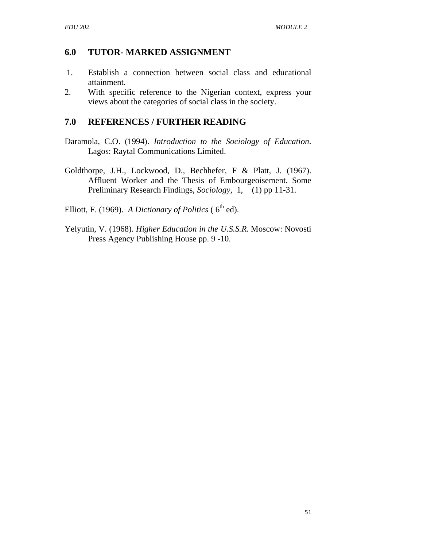## **6.0 TUTOR- MARKED ASSIGNMENT**

- 1. Establish a connection between social class and educational attainment.
- 2. With specific reference to the Nigerian context, express your views about the categories of social class in the society.

## **7.0 REFERENCES / FURTHER READING**

- Daramola, C.O. (1994). *Introduction to the Sociology of Education*. Lagos: Raytal Communications Limited.
- Goldthorpe, J.H., Lockwood, D., Bechhefer, F & Platt, J. (1967). Affluent Worker and the Thesis of Embourgeoisement. Some Preliminary Research Findings, *Sociology*, 1, (1) pp 11-31.

Elliott, F. (1969). *A Dictionary of Politics* ( $6<sup>th</sup>$  ed).

Yelyutin, V. (1968). *Higher Education in the U.S.S.R.* Moscow: Novosti Press Agency Publishing House pp. 9 -10.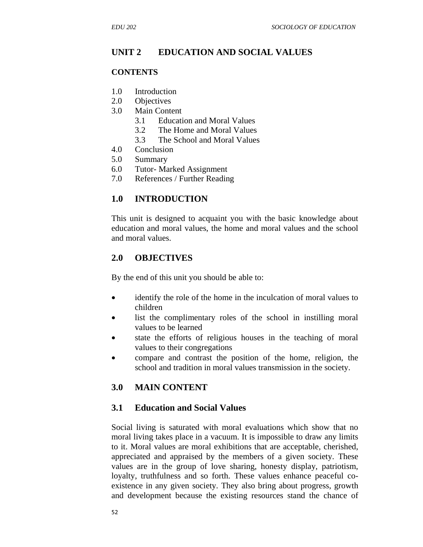# **UNIT 2 EDUCATION AND SOCIAL VALUES**

#### **CONTENTS**

- 1.0 Introduction
- 2.0 Objectives
- 3.0 Main Content
	- 3.1 Education and Moral Values
	- 3.2 The Home and Moral Values
	- 3.3 The School and Moral Values
- 4.0 Conclusion
- 5.0 Summary
- 6.0 Tutor- Marked Assignment
- 7.0 References / Further Reading

# **1.0 INTRODUCTION**

This unit is designed to acquaint you with the basic knowledge about education and moral values, the home and moral values and the school and moral values.

## **2.0 OBJECTIVES**

By the end of this unit you should be able to:

- identify the role of the home in the inculcation of moral values to children
- list the complimentary roles of the school in instilling moral values to be learned
- state the efforts of religious houses in the teaching of moral values to their congregations
- compare and contrast the position of the home, religion, the school and tradition in moral values transmission in the society.

# **3.0 MAIN CONTENT**

## **3.1 Education and Social Values**

Social living is saturated with moral evaluations which show that no moral living takes place in a vacuum. It is impossible to draw any limits to it. Moral values are moral exhibitions that are acceptable, cherished, appreciated and appraised by the members of a given society. These values are in the group of love sharing, honesty display, patriotism, loyalty, truthfulness and so forth. These values enhance peaceful coexistence in any given society. They also bring about progress, growth and development because the existing resources stand the chance of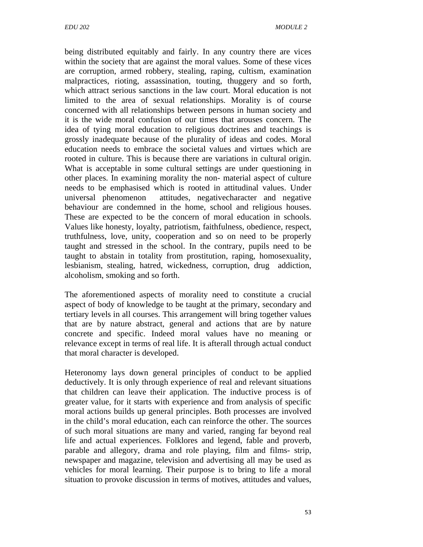being distributed equitably and fairly. In any country there are vices within the society that are against the moral values. Some of these vices are corruption, armed robbery, stealing, raping, cultism, examination malpractices, rioting, assassination, touting, thuggery and so forth, which attract serious sanctions in the law court. Moral education is not limited to the area of sexual relationships. Morality is of course concerned with all relationships between persons in human society and it is the wide moral confusion of our times that arouses concern. The idea of tying moral education to religious doctrines and teachings is grossly inadequate because of the plurality of ideas and codes. Moral education needs to embrace the societal values and virtues which are rooted in culture. This is because there are variations in cultural origin. What is acceptable in some cultural settings are under questioning in other places. In examining morality the non- material aspect of culture needs to be emphasised which is rooted in attitudinal values. Under universal phenomenon attitudes, negativecharacter and negative behaviour are condemned in the home, school and religious houses. These are expected to be the concern of moral education in schools. Values like honesty, loyalty, patriotism, faithfulness, obedience, respect, truthfulness, love, unity, cooperation and so on need to be properly taught and stressed in the school. In the contrary, pupils need to be taught to abstain in totality from prostitution, raping, homosexuality, lesbianism, stealing, hatred, wickedness, corruption, drug addiction, alcoholism, smoking and so forth.

The aforementioned aspects of morality need to constitute a crucial aspect of body of knowledge to be taught at the primary, secondary and tertiary levels in all courses. This arrangement will bring together values that are by nature abstract, general and actions that are by nature concrete and specific. Indeed moral values have no meaning or relevance except in terms of real life. It is afterall through actual conduct that moral character is developed.

Heteronomy lays down general principles of conduct to be applied deductively. It is only through experience of real and relevant situations that children can leave their application. The inductive process is of greater value, for it starts with experience and from analysis of specific moral actions builds up general principles. Both processes are involved in the child's moral education, each can reinforce the other. The sources of such moral situations are many and varied, ranging far beyond real life and actual experiences. Folklores and legend, fable and proverb, parable and allegory, drama and role playing, film and films- strip, newspaper and magazine, television and advertising all may be used as vehicles for moral learning. Their purpose is to bring to life a moral situation to provoke discussion in terms of motives, attitudes and values,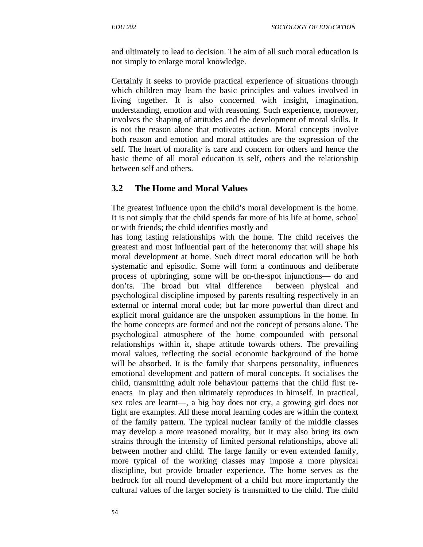and ultimately to lead to decision. The aim of all such moral education is not simply to enlarge moral knowledge.

Certainly it seeks to provide practical experience of situations through which children may learn the basic principles and values involved in living together. It is also concerned with insight, imagination, understanding, emotion and with reasoning. Such experience, moreover, involves the shaping of attitudes and the development of moral skills. It is not the reason alone that motivates action. Moral concepts involve both reason and emotion and moral attitudes are the expression of the self. The heart of morality is care and concern for others and hence the basic theme of all moral education is self, others and the relationship between self and others.

## **3.2 The Home and Moral Values**

The greatest influence upon the child's moral development is the home. It is not simply that the child spends far more of his life at home, school or with friends; the child identifies mostly and

has long lasting relationships with the home. The child receives the greatest and most influential part of the heteronomy that will shape his moral development at home. Such direct moral education will be both systematic and episodic. Some will form a continuous and deliberate process of upbringing, some will be on-the-spot injunctions— do and don'ts. The broad but vital difference between physical and psychological discipline imposed by parents resulting respectively in an external or internal moral code; but far more powerful than direct and explicit moral guidance are the unspoken assumptions in the home. In the home concepts are formed and not the concept of persons alone. The psychological atmosphere of the home compounded with personal relationships within it, shape attitude towards others. The prevailing moral values, reflecting the social economic background of the home will be absorbed. It is the family that sharpens personality, influences emotional development and pattern of moral concepts. It socialises the child, transmitting adult role behaviour patterns that the child first reenacts in play and then ultimately reproduces in himself. In practical, sex roles are learnt—, a big boy does not cry, a growing girl does not fight are examples. All these moral learning codes are within the context of the family pattern. The typical nuclear family of the middle classes may develop a more reasoned morality, but it may also bring its own strains through the intensity of limited personal relationships, above all between mother and child. The large family or even extended family, more typical of the working classes may impose a more physical discipline, but provide broader experience. The home serves as the bedrock for all round development of a child but more importantly the cultural values of the larger society is transmitted to the child. The child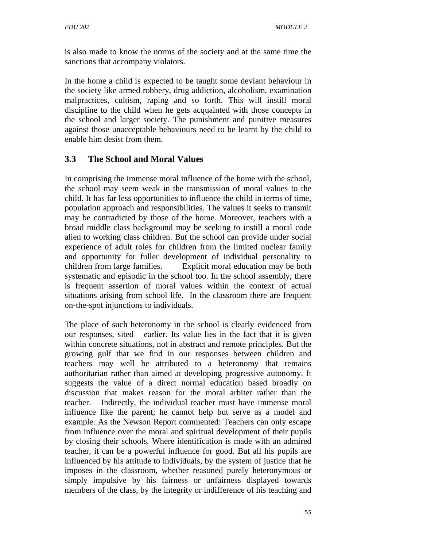is also made to know the norms of the society and at the same time the sanctions that accompany violators.

In the home a child is expected to be taught some deviant behaviour in the society like armed robbery, drug addiction, alcoholism, examination malpractices, cultism, raping and so forth. This will instill moral discipline to the child when he gets acquainted with those concepts in the school and larger society. The punishment and punitive measures against those unacceptable behaviours need to be learnt by the child to enable him desist from them.

# **3.3 The School and Moral Values**

In comprising the immense moral influence of the home with the school, the school may seem weak in the transmission of moral values to the child. It has far less opportunities to influence the child in terms of time, population approach and responsibilities. The values it seeks to transmit may be contradicted by those of the home. Moreover, teachers with a broad middle class background may be seeking to instill a moral code alien to working class children. But the school can provide under social experience of adult roles for children from the limited nuclear family and opportunity for fuller development of individual personality to children from large families. Explicit moral education may be both systematic and episodic in the school too. In the school assembly, there is frequent assertion of moral values within the context of actual situations arising from school life. In the classroom there are frequent on-the-spot injunctions to individuals.

The place of such heteronomy in the school is clearly evidenced from our responses, sited earlier. Its value lies in the fact that it is given within concrete situations, not in abstract and remote principles. But the growing gulf that we find in our responses between children and teachers may well be attributed to a heteronomy that remains authoritarian rather than aimed at developing progressive autonomy. It suggests the value of a direct normal education based broadly on discussion that makes reason for the moral arbiter rather than the teacher. Indirectly, the individual teacher must have immense moral influence like the parent; he cannot help but serve as a model and example. As the Newson Report commented: Teachers can only escape from influence over the moral and spiritual development of their pupils by closing their schools. Where identification is made with an admired teacher, it can be a powerful influence for good. But all his pupils are influenced by his attitude to individuals, by the system of justice that he imposes in the classroom, whether reasoned purely heteronymous or simply impulsive by his fairness or unfairness displayed towards members of the class, by the integrity or indifference of his teaching and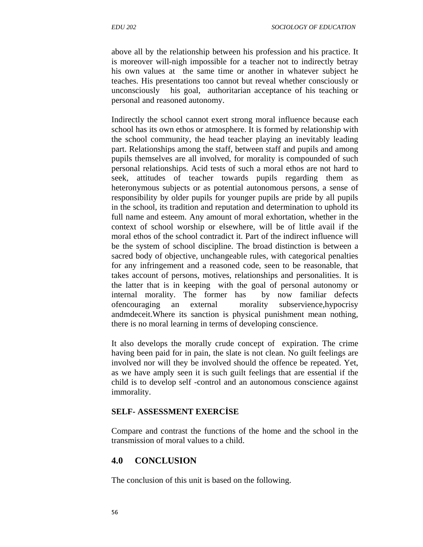above all by the relationship between his profession and his practice. It is moreover will-nigh impossible for a teacher not to indirectly betray his own values at the same time or another in whatever subject he teaches. His presentations too cannot but reveal whether consciously or unconsciously his goal, authoritarian acceptance of his teaching or personal and reasoned autonomy.

Indirectly the school cannot exert strong moral influence because each school has its own ethos or atmosphere. It is formed by relationship with the school community, the head teacher playing an inevitably leading part. Relationships among the staff, between staff and pupils and among pupils themselves are all involved, for morality is compounded of such personal relationships. Acid tests of such a moral ethos are not hard to seek, attitudes of teacher towards pupils regarding them as heteronymous subjects or as potential autonomous persons, a sense of responsibility by older pupils for younger pupils are pride by all pupils in the school, its tradition and reputation and determination to uphold its full name and esteem. Any amount of moral exhortation, whether in the context of school worship or elsewhere, will be of little avail if the moral ethos of the school contradict it. Part of the indirect influence will be the system of school discipline. The broad distinction is between a sacred body of objective, unchangeable rules, with categorical penalties for any infringement and a reasoned code, seen to be reasonable, that takes account of persons, motives, relationships and personalities. It is the latter that is in keeping with the goal of personal autonomy or internal morality. The former has by now familiar defects ofencouraging an external morality subservience,hypocrisy andmdeceit.Where its sanction is physical punishment mean nothing, there is no moral learning in terms of developing conscience.

It also develops the morally crude concept of expiration. The crime having been paid for in pain, the slate is not clean. No guilt feelings are involved nor will they be involved should the offence be repeated. Yet, as we have amply seen it is such guilt feelings that are essential if the child is to develop self -control and an autonomous conscience against immorality.

#### **SELF- ASSESSMENT EXERC**İ**SE**

Compare and contrast the functions of the home and the school in the transmission of moral values to a child.

#### **4.0 CONCLUSION**

The conclusion of this unit is based on the following.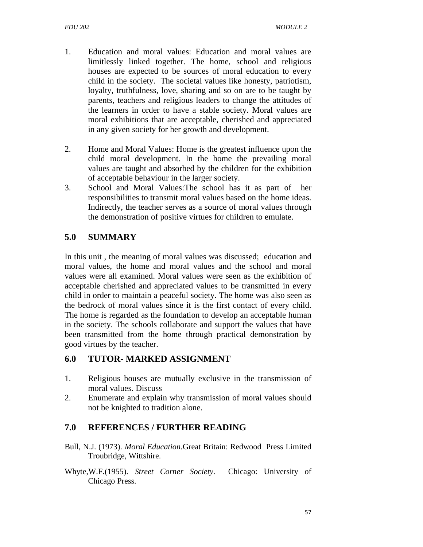- 1. Education and moral values: Education and moral values are limitlessly linked together. The home, school and religious houses are expected to be sources of moral education to every child in the society. The societal values like honesty, patriotism, loyalty, truthfulness, love, sharing and so on are to be taught by parents, teachers and religious leaders to change the attitudes of the learners in order to have a stable society. Moral values are moral exhibitions that are acceptable, cherished and appreciated in any given society for her growth and development.
- 2. Home and Moral Values: Home is the greatest influence upon the child moral development. In the home the prevailing moral values are taught and absorbed by the children for the exhibition of acceptable behaviour in the larger society.
- 3. School and Moral Values:The school has it as part of her responsibilities to transmit moral values based on the home ideas. Indirectly, the teacher serves as a source of moral values through the demonstration of positive virtues for children to emulate.

# **5.0 SUMMARY**

In this unit , the meaning of moral values was discussed; education and moral values, the home and moral values and the school and moral values were all examined. Moral values were seen as the exhibition of acceptable cherished and appreciated values to be transmitted in every child in order to maintain a peaceful society. The home was also seen as the bedrock of moral values since it is the first contact of every child. The home is regarded as the foundation to develop an acceptable human in the society. The schools collaborate and support the values that have been transmitted from the home through practical demonstration by good virtues by the teacher.

# **6.0 TUTOR- MARKED ASSIGNMENT**

- 1. Religious houses are mutually exclusive in the transmission of moral values. Discuss
- 2. Enumerate and explain why transmission of moral values should not be knighted to tradition alone.

# **7.0 REFERENCES / FURTHER READING**

- Bull, N.J. (1973). *Moral Education*.Great Britain: Redwood Press Limited Troubridge, Wittshire.
- Whyte,W.F.(1955). *Street Corner Society*. Chicago: University of Chicago Press.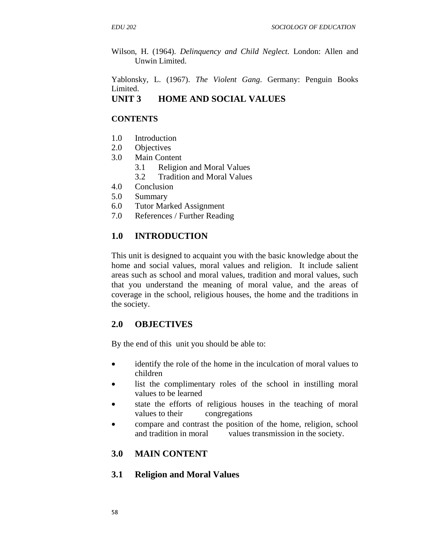Wilson, H. (1964). *Delinquency and Child Neglect*. London: Allen and Unwin Limited.

Yablonsky, L. (1967). *The Violent Gang*. Germany: Penguin Books Limited. **UNIT 3 HOME AND SOCIAL VALUES** 

# **CONTENTS**

- 1.0 Introduction
- 2.0 Objectives
- 3.0 Main Content
	- 3.1 Religion and Moral Values
	- 3.2 Tradition and Moral Values
- 4.0 Conclusion
- 5.0 Summary
- 6.0 Tutor Marked Assignment
- 7.0 References / Further Reading

## **1.0 INTRODUCTION**

This unit is designed to acquaint you with the basic knowledge about the home and social values, moral values and religion. It include salient areas such as school and moral values, tradition and moral values, such that you understand the meaning of moral value, and the areas of coverage in the school, religious houses, the home and the traditions in the society.

## **2.0 OBJECTIVES**

By the end of this unit you should be able to:

- identify the role of the home in the inculcation of moral values to children
- list the complimentary roles of the school in instilling moral values to be learned
- state the efforts of religious houses in the teaching of moral values to their congregations
- compare and contrast the position of the home, religion, school and tradition in moral values transmission in the society.

## **3.0 MAIN CONTENT**

#### **3.1 Religion and Moral Values**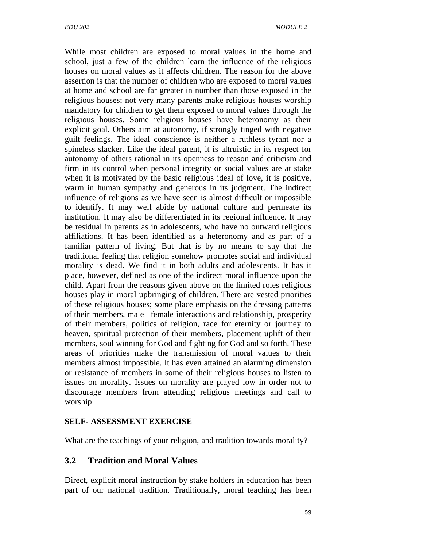While most children are exposed to moral values in the home and school, just a few of the children learn the influence of the religious houses on moral values as it affects children. The reason for the above assertion is that the number of children who are exposed to moral values at home and school are far greater in number than those exposed in the religious houses; not very many parents make religious houses worship mandatory for children to get them exposed to moral values through the religious houses. Some religious houses have heteronomy as their explicit goal. Others aim at autonomy, if strongly tinged with negative guilt feelings. The ideal conscience is neither a ruthless tyrant nor a spineless slacker. Like the ideal parent, it is altruistic in its respect for autonomy of others rational in its openness to reason and criticism and firm in its control when personal integrity or social values are at stake when it is motivated by the basic religious ideal of love, it is positive, warm in human sympathy and generous in its judgment. The indirect influence of religions as we have seen is almost difficult or impossible to identify. It may well abide by national culture and permeate its institution. It may also be differentiated in its regional influence. It may be residual in parents as in adolescents, who have no outward religious affiliations. It has been identified as a heteronomy and as part of a familiar pattern of living. But that is by no means to say that the traditional feeling that religion somehow promotes social and individual morality is dead. We find it in both adults and adolescents. It has it place, however, defined as one of the indirect moral influence upon the child. Apart from the reasons given above on the limited roles religious houses play in moral upbringing of children. There are vested priorities of these religious houses; some place emphasis on the dressing patterns of their members, male –female interactions and relationship, prosperity of their members, politics of religion, race for eternity or journey to heaven, spiritual protection of their members, placement uplift of their members, soul winning for God and fighting for God and so forth. These areas of priorities make the transmission of moral values to their members almost impossible. It has even attained an alarming dimension or resistance of members in some of their religious houses to listen to issues on morality. Issues on morality are played low in order not to discourage members from attending religious meetings and call to worship.

## **SELF- ASSESSMENT EXERCISE**

What are the teachings of your religion, and tradition towards morality?

# **3.2 Tradition and Moral Values**

Direct, explicit moral instruction by stake holders in education has been part of our national tradition. Traditionally, moral teaching has been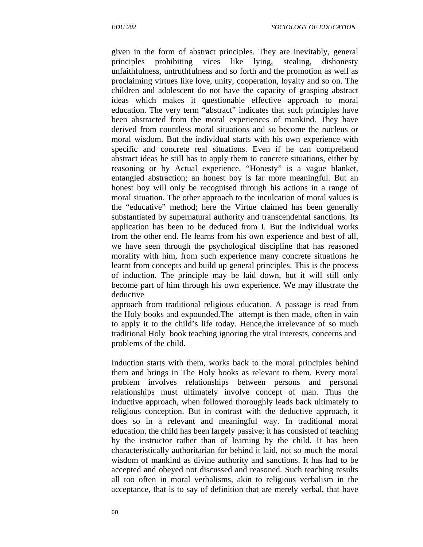given in the form of abstract principles. They are inevitably, general principles prohibiting vices like lying, stealing, dishonesty unfaithfulness, untruthfulness and so forth and the promotion as well as proclaiming virtues like love, unity, cooperation, loyalty and so on. The children and adolescent do not have the capacity of grasping abstract ideas which makes it questionable effective approach to moral education. The very term "abstract" indicates that such principles have been abstracted from the moral experiences of mankind. They have derived from countless moral situations and so become the nucleus or moral wisdom. But the individual starts with his own experience with specific and concrete real situations. Even if he can comprehend abstract ideas he still has to apply them to concrete situations, either by reasoning or by Actual experience. "Honesty" is a vague blanket, entangled abstraction; an honest boy is far more meaningful. But an honest boy will only be recognised through his actions in a range of moral situation. The other approach to the inculcation of moral values is the "educative" method; here the Virtue claimed has been generally substantiated by supernatural authority and transcendental sanctions. Its application has been to be deduced from I. But the individual works from the other end. He learns from his own experience and best of all, we have seen through the psychological discipline that has reasoned morality with him, from such experience many concrete situations he learnt from concepts and build up general principles. This is the process of induction. The principle may be laid down, but it will still only become part of him through his own experience. We may illustrate the deductive

approach from traditional religious education. A passage is read from the Holy books and expounded.The attempt is then made, often in vain to apply it to the child's life today. Hence,the irrelevance of so much traditional Holy book teaching ignoring the vital interests, concerns and problems of the child.

Induction starts with them, works back to the moral principles behind them and brings in The Holy books as relevant to them. Every moral problem involves relationships between persons and personal relationships must ultimately involve concept of man. Thus the inductive approach, when followed thoroughly leads back ultimately to religious conception. But in contrast with the deductive approach, it does so in a relevant and meaningful way. In traditional moral education, the child has been largely passive; it has consisted of teaching by the instructor rather than of learning by the child. It has been characteristically authoritarian for behind it laid, not so much the moral wisdom of mankind as divine authority and sanctions. It has had to be accepted and obeyed not discussed and reasoned. Such teaching results all too often in moral verbalisms, akin to religious verbalism in the acceptance, that is to say of definition that are merely verbal, that have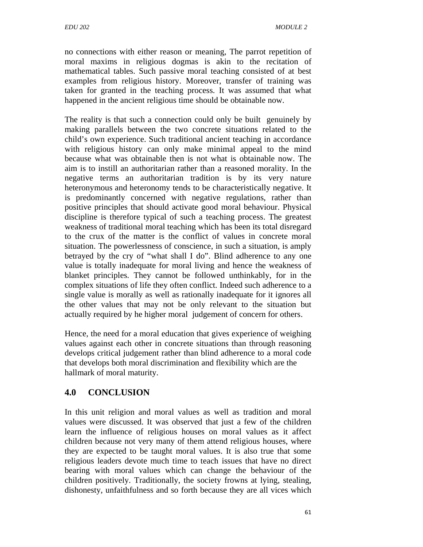no connections with either reason or meaning, The parrot repetition of moral maxims in religious dogmas is akin to the recitation of mathematical tables. Such passive moral teaching consisted of at best examples from religious history. Moreover, transfer of training was taken for granted in the teaching process. It was assumed that what happened in the ancient religious time should be obtainable now.

The reality is that such a connection could only be built genuinely by making parallels between the two concrete situations related to the child's own experience. Such traditional ancient teaching in accordance with religious history can only make minimal appeal to the mind because what was obtainable then is not what is obtainable now. The aim is to instill an authoritarian rather than a reasoned morality. In the negative terms an authoritarian tradition is by its very nature heteronymous and heteronomy tends to be characteristically negative. It is predominantly concerned with negative regulations, rather than positive principles that should activate good moral behaviour. Physical discipline is therefore typical of such a teaching process. The greatest weakness of traditional moral teaching which has been its total disregard to the crux of the matter is the conflict of values in concrete moral situation. The powerlessness of conscience, in such a situation, is amply betrayed by the cry of "what shall I do". Blind adherence to any one value is totally inadequate for moral living and hence the weakness of blanket principles. They cannot be followed unthinkably, for in the complex situations of life they often conflict. Indeed such adherence to a single value is morally as well as rationally inadequate for it ignores all the other values that may not be only relevant to the situation but actually required by he higher moral judgement of concern for others.

Hence, the need for a moral education that gives experience of weighing values against each other in concrete situations than through reasoning develops critical judgement rather than blind adherence to a moral code that develops both moral discrimination and flexibility which are the hallmark of moral maturity.

# **4.0 CONCLUSION**

In this unit religion and moral values as well as tradition and moral values were discussed. It was observed that just a few of the children learn the influence of religious houses on moral values as it affect children because not very many of them attend religious houses, where they are expected to be taught moral values. It is also true that some religious leaders devote much time to teach issues that have no direct bearing with moral values which can change the behaviour of the children positively. Traditionally, the society frowns at lying, stealing, dishonesty, unfaithfulness and so forth because they are all vices which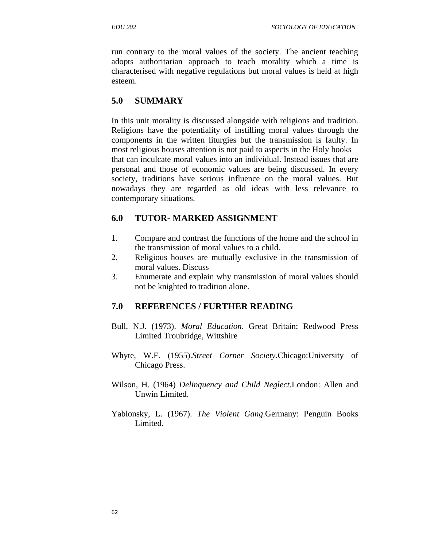run contrary to the moral values of the society. The ancient teaching adopts authoritarian approach to teach morality which a time is characterised with negative regulations but moral values is held at high esteem.

# **5.0 SUMMARY**

In this unit morality is discussed alongside with religions and tradition. Religions have the potentiality of instilling moral values through the components in the written liturgies but the transmission is faulty. In most religious houses attention is not paid to aspects in the Holy books that can inculcate moral values into an individual. Instead issues that are personal and those of economic values are being discussed. In every society, traditions have serious influence on the moral values. But nowadays they are regarded as old ideas with less relevance to contemporary situations.

# **6.0 TUTOR- MARKED ASSIGNMENT**

- 1. Compare and contrast the functions of the home and the school in the transmission of moral values to a child.
- 2. Religious houses are mutually exclusive in the transmission of moral values. Discuss
- 3. Enumerate and explain why transmission of moral values should not be knighted to tradition alone.

# **7.0 REFERENCES / FURTHER READING**

- Bull, N.J. (1973). *Moral Education*. Great Britain; Redwood Press Limited Troubridge, Wittshire
- Whyte, W.F. (1955).*Street Corner Society*.Chicago:University of Chicago Press.
- Wilson, H. (1964) *Delinquency and Child Neglect*.London: Allen and Unwin Limited.
- Yablonsky, L. (1967). *The Violent Gang*.Germany: Penguin Books Limited.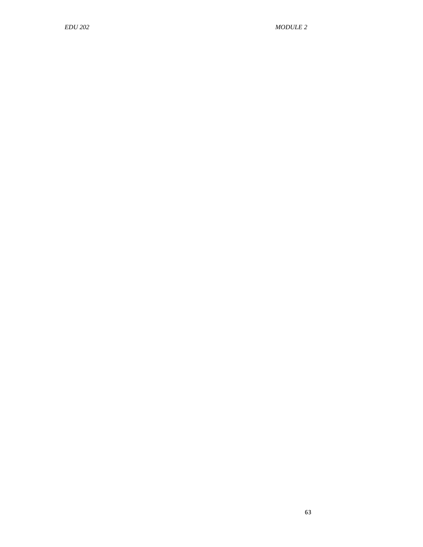*EDU 202 MODULE 2*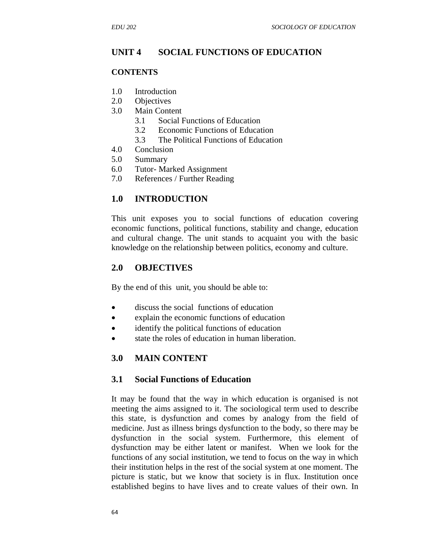## **UNIT 4 SOCIAL FUNCTIONS OF EDUCATION**

#### **CONTENTS**

- 1.0 Introduction
- 2.0 Objectives
- 3.0 Main Content
	- 3.1 Social Functions of Education
	- 3.2 Economic Functions of Education
	- 3.3 The Political Functions of Education
- 4.0 Conclusion
- 5.0 Summary
- 6.0 Tutor- Marked Assignment
- 7.0 References / Further Reading

## **1.0 INTRODUCTION**

This unit exposes you to social functions of education covering economic functions, political functions, stability and change, education and cultural change. The unit stands to acquaint you with the basic knowledge on the relationship between politics, economy and culture.

## **2.0 OBJECTIVES**

By the end of this unit, you should be able to:

- discuss the social functions of education
- explain the economic functions of education
- identify the political functions of education
- state the roles of education in human liberation.

## **3.0 MAIN CONTENT**

#### **3.1 Social Functions of Education**

It may be found that the way in which education is organised is not meeting the aims assigned to it. The sociological term used to describe this state, is dysfunction and comes by analogy from the field of medicine. Just as illness brings dysfunction to the body, so there may be dysfunction in the social system. Furthermore, this element of dysfunction may be either latent or manifest. When we look for the functions of any social institution, we tend to focus on the way in which their institution helps in the rest of the social system at one moment. The picture is static, but we know that society is in flux. Institution once established begins to have lives and to create values of their own. In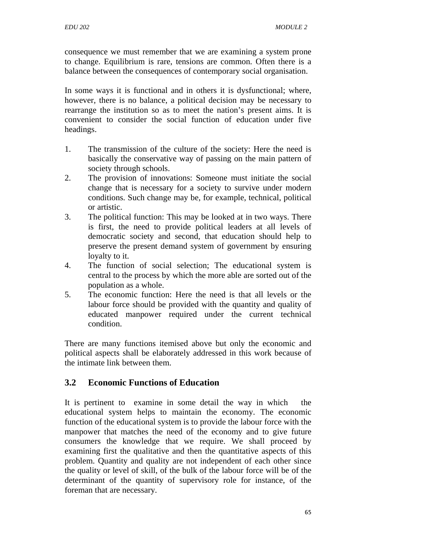consequence we must remember that we are examining a system prone to change. Equilibrium is rare, tensions are common. Often there is a balance between the consequences of contemporary social organisation.

In some ways it is functional and in others it is dysfunctional; where, however, there is no balance, a political decision may be necessary to rearrange the institution so as to meet the nation's present aims. It is convenient to consider the social function of education under five headings.

- 1. The transmission of the culture of the society: Here the need is basically the conservative way of passing on the main pattern of society through schools.
- 2. The provision of innovations: Someone must initiate the social change that is necessary for a society to survive under modern conditions. Such change may be, for example, technical, political or artistic.
- 3. The political function: This may be looked at in two ways. There is first, the need to provide political leaders at all levels of democratic society and second, that education should help to preserve the present demand system of government by ensuring loyalty to it.
- 4. The function of social selection; The educational system is central to the process by which the more able are sorted out of the population as a whole.
- 5. The economic function: Here the need is that all levels or the labour force should be provided with the quantity and quality of educated manpower required under the current technical condition.

There are many functions itemised above but only the economic and political aspects shall be elaborately addressed in this work because of the intimate link between them.

# **3.2 Economic Functions of Education**

It is pertinent to examine in some detail the way in which the educational system helps to maintain the economy. The economic function of the educational system is to provide the labour force with the manpower that matches the need of the economy and to give future consumers the knowledge that we require. We shall proceed by examining first the qualitative and then the quantitative aspects of this problem. Quantity and quality are not independent of each other since the quality or level of skill, of the bulk of the labour force will be of the determinant of the quantity of supervisory role for instance, of the foreman that are necessary.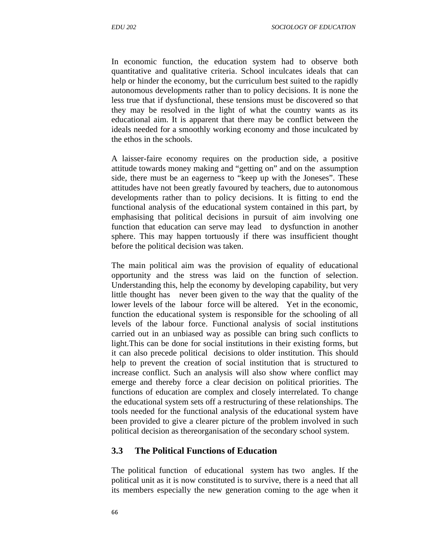In economic function, the education system had to observe both quantitative and qualitative criteria. School inculcates ideals that can help or hinder the economy, but the curriculum best suited to the rapidly autonomous developments rather than to policy decisions. It is none the less true that if dysfunctional, these tensions must be discovered so that they may be resolved in the light of what the country wants as its educational aim. It is apparent that there may be conflict between the ideals needed for a smoothly working economy and those inculcated by the ethos in the schools.

A laisser-faire economy requires on the production side, a positive attitude towards money making and "getting on" and on the assumption side, there must be an eagerness to "keep up with the Joneses". These attitudes have not been greatly favoured by teachers, due to autonomous developments rather than to policy decisions. It is fitting to end the functional analysis of the educational system contained in this part, by emphasising that political decisions in pursuit of aim involving one function that education can serve may lead to dysfunction in another sphere. This may happen tortuously if there was insufficient thought before the political decision was taken.

The main political aim was the provision of equality of educational opportunity and the stress was laid on the function of selection. Understanding this, help the economy by developing capability, but very little thought has never been given to the way that the quality of the lower levels of the labour force will be altered. Yet in the economic, function the educational system is responsible for the schooling of all levels of the labour force. Functional analysis of social institutions carried out in an unbiased way as possible can bring such conflicts to light.This can be done for social institutions in their existing forms, but it can also precede political decisions to older institution. This should help to prevent the creation of social institution that is structured to increase conflict. Such an analysis will also show where conflict may emerge and thereby force a clear decision on political priorities. The functions of education are complex and closely interrelated. To change the educational system sets off a restructuring of these relationships. The tools needed for the functional analysis of the educational system have been provided to give a clearer picture of the problem involved in such political decision as thereorganisation of the secondary school system.

#### **3.3 The Political Functions of Education**

The political function of educational system has two angles. If the political unit as it is now constituted is to survive, there is a need that all its members especially the new generation coming to the age when it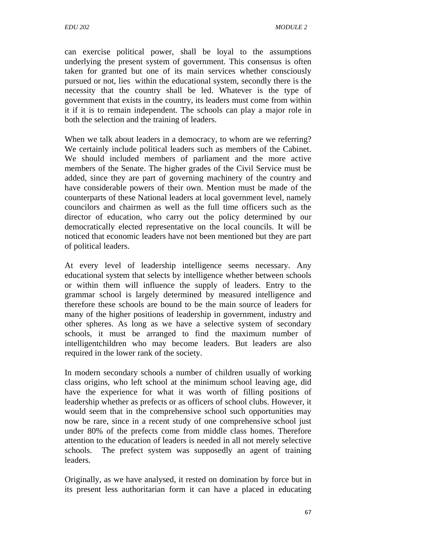can exercise political power, shall be loyal to the assumptions underlying the present system of government. This consensus is often taken for granted but one of its main services whether consciously pursued or not, lies within the educational system, secondly there is the necessity that the country shall be led. Whatever is the type of government that exists in the country, its leaders must come from within it if it is to remain independent. The schools can play a major role in both the selection and the training of leaders.

When we talk about leaders in a democracy, to whom are we referring? We certainly include political leaders such as members of the Cabinet. We should included members of parliament and the more active members of the Senate. The higher grades of the Civil Service must be added, since they are part of governing machinery of the country and have considerable powers of their own. Mention must be made of the counterparts of these National leaders at local government level, namely councilors and chairmen as well as the full time officers such as the director of education, who carry out the policy determined by our democratically elected representative on the local councils. It will be noticed that economic leaders have not been mentioned but they are part of political leaders.

At every level of leadership intelligence seems necessary. Any educational system that selects by intelligence whether between schools or within them will influence the supply of leaders. Entry to the grammar school is largely determined by measured intelligence and therefore these schools are bound to be the main source of leaders for many of the higher positions of leadership in government, industry and other spheres. As long as we have a selective system of secondary schools, it must be arranged to find the maximum number of intelligentchildren who may become leaders. But leaders are also required in the lower rank of the society.

In modern secondary schools a number of children usually of working class origins, who left school at the minimum school leaving age, did have the experience for what it was worth of filling positions of leadership whether as prefects or as officers of school clubs. However, it would seem that in the comprehensive school such opportunities may now be rare, since in a recent study of one comprehensive school just under 80% of the prefects come from middle class homes. Therefore attention to the education of leaders is needed in all not merely selective schools. The prefect system was supposedly an agent of training leaders.

Originally, as we have analysed, it rested on domination by force but in its present less authoritarian form it can have a placed in educating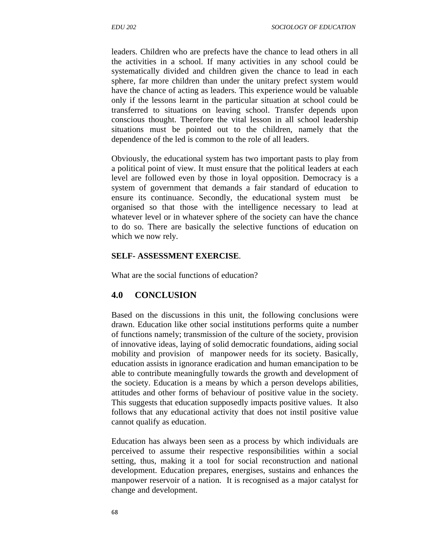leaders. Children who are prefects have the chance to lead others in all the activities in a school. If many activities in any school could be systematically divided and children given the chance to lead in each sphere, far more children than under the unitary prefect system would have the chance of acting as leaders. This experience would be valuable only if the lessons learnt in the particular situation at school could be transferred to situations on leaving school. Transfer depends upon conscious thought. Therefore the vital lesson in all school leadership situations must be pointed out to the children, namely that the dependence of the led is common to the role of all leaders.

Obviously, the educational system has two important pasts to play from a political point of view. It must ensure that the political leaders at each level are followed even by those in loyal opposition. Democracy is a system of government that demands a fair standard of education to ensure its continuance. Secondly, the educational system must be organised so that those with the intelligence necessary to lead at whatever level or in whatever sphere of the society can have the chance to do so. There are basically the selective functions of education on which we now rely.

#### **SELF- ASSESSMENT EXERCISE**.

What are the social functions of education?

## **4.0 CONCLUSION**

Based on the discussions in this unit, the following conclusions were drawn. Education like other social institutions performs quite a number of functions namely; transmission of the culture of the society, provision of innovative ideas, laying of solid democratic foundations, aiding social mobility and provision of manpower needs for its society. Basically, education assists in ignorance eradication and human emancipation to be able to contribute meaningfully towards the growth and development of the society. Education is a means by which a person develops abilities, attitudes and other forms of behaviour of positive value in the society. This suggests that education supposedly impacts positive values. It also follows that any educational activity that does not instil positive value cannot qualify as education.

Education has always been seen as a process by which individuals are perceived to assume their respective responsibilities within a social setting, thus, making it a tool for social reconstruction and national development. Education prepares, energises, sustains and enhances the manpower reservoir of a nation. It is recognised as a major catalyst for change and development.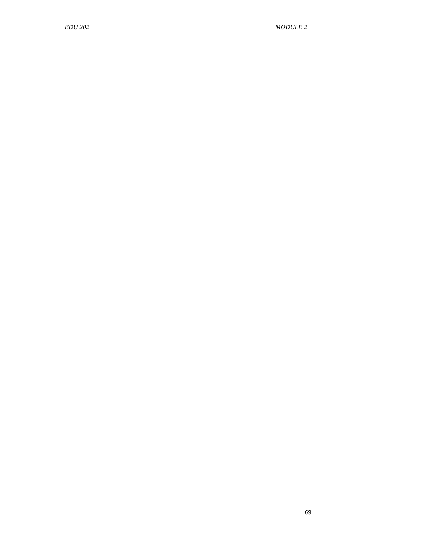*EDU 202 MODULE 2*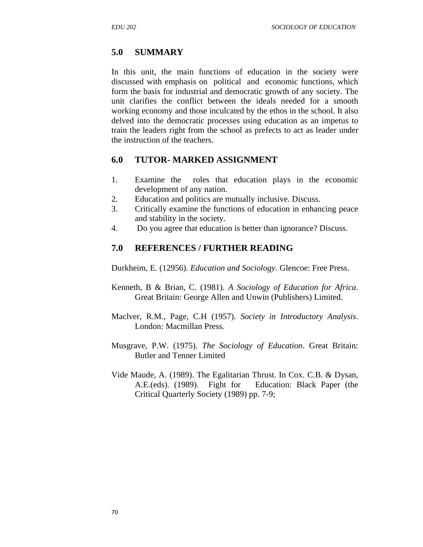## **5.0 SUMMARY**

In this unit, the main functions of education in the society were discussed with emphasis on political and economic functions, which form the basis for industrial and democratic growth of any society. The unit clarifies the conflict between the ideals needed for a smooth working economy and those inculcated by the ethos in the school. It also delved into the democratic processes using education as an impetus to train the leaders right from the school as prefects to act as leader under the instruction of the teachers.

## **6.0 TUTOR- MARKED ASSIGNMENT**

- 1. Examine the roles that education plays in the economic development of any nation.
- 2. Education and politics are mutually inclusive. Discuss.
- 3. Critically examine the functions of education in enhancing peace and stability in the society.
- 4. Do you agree that education is better than ignorance? Discuss.

## **7.0 REFERENCES / FURTHER READING**

Durkheim, E. (12956). *Education and Sociology*. Glencoe: Free Press.

- Kenneth, B & Brian, C. (1981). *A Sociology of Education for Africa*. Great Britain: George Allen and Unwin (Publishers) Limited.
- Maclver, R.M., Page, C.H (1957). *Society in Introductory Analysis*. London: Macmillan Press.
- Musgrave, P.W. (1975). *The Sociology of Education*. Great Britain: Butler and Tenner Limited
- Vide Maude, A. (1989). The Egalitarian Thrust. In Cox. C.B. & Dysan, A.E.(eds). (1989). Fight for Education: Black Paper (the Critical Quarterly Society (1989) pp. 7-9;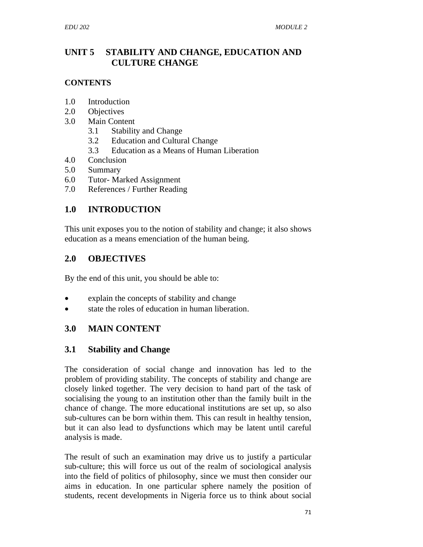## **UNIT 5 STABILITY AND CHANGE, EDUCATION AND CULTURE CHANGE**

#### **CONTENTS**

- 1.0 Introduction
- 2.0 Objectives
- 3.0 Main Content
	- 3.1 Stability and Change
	- 3.2 Education and Cultural Change
	- 3.3 Education as a Means of Human Liberation
- 4.0 Conclusion
- 5.0 Summary
- 6.0 Tutor- Marked Assignment
- 7.0 References / Further Reading

## **1.0 INTRODUCTION**

This unit exposes you to the notion of stability and change; it also shows education as a means emenciation of the human being.

## **2.0 OBJECTIVES**

By the end of this unit, you should be able to:

- explain the concepts of stability and change
- state the roles of education in human liberation.

# **3.0 MAIN CONTENT**

## **3.1 Stability and Change**

The consideration of social change and innovation has led to the problem of providing stability. The concepts of stability and change are closely linked together. The very decision to hand part of the task of socialising the young to an institution other than the family built in the chance of change. The more educational institutions are set up, so also sub-cultures can be born within them. This can result in healthy tension, but it can also lead to dysfunctions which may be latent until careful analysis is made.

The result of such an examination may drive us to justify a particular sub-culture; this will force us out of the realm of sociological analysis into the field of politics of philosophy, since we must then consider our aims in education. In one particular sphere namely the position of students, recent developments in Nigeria force us to think about social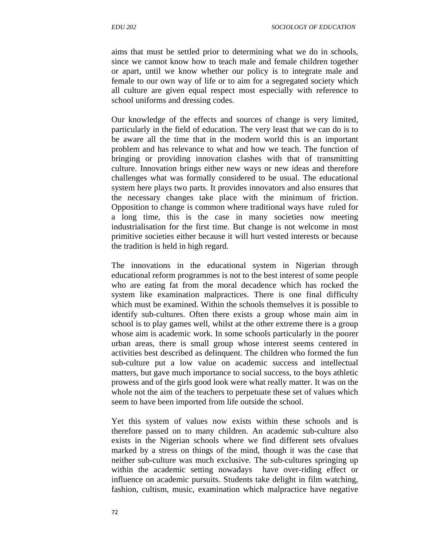aims that must be settled prior to determining what we do in schools, since we cannot know how to teach male and female children together or apart, until we know whether our policy is to integrate male and female to our own way of life or to aim for a segregated society which all culture are given equal respect most especially with reference to school uniforms and dressing codes.

Our knowledge of the effects and sources of change is very limited, particularly in the field of education. The very least that we can do is to be aware all the time that in the modern world this is an important problem and has relevance to what and how we teach. The function of bringing or providing innovation clashes with that of transmitting culture. Innovation brings either new ways or new ideas and therefore challenges what was formally considered to be usual. The educational system here plays two parts. It provides innovators and also ensures that the necessary changes take place with the minimum of friction. Opposition to change is common where traditional ways have ruled for a long time, this is the case in many societies now meeting industrialisation for the first time. But change is not welcome in most primitive societies either because it will hurt vested interests or because the tradition is held in high regard.

The innovations in the educational system in Nigerian through educational reform programmes is not to the best interest of some people who are eating fat from the moral decadence which has rocked the system like examination malpractices. There is one final difficulty which must be examined. Within the schools themselves it is possible to identify sub-cultures. Often there exists a group whose main aim in school is to play games well, whilst at the other extreme there is a group whose aim is academic work. In some schools particularly in the poorer urban areas, there is small group whose interest seems centered in activities best described as delinquent. The children who formed the fun sub-culture put a low value on academic success and intellectual matters, but gave much importance to social success, to the boys athletic prowess and of the girls good look were what really matter. It was on the whole not the aim of the teachers to perpetuate these set of values which seem to have been imported from life outside the school.

Yet this system of values now exists within these schools and is therefore passed on to many children. An academic sub-culture also exists in the Nigerian schools where we find different sets ofvalues marked by a stress on things of the mind, though it was the case that neither sub-culture was much exclusive. The sub-cultures springing up within the academic setting nowadays have over-riding effect or influence on academic pursuits. Students take delight in film watching, fashion, cultism, music, examination which malpractice have negative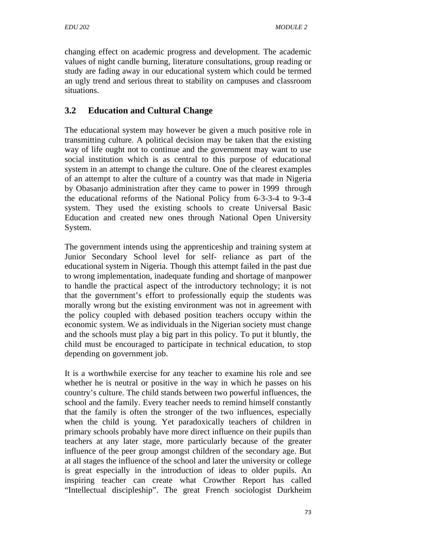changing effect on academic progress and development. The academic values of night candle burning, literature consultations, group reading or study are fading away in our educational system which could be termed an ugly trend and serious threat to stability on campuses and classroom situations.

## **3.2 Education and Cultural Change**

The educational system may however be given a much positive role in transmitting culture. A political decision may be taken that the existing way of life ought not to continue and the government may want to use social institution which is as central to this purpose of educational system in an attempt to change the culture. One of the clearest examples of an attempt to alter the culture of a country was that made in Nigeria by Obasanjo administration after they came to power in 1999 through the educational reforms of the National Policy from 6-3-3-4 to 9-3-4 system. They used the existing schools to create Universal Basic Education and created new ones through National Open University System.

The government intends using the apprenticeship and training system at Junior Secondary School level for self- reliance as part of the educational system in Nigeria. Though this attempt failed in the past due to wrong implementation, inadequate funding and shortage of manpower to handle the practical aspect of the introductory technology; it is not that the government's effort to professionally equip the students was morally wrong but the existing environment was not in agreement with the policy coupled with debased position teachers occupy within the economic system. We as individuals in the Nigerian society must change and the schools must play a big part in this policy. To put it bluntly, the child must be encouraged to participate in technical education, to stop depending on government job.

It is a worthwhile exercise for any teacher to examine his role and see whether he is neutral or positive in the way in which he passes on his country's culture. The child stands between two powerful influences, the school and the family. Every teacher needs to remind himself constantly that the family is often the stronger of the two influences, especially when the child is young. Yet paradoxically teachers of children in primary schools probably have more direct influence on their pupils than teachers at any later stage, more particularly because of the greater influence of the peer group amongst children of the secondary age. But at all stages the influence of the school and later the university or college is great especially in the introduction of ideas to older pupils. An inspiring teacher can create what Crowther Report has called "Intellectual discipleship". The great French sociologist Durkheim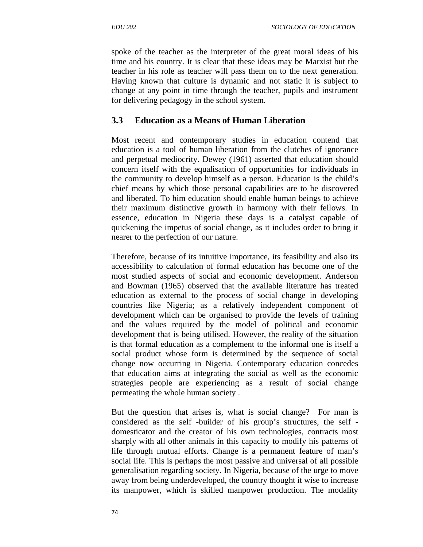spoke of the teacher as the interpreter of the great moral ideas of his time and his country. It is clear that these ideas may be Marxist but the teacher in his role as teacher will pass them on to the next generation. Having known that culture is dynamic and not static it is subject to change at any point in time through the teacher, pupils and instrument for delivering pedagogy in the school system.

## **3.3 Education as a Means of Human Liberation**

Most recent and contemporary studies in education contend that education is a tool of human liberation from the clutches of ignorance and perpetual mediocrity. Dewey (1961) asserted that education should concern itself with the equalisation of opportunities for individuals in the community to develop himself as a person. Education is the child's chief means by which those personal capabilities are to be discovered and liberated. To him education should enable human beings to achieve their maximum distinctive growth in harmony with their fellows. In essence, education in Nigeria these days is a catalyst capable of quickening the impetus of social change, as it includes order to bring it nearer to the perfection of our nature.

Therefore, because of its intuitive importance, its feasibility and also its accessibility to calculation of formal education has become one of the most studied aspects of social and economic development. Anderson and Bowman (1965) observed that the available literature has treated education as external to the process of social change in developing countries like Nigeria; as a relatively independent component of development which can be organised to provide the levels of training and the values required by the model of political and economic development that is being utilised. However, the reality of the situation is that formal education as a complement to the informal one is itself a social product whose form is determined by the sequence of social change now occurring in Nigeria. Contemporary education concedes that education aims at integrating the social as well as the economic strategies people are experiencing as a result of social change permeating the whole human society .

But the question that arises is, what is social change? For man is considered as the self -builder of his group's structures, the self domesticator and the creator of his own technologies, contracts most sharply with all other animals in this capacity to modify his patterns of life through mutual efforts. Change is a permanent feature of man's social life. This is perhaps the most passive and universal of all possible generalisation regarding society. In Nigeria, because of the urge to move away from being underdeveloped, the country thought it wise to increase its manpower, which is skilled manpower production. The modality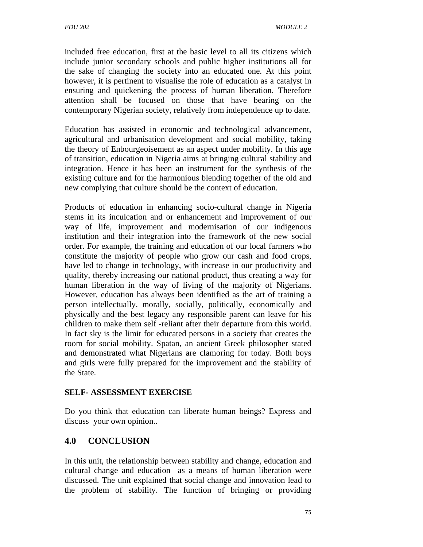included free education, first at the basic level to all its citizens which include junior secondary schools and public higher institutions all for the sake of changing the society into an educated one. At this point however, it is pertinent to visualise the role of education as a catalyst in ensuring and quickening the process of human liberation. Therefore attention shall be focused on those that have bearing on the contemporary Nigerian society, relatively from independence up to date.

Education has assisted in economic and technological advancement, agricultural and urbanisation development and social mobility, taking the theory of Enbourgeoisement as an aspect under mobility. In this age of transition, education in Nigeria aims at bringing cultural stability and integration. Hence it has been an instrument for the synthesis of the existing culture and for the harmonious blending together of the old and new complying that culture should be the context of education.

Products of education in enhancing socio-cultural change in Nigeria stems in its inculcation and or enhancement and improvement of our way of life, improvement and modernisation of our indigenous institution and their integration into the framework of the new social order. For example, the training and education of our local farmers who constitute the majority of people who grow our cash and food crops, have led to change in technology, with increase in our productivity and quality, thereby increasing our national product, thus creating a way for human liberation in the way of living of the majority of Nigerians. However, education has always been identified as the art of training a person intellectually, morally, socially, politically, economically and physically and the best legacy any responsible parent can leave for his children to make them self -reliant after their departure from this world. In fact sky is the limit for educated persons in a society that creates the room for social mobility. Spatan, an ancient Greek philosopher stated and demonstrated what Nigerians are clamoring for today. Both boys and girls were fully prepared for the improvement and the stability of the State.

#### **SELF- ASSESSMENT EXERCISE**

Do you think that education can liberate human beings? Express and discuss your own opinion..

## **4.0 CONCLUSION**

In this unit, the relationship between stability and change, education and cultural change and education as a means of human liberation were discussed. The unit explained that social change and innovation lead to the problem of stability. The function of bringing or providing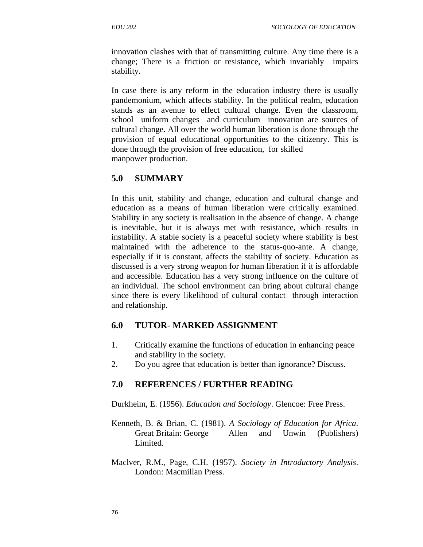innovation clashes with that of transmitting culture. Any time there is a change; There is a friction or resistance, which invariably impairs stability.

In case there is any reform in the education industry there is usually pandemonium, which affects stability. In the political realm, education stands as an avenue to effect cultural change. Even the classroom, school uniform changes and curriculum innovation are sources of cultural change. All over the world human liberation is done through the provision of equal educational opportunities to the citizenry. This is done through the provision of free education, for skilled manpower production.

## **5.0 SUMMARY**

In this unit, stability and change, education and cultural change and education as a means of human liberation were critically examined. Stability in any society is realisation in the absence of change. A change is inevitable, but it is always met with resistance, which results in instability. A stable society is a peaceful society where stability is best maintained with the adherence to the status-quo-ante. A change, especially if it is constant, affects the stability of society. Education as discussed is a very strong weapon for human liberation if it is affordable and accessible. Education has a very strong influence on the culture of an individual. The school environment can bring about cultural change since there is every likelihood of cultural contact through interaction and relationship.

## **6.0 TUTOR- MARKED ASSIGNMENT**

- 1. Critically examine the functions of education in enhancing peace and stability in the society.
- 2. Do you agree that education is better than ignorance? Discuss.

## **7.0 REFERENCES / FURTHER READING**

Durkheim, E. (1956). *Education and Sociology*. Glencoe: Free Press.

- Kenneth, B. & Brian, C. (1981). *A Sociology of Education for Africa*. Great Britain: George Allen and Unwin (Publishers) Limited.
- Maclver, R.M., Page, C.H. (1957). *Society in Introductory Analysis*. London: Macmillan Press.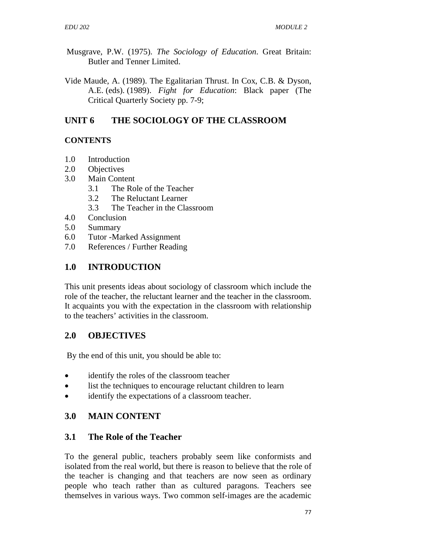- Musgrave, P.W. (1975). *The Sociology of Education*. Great Britain: Butler and Tenner Limited.
- Vide Maude, A. (1989). The Egalitarian Thrust. In Cox, C.B. & Dyson, A.E. (eds). (1989). *Fight for Education*: Black paper (The Critical Quarterly Society pp. 7-9;

# **UNIT 6 THE SOCIOLOGY OF THE CLASSROOM**

## **CONTENTS**

- 1.0 Introduction
- 2.0 Objectives
- 3.0 Main Content
	- 3.1 The Role of the Teacher
	- 3.2 The Reluctant Learner
	- 3.3 The Teacher in the Classroom
- 4.0 Conclusion
- 5.0 Summary
- 6.0 Tutor -Marked Assignment
- 7.0 References / Further Reading

# **1.0 INTRODUCTION**

This unit presents ideas about sociology of classroom which include the role of the teacher, the reluctant learner and the teacher in the classroom. It acquaints you with the expectation in the classroom with relationship to the teachers' activities in the classroom.

# **2.0 OBJECTIVES**

By the end of this unit, you should be able to:

- identify the roles of the classroom teacher
- list the techniques to encourage reluctant children to learn
- identify the expectations of a classroom teacher.

# **3.0 MAIN CONTENT**

# **3.1 The Role of the Teacher**

To the general public, teachers probably seem like conformists and isolated from the real world, but there is reason to believe that the role of the teacher is changing and that teachers are now seen as ordinary people who teach rather than as cultured paragons. Teachers see themselves in various ways. Two common self-images are the academic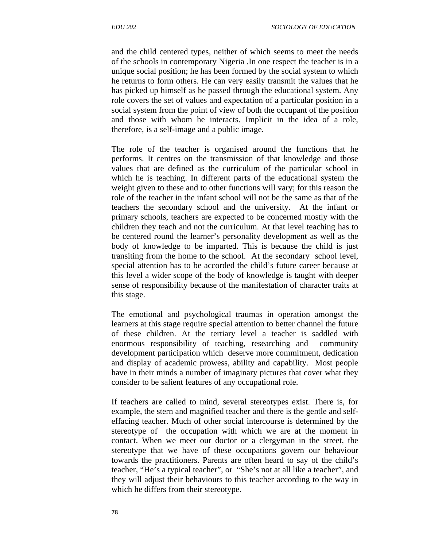and the child centered types, neither of which seems to meet the needs of the schools in contemporary Nigeria .In one respect the teacher is in a unique social position; he has been formed by the social system to which he returns to form others. He can very easily transmit the values that he has picked up himself as he passed through the educational system. Any role covers the set of values and expectation of a particular position in a social system from the point of view of both the occupant of the position and those with whom he interacts. Implicit in the idea of a role, therefore, is a self-image and a public image.

The role of the teacher is organised around the functions that he performs. It centres on the transmission of that knowledge and those values that are defined as the curriculum of the particular school in which he is teaching. In different parts of the educational system the weight given to these and to other functions will vary; for this reason the role of the teacher in the infant school will not be the same as that of the teachers the secondary school and the university. At the infant or primary schools, teachers are expected to be concerned mostly with the children they teach and not the curriculum. At that level teaching has to be centered round the learner's personality development as well as the body of knowledge to be imparted. This is because the child is just transiting from the home to the school. At the secondary school level, special attention has to be accorded the child's future career because at this level a wider scope of the body of knowledge is taught with deeper sense of responsibility because of the manifestation of character traits at this stage.

The emotional and psychological traumas in operation amongst the learners at this stage require special attention to better channel the future of these children. At the tertiary level a teacher is saddled with enormous responsibility of teaching, researching and community development participation which deserve more commitment, dedication and display of academic prowess, ability and capability. Most people have in their minds a number of imaginary pictures that cover what they consider to be salient features of any occupational role.

If teachers are called to mind, several stereotypes exist. There is, for example, the stern and magnified teacher and there is the gentle and selfeffacing teacher. Much of other social intercourse is determined by the stereotype of the occupation with which we are at the moment in contact. When we meet our doctor or a clergyman in the street, the stereotype that we have of these occupations govern our behaviour towards the practitioners. Parents are often heard to say of the child's teacher, "He's a typical teacher", or "She's not at all like a teacher", and they will adjust their behaviours to this teacher according to the way in which he differs from their stereotype.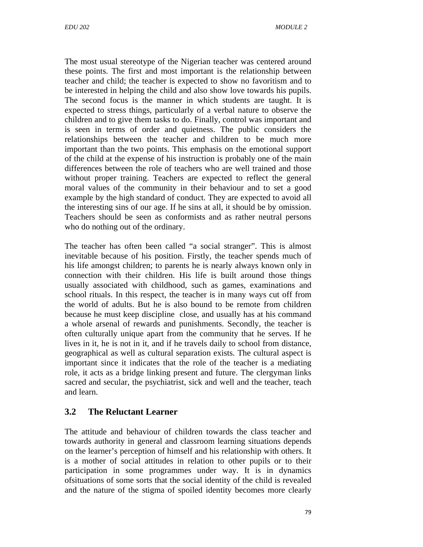The most usual stereotype of the Nigerian teacher was centered around these points. The first and most important is the relationship between teacher and child; the teacher is expected to show no favoritism and to be interested in helping the child and also show love towards his pupils. The second focus is the manner in which students are taught. It is expected to stress things, particularly of a verbal nature to observe the children and to give them tasks to do. Finally, control was important and is seen in terms of order and quietness. The public considers the relationships between the teacher and children to be much more important than the two points. This emphasis on the emotional support of the child at the expense of his instruction is probably one of the main differences between the role of teachers who are well trained and those without proper training. Teachers are expected to reflect the general moral values of the community in their behaviour and to set a good example by the high standard of conduct. They are expected to avoid all the interesting sins of our age. If he sins at all, it should be by omission. Teachers should be seen as conformists and as rather neutral persons who do nothing out of the ordinary.

The teacher has often been called "a social stranger". This is almost inevitable because of his position. Firstly, the teacher spends much of his life amongst children; to parents he is nearly always known only in connection with their children. His life is built around those things usually associated with childhood, such as games, examinations and school rituals. In this respect, the teacher is in many ways cut off from the world of adults. But he is also bound to be remote from children because he must keep discipline close, and usually has at his command a whole arsenal of rewards and punishments. Secondly, the teacher is often culturally unique apart from the community that he serves. If he lives in it, he is not in it, and if he travels daily to school from distance, geographical as well as cultural separation exists. The cultural aspect is important since it indicates that the role of the teacher is a mediating role, it acts as a bridge linking present and future. The clergyman links sacred and secular, the psychiatrist, sick and well and the teacher, teach and learn.

## **3.2 The Reluctant Learner**

The attitude and behaviour of children towards the class teacher and towards authority in general and classroom learning situations depends on the learner's perception of himself and his relationship with others. It is a mother of social attitudes in relation to other pupils or to their participation in some programmes under way. It is in dynamics ofsituations of some sorts that the social identity of the child is revealed and the nature of the stigma of spoiled identity becomes more clearly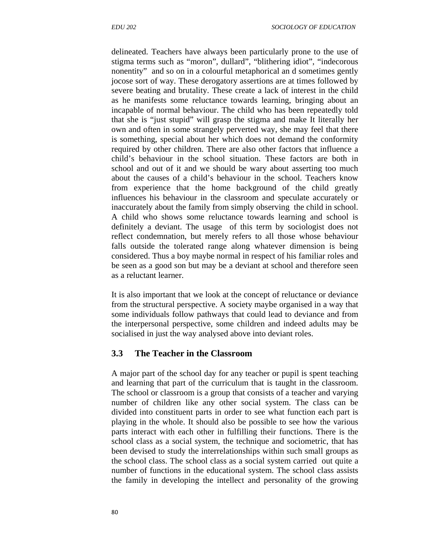delineated. Teachers have always been particularly prone to the use of stigma terms such as "moron", dullard", "blithering idiot", "indecorous nonentity" and so on in a colourful metaphorical an d sometimes gently jocose sort of way. These derogatory assertions are at times followed by severe beating and brutality. These create a lack of interest in the child as he manifests some reluctance towards learning, bringing about an incapable of normal behaviour. The child who has been repeatedly told that she is "just stupid" will grasp the stigma and make It literally her own and often in some strangely perverted way, she may feel that there is something, special about her which does not demand the conformity required by other children. There are also other factors that influence a child's behaviour in the school situation. These factors are both in school and out of it and we should be wary about asserting too much about the causes of a child's behaviour in the school. Teachers know from experience that the home background of the child greatly influences his behaviour in the classroom and speculate accurately or inaccurately about the family from simply observing the child in school. A child who shows some reluctance towards learning and school is definitely a deviant. The usage of this term by sociologist does not reflect condemnation, but merely refers to all those whose behaviour falls outside the tolerated range along whatever dimension is being considered. Thus a boy maybe normal in respect of his familiar roles and be seen as a good son but may be a deviant at school and therefore seen as a reluctant learner.

It is also important that we look at the concept of reluctance or deviance from the structural perspective. A society maybe organised in a way that some individuals follow pathways that could lead to deviance and from the interpersonal perspective, some children and indeed adults may be socialised in just the way analysed above into deviant roles.

#### **3.3 The Teacher in the Classroom**

A major part of the school day for any teacher or pupil is spent teaching and learning that part of the curriculum that is taught in the classroom. The school or classroom is a group that consists of a teacher and varying number of children like any other social system. The class can be divided into constituent parts in order to see what function each part is playing in the whole. It should also be possible to see how the various parts interact with each other in fulfilling their functions. There is the school class as a social system, the technique and sociometric, that has been devised to study the interrelationships within such small groups as the school class. The school class as a social system carried out quite a number of functions in the educational system. The school class assists the family in developing the intellect and personality of the growing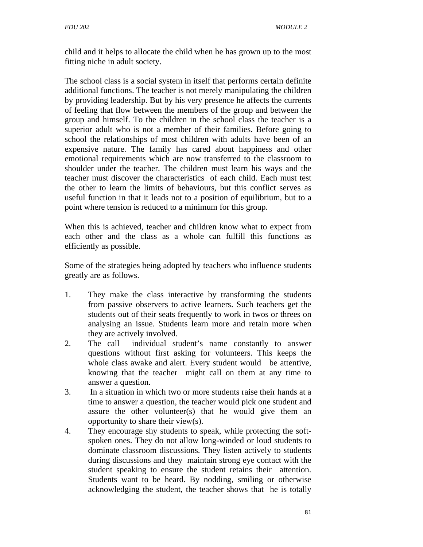child and it helps to allocate the child when he has grown up to the most fitting niche in adult society.

The school class is a social system in itself that performs certain definite additional functions. The teacher is not merely manipulating the children by providing leadership. But by his very presence he affects the currents of feeling that flow between the members of the group and between the group and himself. To the children in the school class the teacher is a superior adult who is not a member of their families. Before going to school the relationships of most children with adults have been of an expensive nature. The family has cared about happiness and other emotional requirements which are now transferred to the classroom to shoulder under the teacher. The children must learn his ways and the teacher must discover the characteristics of each child. Each must test the other to learn the limits of behaviours, but this conflict serves as useful function in that it leads not to a position of equilibrium, but to a point where tension is reduced to a minimum for this group.

When this is achieved, teacher and children know what to expect from each other and the class as a whole can fulfill this functions as efficiently as possible.

Some of the strategies being adopted by teachers who influence students greatly are as follows.

- 1. They make the class interactive by transforming the students from passive observers to active learners. Such teachers get the students out of their seats frequently to work in twos or threes on analysing an issue. Students learn more and retain more when they are actively involved.
- 2. The call individual student's name constantly to answer questions without first asking for volunteers. This keeps the whole class awake and alert. Every student would be attentive, knowing that the teacher might call on them at any time to answer a question.
- 3. In a situation in which two or more students raise their hands at a time to answer a question, the teacher would pick one student and assure the other volunteer(s) that he would give them an opportunity to share their view(s).
- 4. They encourage shy students to speak, while protecting the softspoken ones. They do not allow long-winded or loud students to dominate classroom discussions. They listen actively to students during discussions and they maintain strong eye contact with the student speaking to ensure the student retains their attention. Students want to be heard. By nodding, smiling or otherwise acknowledging the student, the teacher shows that he is totally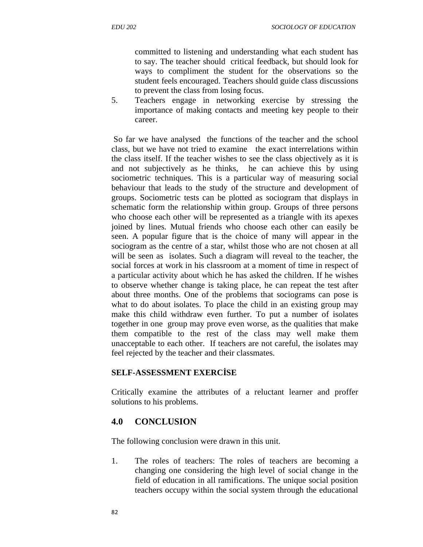committed to listening and understanding what each student has to say. The teacher should critical feedback, but should look for ways to compliment the student for the observations so the student feels encouraged. Teachers should guide class discussions to prevent the class from losing focus.

5. Teachers engage in networking exercise by stressing the importance of making contacts and meeting key people to their career.

 So far we have analysed the functions of the teacher and the school class, but we have not tried to examine the exact interrelations within the class itself. If the teacher wishes to see the class objectively as it is and not subjectively as he thinks, he can achieve this by using sociometric techniques. This is a particular way of measuring social behaviour that leads to the study of the structure and development of groups. Sociometric tests can be plotted as sociogram that displays in schematic form the relationship within group. Groups of three persons who choose each other will be represented as a triangle with its apexes joined by lines. Mutual friends who choose each other can easily be seen. A popular figure that is the choice of many will appear in the sociogram as the centre of a star, whilst those who are not chosen at all will be seen as isolates. Such a diagram will reveal to the teacher, the social forces at work in his classroom at a moment of time in respect of a particular activity about which he has asked the children. If he wishes to observe whether change is taking place, he can repeat the test after about three months. One of the problems that sociograms can pose is what to do about isolates. To place the child in an existing group may make this child withdraw even further. To put a number of isolates together in one group may prove even worse, as the qualities that make them compatible to the rest of the class may well make them unacceptable to each other. If teachers are not careful, the isolates may feel rejected by the teacher and their classmates.

#### **SELF-ASSESSMENT EXERC**İ**SE**

Critically examine the attributes of a reluctant learner and proffer solutions to his problems.

## **4.0 CONCLUSION**

The following conclusion were drawn in this unit.

1. The roles of teachers: The roles of teachers are becoming a changing one considering the high level of social change in the field of education in all ramifications. The unique social position teachers occupy within the social system through the educational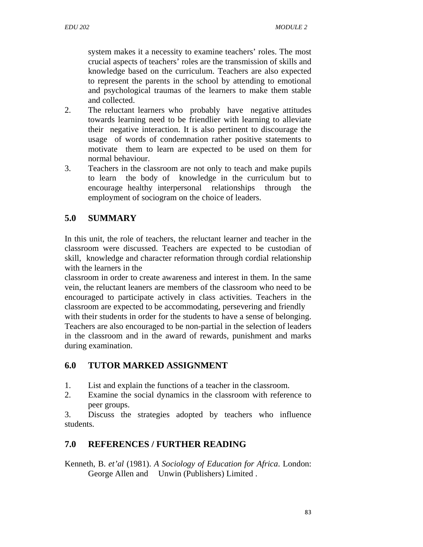system makes it a necessity to examine teachers' roles. The most crucial aspects of teachers' roles are the transmission of skills and knowledge based on the curriculum. Teachers are also expected to represent the parents in the school by attending to emotional and psychological traumas of the learners to make them stable and collected.

- 2. The reluctant learners who probably have negative attitudes towards learning need to be friendlier with learning to alleviate their negative interaction. It is also pertinent to discourage the usage of words of condemnation rather positive statements to motivate them to learn are expected to be used on them for normal behaviour.
- 3. Teachers in the classroom are not only to teach and make pupils to learn the body of knowledge in the curriculum but to encourage healthy interpersonal relationships through the employment of sociogram on the choice of leaders.

## **5.0 SUMMARY**

In this unit, the role of teachers, the reluctant learner and teacher in the classroom were discussed. Teachers are expected to be custodian of skill, knowledge and character reformation through cordial relationship with the learners in the

classroom in order to create awareness and interest in them. In the same vein, the reluctant leaners are members of the classroom who need to be encouraged to participate actively in class activities. Teachers in the classroom are expected to be accommodating, persevering and friendly

with their students in order for the students to have a sense of belonging. Teachers are also encouraged to be non-partial in the selection of leaders in the classroom and in the award of rewards, punishment and marks during examination.

## **6.0 TUTOR MARKED ASSIGNMENT**

- 1. List and explain the functions of a teacher in the classroom.
- 2. Examine the social dynamics in the classroom with reference to peer groups.

3. Discuss the strategies adopted by teachers who influence students.

# **7.0 REFERENCES / FURTHER READING**

Kenneth, B. *et'al* (1981). *A Sociology of Education for Africa*. London: George Allen and Unwin (Publishers) Limited .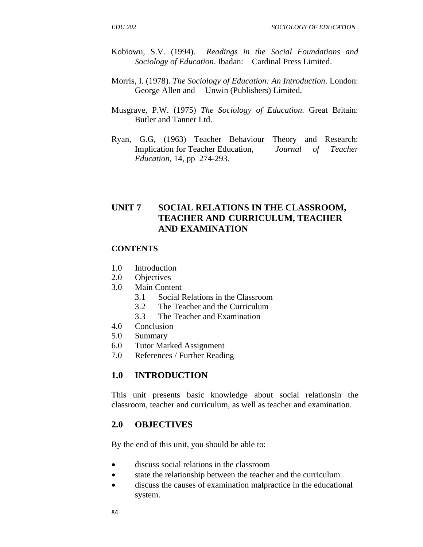- Kobiowu, S.V. (1994). *Readings in the Social Foundations and Sociology of Education*. Ibadan: Cardinal Press Limited.
- Morris, I. (1978). *The Sociology of Education: An Introduction*. London: George Allen and Unwin (Publishers) Limited.
- Musgrave, P.W. (1975) *The Sociology of Education*. Great Britain: Butler and Tanner Ltd.
- Ryan, G.G, (1963) Teacher Behaviour Theory and Research: Implication for Teacher Education, *Journal of Teacher Education*, 14, pp 274-293.

#### **UNIT 7 SOCIAL RELATIONS IN THE CLASSROOM, TEACHER AND CURRICULUM, TEACHER AND EXAMINATION**

#### **CONTENTS**

- 1.0 Introduction
- 2.0 Objectives
- 3.0 Main Content
	- 3.1 Social Relations in the Classroom
	- 3.2 The Teacher and the Curriculum
	- 3.3 The Teacher and Examination
- 4.0 Conclusion
- 5.0 Summary
- 6.0 Tutor Marked Assignment
- 7.0 References / Further Reading

#### **1.0 INTRODUCTION**

This unit presents basic knowledge about social relationsin the classroom, teacher and curriculum, as well as teacher and examination.

#### **2.0 OBJECTIVES**

By the end of this unit, you should be able to:

- discuss social relations in the classroom
- state the relationship between the teacher and the curriculum
- discuss the causes of examination malpractice in the educational system.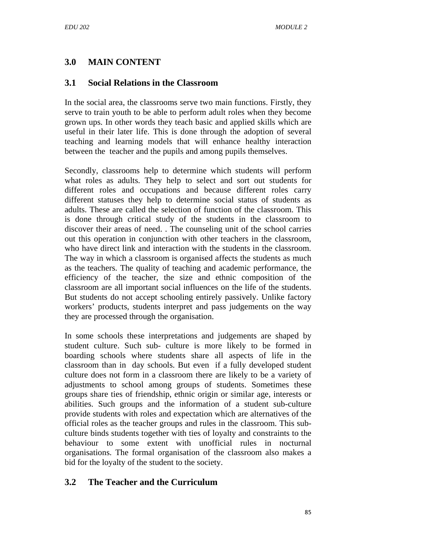## **3.0 MAIN CONTENT**

#### **3.1 Social Relations in the Classroom**

In the social area, the classrooms serve two main functions. Firstly, they serve to train youth to be able to perform adult roles when they become grown ups. In other words they teach basic and applied skills which are useful in their later life. This is done through the adoption of several teaching and learning models that will enhance healthy interaction between the teacher and the pupils and among pupils themselves.

Secondly, classrooms help to determine which students will perform what roles as adults. They help to select and sort out students for different roles and occupations and because different roles carry different statuses they help to determine social status of students as adults. These are called the selection of function of the classroom. This is done through critical study of the students in the classroom to discover their areas of need. . The counseling unit of the school carries out this operation in conjunction with other teachers in the classroom, who have direct link and interaction with the students in the classroom. The way in which a classroom is organised affects the students as much as the teachers. The quality of teaching and academic performance, the efficiency of the teacher, the size and ethnic composition of the classroom are all important social influences on the life of the students. But students do not accept schooling entirely passively. Unlike factory workers' products, students interpret and pass judgements on the way they are processed through the organisation.

In some schools these interpretations and judgements are shaped by student culture. Such sub- culture is more likely to be formed in boarding schools where students share all aspects of life in the classroom than in day schools. But even if a fully developed student culture does not form in a classroom there are likely to be a variety of adjustments to school among groups of students. Sometimes these groups share ties of friendship, ethnic origin or similar age, interests or abilities. Such groups and the information of a student sub-culture provide students with roles and expectation which are alternatives of the official roles as the teacher groups and rules in the classroom. This subculture binds students together with ties of loyalty and constraints to the behaviour to some extent with unofficial rules in nocturnal organisations. The formal organisation of the classroom also makes a bid for the loyalty of the student to the society.

## **3.2 The Teacher and the Curriculum**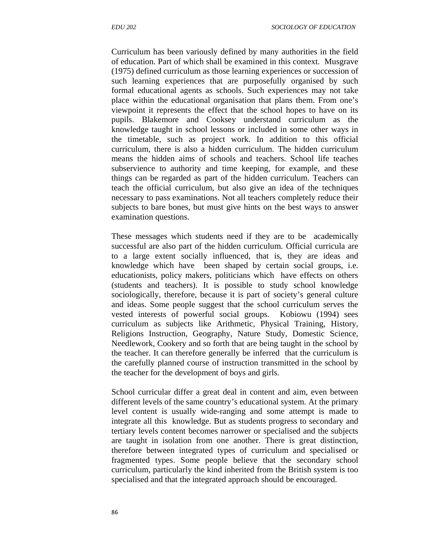Curriculum has been variously defined by many authorities in the field of education. Part of which shall be examined in this context. Musgrave (1975) defined curriculum as those learning experiences or succession of such learning experiences that are purposefully organised by such formal educational agents as schools. Such experiences may not take place within the educational organisation that plans them. From one's viewpoint it represents the effect that the school hopes to have on its pupils. Blakemore and Cooksey understand curriculum as the knowledge taught in school lessons or included in some other ways in the timetable, such as project work. In addition to this official curriculum, there is also a hidden curriculum. The hidden curriculum means the hidden aims of schools and teachers. School life teaches subservience to authority and time keeping, for example, and these things can be regarded as part of the hidden curriculum. Teachers can teach the official curriculum, but also give an idea of the techniques necessary to pass examinations. Not all teachers completely reduce their subjects to bare bones, but must give hints on the best ways to answer examination questions.

These messages which students need if they are to be academically successful are also part of the hidden curriculum. Official curricula are to a large extent socially influenced, that is, they are ideas and knowledge which have been shaped by certain social groups, i.e. educationists, policy makers, politicians which have effects on others (students and teachers). It is possible to study school knowledge sociologically, therefore, because it is part of society's general culture and ideas. Some people suggest that the school curriculum serves the vested interests of powerful social groups. Kobiowu (1994) sees curriculum as subjects like Arithmetic, Physical Training, History, Religions Instruction, Geography, Nature Study, Domestic Science, Needlework, Cookery and so forth that are being taught in the school by the teacher. It can therefore generally be inferred that the curriculum is the carefully planned course of instruction transmitted in the school by the teacher for the development of boys and girls.

School curricular differ a great deal in content and aim, even between different levels of the same country's educational system. At the primary level content is usually wide-ranging and some attempt is made to integrate all this knowledge. But as students progress to secondary and tertiary levels content becomes narrower or specialised and the subjects are taught in isolation from one another. There is great distinction, therefore between integrated types of curriculum and specialised or fragmented types. Some people believe that the secondary school curriculum, particularly the kind inherited from the British system is too specialised and that the integrated approach should be encouraged.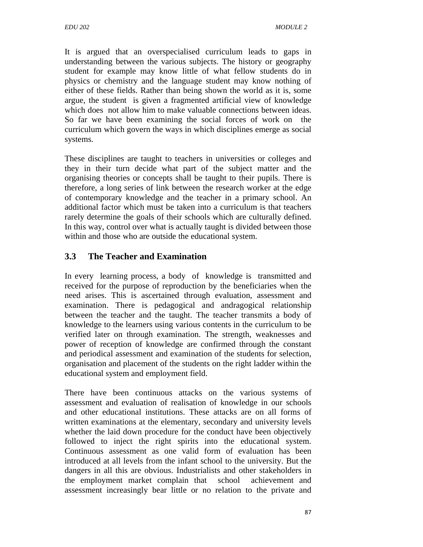It is argued that an overspecialised curriculum leads to gaps in understanding between the various subjects. The history or geography student for example may know little of what fellow students do in physics or chemistry and the language student may know nothing of either of these fields. Rather than being shown the world as it is, some argue, the student is given a fragmented artificial view of knowledge which does not allow him to make valuable connections between ideas. So far we have been examining the social forces of work on the curriculum which govern the ways in which disciplines emerge as social systems.

These disciplines are taught to teachers in universities or colleges and they in their turn decide what part of the subject matter and the organising theories or concepts shall be taught to their pupils. There is therefore, a long series of link between the research worker at the edge of contemporary knowledge and the teacher in a primary school. An additional factor which must be taken into a curriculum is that teachers rarely determine the goals of their schools which are culturally defined. In this way, control over what is actually taught is divided between those within and those who are outside the educational system.

## **3.3 The Teacher and Examination**

In every learning process, a body of knowledge is transmitted and received for the purpose of reproduction by the beneficiaries when the need arises. This is ascertained through evaluation, assessment and examination. There is pedagogical and andragogical relationship between the teacher and the taught. The teacher transmits a body of knowledge to the learners using various contents in the curriculum to be verified later on through examination. The strength, weaknesses and power of reception of knowledge are confirmed through the constant and periodical assessment and examination of the students for selection, organisation and placement of the students on the right ladder within the educational system and employment field.

There have been continuous attacks on the various systems of assessment and evaluation of realisation of knowledge in our schools and other educational institutions. These attacks are on all forms of written examinations at the elementary, secondary and university levels whether the laid down procedure for the conduct have been objectively followed to inject the right spirits into the educational system. Continuous assessment as one valid form of evaluation has been introduced at all levels from the infant school to the university. But the dangers in all this are obvious. Industrialists and other stakeholders in the employment market complain that school achievement and assessment increasingly bear little or no relation to the private and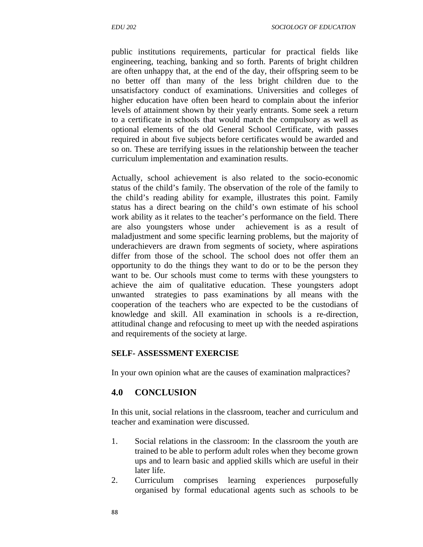public institutions requirements, particular for practical fields like engineering, teaching, banking and so forth. Parents of bright children are often unhappy that, at the end of the day, their offspring seem to be no better off than many of the less bright children due to the unsatisfactory conduct of examinations. Universities and colleges of higher education have often been heard to complain about the inferior levels of attainment shown by their yearly entrants. Some seek a return to a certificate in schools that would match the compulsory as well as optional elements of the old General School Certificate, with passes required in about five subjects before certificates would be awarded and so on. These are terrifying issues in the relationship between the teacher curriculum implementation and examination results.

Actually, school achievement is also related to the socio-economic status of the child's family. The observation of the role of the family to the child's reading ability for example, illustrates this point. Family status has a direct bearing on the child's own estimate of his school work ability as it relates to the teacher's performance on the field. There are also youngsters whose under achievement is as a result of maladjustment and some specific learning problems, but the majority of underachievers are drawn from segments of society, where aspirations differ from those of the school. The school does not offer them an opportunity to do the things they want to do or to be the person they want to be. Our schools must come to terms with these youngsters to achieve the aim of qualitative education. These youngsters adopt unwanted strategies to pass examinations by all means with the cooperation of the teachers who are expected to be the custodians of knowledge and skill. All examination in schools is a re-direction, attitudinal change and refocusing to meet up with the needed aspirations and requirements of the society at large.

#### **SELF- ASSESSMENT EXERCISE**

In your own opinion what are the causes of examination malpractices?

## **4.0 CONCLUSION**

In this unit, social relations in the classroom, teacher and curriculum and teacher and examination were discussed.

- 1. Social relations in the classroom: In the classroom the youth are trained to be able to perform adult roles when they become grown ups and to learn basic and applied skills which are useful in their later life.
- 2. Curriculum comprises learning experiences purposefully organised by formal educational agents such as schools to be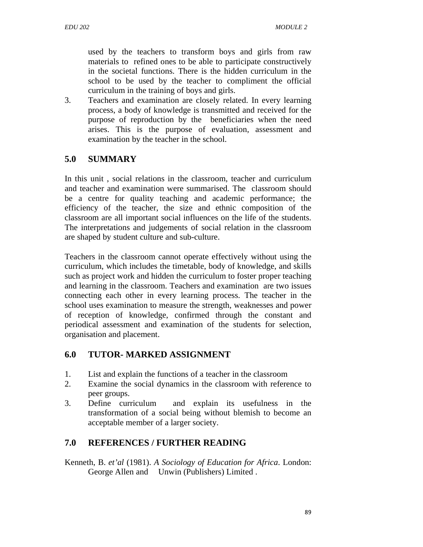used by the teachers to transform boys and girls from raw materials to refined ones to be able to participate constructively in the societal functions. There is the hidden curriculum in the school to be used by the teacher to compliment the official curriculum in the training of boys and girls.

3. Teachers and examination are closely related. In every learning process, a body of knowledge is transmitted and received for the purpose of reproduction by the beneficiaries when the need arises. This is the purpose of evaluation, assessment and examination by the teacher in the school.

# **5.0 SUMMARY**

In this unit , social relations in the classroom, teacher and curriculum and teacher and examination were summarised. The classroom should be a centre for quality teaching and academic performance; the efficiency of the teacher, the size and ethnic composition of the classroom are all important social influences on the life of the students. The interpretations and judgements of social relation in the classroom are shaped by student culture and sub-culture.

Teachers in the classroom cannot operate effectively without using the curriculum, which includes the timetable, body of knowledge, and skills such as project work and hidden the curriculum to foster proper teaching and learning in the classroom. Teachers and examination are two issues connecting each other in every learning process. The teacher in the school uses examination to measure the strength, weaknesses and power of reception of knowledge, confirmed through the constant and periodical assessment and examination of the students for selection, organisation and placement.

# **6.0 TUTOR- MARKED ASSIGNMENT**

- 1. List and explain the functions of a teacher in the classroom
- 2. Examine the social dynamics in the classroom with reference to peer groups.
- 3. Define curriculum and explain its usefulness in the transformation of a social being without blemish to become an acceptable member of a larger society.

# **7.0 REFERENCES / FURTHER READING**

Kenneth, B. *et'al* (1981). *A Sociology of Education for Africa*. London: George Allen and Unwin (Publishers) Limited .